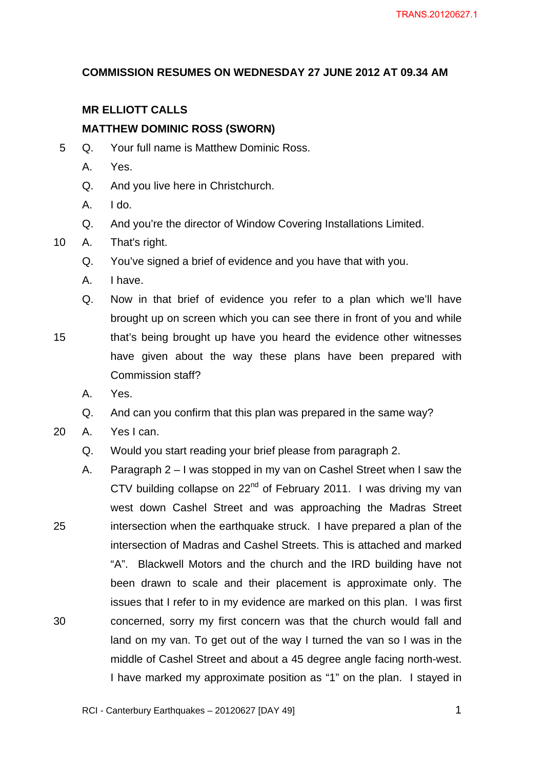#### **COMMISSION RESUMES ON WEDNESDAY 27 JUNE 2012 AT 09.34 AM**

## **MR ELLIOTT CALLS**

#### **MATTHEW DOMINIC ROSS (SWORN)**

- 5 Q. Your full name is Matthew Dominic Ross.
	- A. Yes.
	- Q. And you live here in Christchurch.
	- A. I do.
	- Q. And you're the director of Window Covering Installations Limited.
- 10 A. That's right.
	- Q. You've signed a brief of evidence and you have that with you.
	- A. I have.

Q. Now in that brief of evidence you refer to a plan which we'll have brought up on screen which you can see there in front of you and while

- 15 that's being brought up have you heard the evidence other witnesses have given about the way these plans have been prepared with Commission staff?
	- A. Yes.
	- Q. And can you confirm that this plan was prepared in the same way?
- 20 A. Yes I can.
	- Q. Would you start reading your brief please from paragraph 2.
- 25 30 A. Paragraph 2 – I was stopped in my van on Cashel Street when I saw the CTV building collapse on 22<sup>nd</sup> of February 2011. I was driving my van west down Cashel Street and was approaching the Madras Street intersection when the earthquake struck. I have prepared a plan of the intersection of Madras and Cashel Streets. This is attached and marked "A". Blackwell Motors and the church and the IRD building have not been drawn to scale and their placement is approximate only. The issues that I refer to in my evidence are marked on this plan. I was first concerned, sorry my first concern was that the church would fall and land on my van. To get out of the way I turned the van so I was in the middle of Cashel Street and about a 45 degree angle facing north-west. I have marked my approximate position as "1" on the plan. I stayed in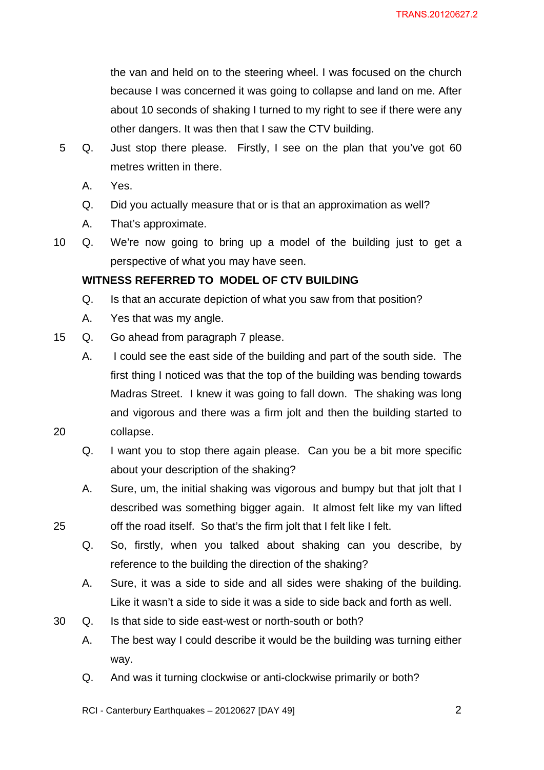the van and held on to the steering wheel. I was focused on the church because I was concerned it was going to collapse and land on me. After about 10 seconds of shaking I turned to my right to see if there were any other dangers. It was then that I saw the CTV building.

- 5 Q. Just stop there please. Firstly, I see on the plan that you've got 60 metres written in there.
	- A. Yes.

20

25

- Q. Did you actually measure that or is that an approximation as well?
- A. That's approximate.
- 10 Q. We're now going to bring up a model of the building just to get a perspective of what you may have seen.

#### **WITNESS REFERRED TO MODEL OF CTV BUILDING**

- Q. Is that an accurate depiction of what you saw from that position?
- A. Yes that was my angle.
- 15 Q. Go ahead from paragraph 7 please.
	- A. I could see the east side of the building and part of the south side. The first thing I noticed was that the top of the building was bending towards Madras Street. I knew it was going to fall down. The shaking was long and vigorous and there was a firm jolt and then the building started to collapse.
	- Q. I want you to stop there again please. Can you be a bit more specific about your description of the shaking?
	- A. Sure, um, the initial shaking was vigorous and bumpy but that jolt that I described was something bigger again. It almost felt like my van lifted off the road itself. So that's the firm jolt that I felt like I felt.
	- Q. So, firstly, when you talked about shaking can you describe, by reference to the building the direction of the shaking?
	- A. Sure, it was a side to side and all sides were shaking of the building. Like it wasn't a side to side it was a side to side back and forth as well.
- 30 Q. Is that side to side east-west or north-south or both?
	- A. The best way I could describe it would be the building was turning either way.
	- Q. And was it turning clockwise or anti-clockwise primarily or both?
	- RCI Canterbury Earthquakes 20120627 [DAY 49]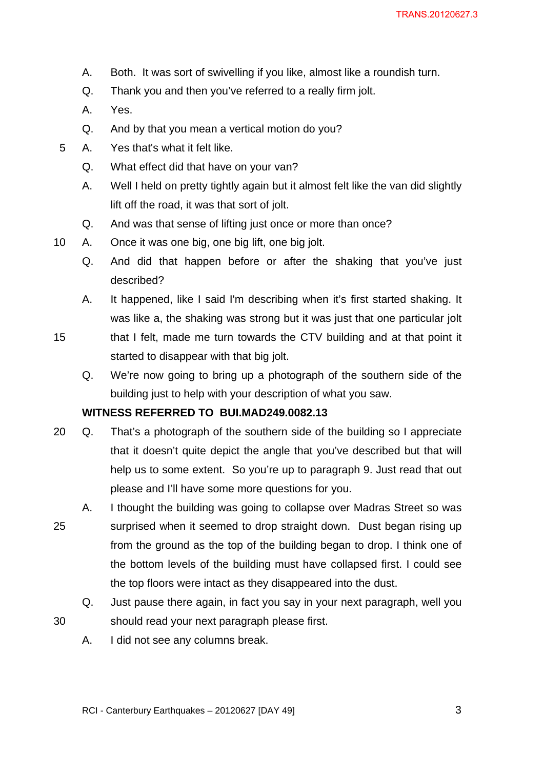- A. Both. It was sort of swivelling if you like, almost like a roundish turn.
- Q. Thank you and then you've referred to a really firm jolt.
- A. Yes.
- Q. And by that you mean a vertical motion do you?
- 5 A. Yes that's what it felt like.
	- Q. What effect did that have on your van?
	- A. Well I held on pretty tightly again but it almost felt like the van did slightly lift off the road, it was that sort of jolt.
	- Q. And was that sense of lifting just once or more than once?
- 10 A. Once it was one big, one big lift, one big jolt.
	- Q. And did that happen before or after the shaking that you've just described?
	- A. It happened, like I said I'm describing when it's first started shaking. It was like a, the shaking was strong but it was just that one particular jolt
- 15 that I felt, made me turn towards the CTV building and at that point it started to disappear with that big jolt.
	- Q. We're now going to bring up a photograph of the southern side of the building just to help with your description of what you saw.

## **WITNESS REFERRED TO BUI.MAD249.0082.13**

- 20 Q. That's a photograph of the southern side of the building so I appreciate that it doesn't quite depict the angle that you've described but that will help us to some extent. So you're up to paragraph 9. Just read that out please and I'll have some more questions for you.
- 25 A. I thought the building was going to collapse over Madras Street so was surprised when it seemed to drop straight down. Dust began rising up from the ground as the top of the building began to drop. I think one of the bottom levels of the building must have collapsed first. I could see the top floors were intact as they disappeared into the dust.
	- Q. Just pause there again, in fact you say in your next paragraph, well you should read your next paragraph please first.
	- A. I did not see any columns break.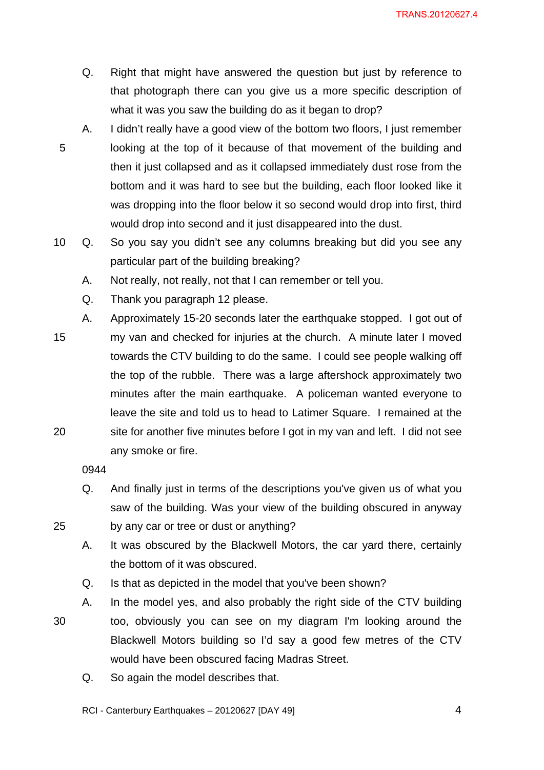TRANS.20120627.4

- Q. Right that might have answered the question but just by reference to that photograph there can you give us a more specific description of what it was you saw the building do as it began to drop?
- 5 A. I didn't really have a good view of the bottom two floors, I just remember looking at the top of it because of that movement of the building and then it just collapsed and as it collapsed immediately dust rose from the bottom and it was hard to see but the building, each floor looked like it was dropping into the floor below it so second would drop into first, third would drop into second and it just disappeared into the dust.
- 10 Q. So you say you didn't see any columns breaking but did you see any particular part of the building breaking?
	- A. Not really, not really, not that I can remember or tell you.
	- Q. Thank you paragraph 12 please.
- 15 20 A. Approximately 15-20 seconds later the earthquake stopped. I got out of my van and checked for injuries at the church. A minute later I moved towards the CTV building to do the same. I could see people walking off the top of the rubble. There was a large aftershock approximately two minutes after the main earthquake. A policeman wanted everyone to leave the site and told us to head to Latimer Square. I remained at the site for another five minutes before I got in my van and left. I did not see any smoke or fire.

0944

25

30

- Q. And finally just in terms of the descriptions you've given us of what you saw of the building. Was your view of the building obscured in anyway by any car or tree or dust or anything?
- A. It was obscured by the Blackwell Motors, the car yard there, certainly the bottom of it was obscured.
- Q. Is that as depicted in the model that you've been shown?
- A. In the model yes, and also probably the right side of the CTV building too, obviously you can see on my diagram I'm looking around the Blackwell Motors building so I'd say a good few metres of the CTV would have been obscured facing Madras Street.
	- Q. So again the model describes that.

RCI - Canterbury Earthquakes – 20120627 [DAY 49]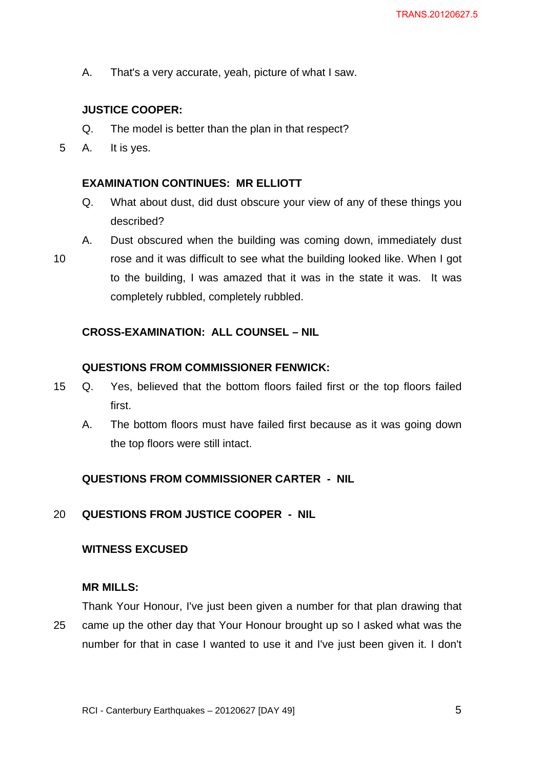A. That's a very accurate, yeah, picture of what I saw.

## **JUSTICE COOPER:**

- Q. The model is better than the plan in that respect?
- 5 A. It is yes.

#### **EXAMINATION CONTINUES: MR ELLIOTT**

- Q. What about dust, did dust obscure your view of any of these things you described?
- 10 A. Dust obscured when the building was coming down, immediately dust rose and it was difficult to see what the building looked like. When I got to the building, I was amazed that it was in the state it was. It was completely rubbled, completely rubbled.

#### **CROSS-EXAMINATION: ALL COUNSEL – NIL**

#### **QUESTIONS FROM COMMISSIONER FENWICK:**

- 15 Q. Yes, believed that the bottom floors failed first or the top floors failed first.
	- A. The bottom floors must have failed first because as it was going down the top floors were still intact.

#### **QUESTIONS FROM COMMISSIONER CARTER - NIL**

20 **QUESTIONS FROM JUSTICE COOPER - NIL** 

#### **WITNESS EXCUSED**

#### **MR MILLS:**

25 Thank Your Honour, I've just been given a number for that plan drawing that came up the other day that Your Honour brought up so I asked what was the number for that in case I wanted to use it and I've just been given it. I don't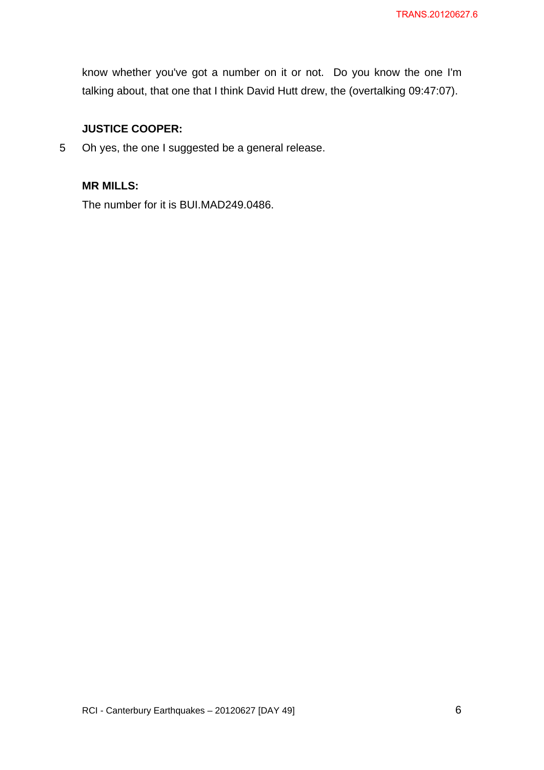know whether you've got a number on it or not. Do you know the one I'm talking about, that one that I think David Hutt drew, the (overtalking 09:47:07).

## **JUSTICE COOPER:**

5 Oh yes, the one I suggested be a general release.

## **MR MILLS:**

The number for it is BUI.MAD249.0486.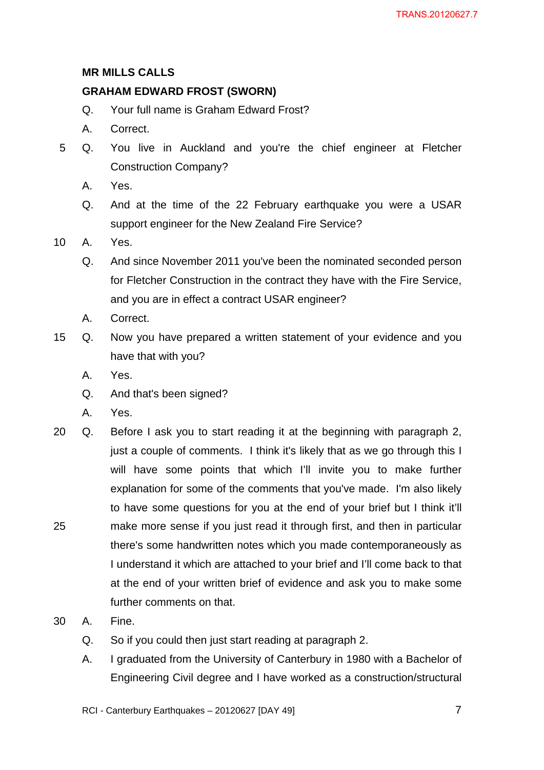## **MR MILLS CALLS**

## **GRAHAM EDWARD FROST (SWORN)**

- Q. Your full name is Graham Edward Frost?
- A. Correct.
- 5 Q. You live in Auckland and you're the chief engineer at Fletcher Construction Company?
	- A. Yes.
	- Q. And at the time of the 22 February earthquake you were a USAR support engineer for the New Zealand Fire Service?
- 10 A. Yes.
	- Q. And since November 2011 you've been the nominated seconded person for Fletcher Construction in the contract they have with the Fire Service, and you are in effect a contract USAR engineer?
	- A. Correct.
- 15 Q. Now you have prepared a written statement of your evidence and you have that with you?
	- A. Yes.
	- Q. And that's been signed?
	- A. Yes.
- 25 20 Q. Before I ask you to start reading it at the beginning with paragraph 2, just a couple of comments. I think it's likely that as we go through this I will have some points that which I'll invite you to make further explanation for some of the comments that you've made. I'm also likely to have some questions for you at the end of your brief but I think it'll make more sense if you just read it through first, and then in particular there's some handwritten notes which you made contemporaneously as I understand it which are attached to your brief and I'll come back to that at the end of your written brief of evidence and ask you to make some further comments on that.
- 30 A. Fine.
	- Q. So if you could then just start reading at paragraph 2.
	- A. I graduated from the University of Canterbury in 1980 with a Bachelor of Engineering Civil degree and I have worked as a construction/structural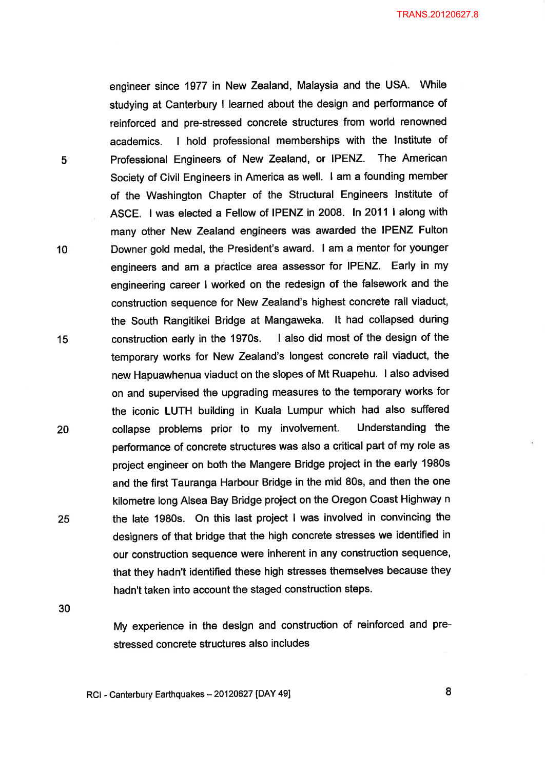TRANS.20120627.8

engineer since 1977 in New Zealand, Malaysia and the USA. While studying at Canterbury I learned about the design and performance of reinforced and pre-stressed concrete structures from world renowned I hold professional memberships with the Institute of academics. Professional Engineers of New Zealand, or IPENZ. The American Society of Civil Engineers in America as well. I am a founding member of the Washington Chapter of the Structural Engineers Institute of ASCE. I was elected a Fellow of IPENZ in 2008. In 2011 I along with many other New Zealand engineers was awarded the IPENZ Fulton Downer gold medal, the President's award. I am a mentor for younger engineers and am a practice area assessor for IPENZ. Early in my engineering career I worked on the redesign of the falsework and the construction sequence for New Zealand's highest concrete rail viaduct, the South Rangitikei Bridge at Mangaweka. It had collapsed during I also did most of the design of the construction early in the 1970s. temporary works for New Zealand's longest concrete rail viaduct, the new Hapuawhenua viaduct on the slopes of Mt Ruapehu. I also advised on and supervised the upgrading measures to the temporary works for the iconic LUTH building in Kuala Lumpur which had also suffered Understanding the collapse problems prior to my involvement. performance of concrete structures was also a critical part of my role as project engineer on both the Mangere Bridge project in the early 1980s and the first Tauranga Harbour Bridge in the mid 80s, and then the one kilometre long Alsea Bay Bridge project on the Oregon Coast Highway n the late 1980s. On this last project I was involved in convincing the designers of that bridge that the high concrete stresses we identified in our construction sequence were inherent in any construction sequence, that they hadn't identified these high stresses themselves because they hadn't taken into account the staged construction steps.

30

25

5

10

15

20

My experience in the design and construction of reinforced and prestressed concrete structures also includes

RCI - Canterbury Earthquakes - 20120627 [DAY 49]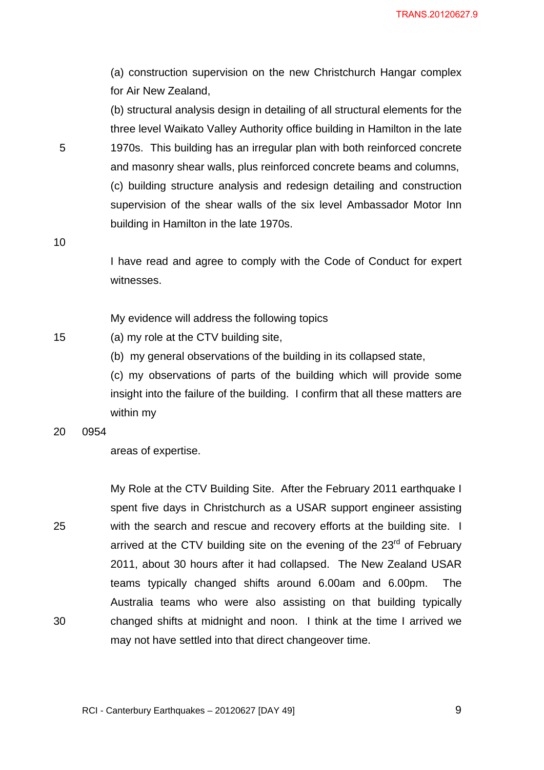TRANS.20120627.9

(a) construction supervision on the new Christchurch Hangar complex for Air New Zealand,

(b) structural analysis design in detailing of all structural elements for the three level Waikato Valley Authority office building in Hamilton in the late 1970s. This building has an irregular plan with both reinforced concrete and masonry shear walls, plus reinforced concrete beams and columns, (c) building structure analysis and redesign detailing and construction supervision of the shear walls of the six level Ambassador Motor Inn building in Hamilton in the late 1970s.

10

15

5

I have read and agree to comply with the Code of Conduct for expert witnesses.

My evidence will address the following topics

(a) my role at the CTV building site,

(b) my general observations of the building in its collapsed state,

(c) my observations of parts of the building which will provide some insight into the failure of the building. I confirm that all these matters are within my

20 0954

areas of expertise.

25 30 My Role at the CTV Building Site. After the February 2011 earthquake I spent five days in Christchurch as a USAR support engineer assisting with the search and rescue and recovery efforts at the building site. I arrived at the CTV building site on the evening of the  $23<sup>rd</sup>$  of February 2011, about 30 hours after it had collapsed. The New Zealand USAR teams typically changed shifts around 6.00am and 6.00pm. The Australia teams who were also assisting on that building typically changed shifts at midnight and noon. I think at the time I arrived we may not have settled into that direct changeover time.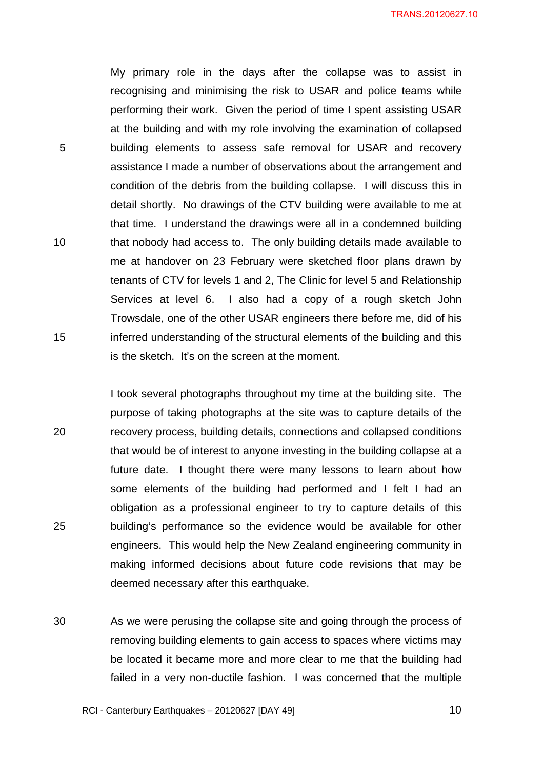My primary role in the days after the collapse was to assist in recognising and minimising the risk to USAR and police teams while performing their work. Given the period of time I spent assisting USAR at the building and with my role involving the examination of collapsed building elements to assess safe removal for USAR and recovery assistance I made a number of observations about the arrangement and condition of the debris from the building collapse. I will discuss this in detail shortly. No drawings of the CTV building were available to me at that time. I understand the drawings were all in a condemned building that nobody had access to. The only building details made available to me at handover on 23 February were sketched floor plans drawn by tenants of CTV for levels 1 and 2, The Clinic for level 5 and Relationship Services at level 6. I also had a copy of a rough sketch John Trowsdale, one of the other USAR engineers there before me, did of his inferred understanding of the structural elements of the building and this is the sketch. It's on the screen at the moment.

5

10

15

20 25 I took several photographs throughout my time at the building site. The purpose of taking photographs at the site was to capture details of the recovery process, building details, connections and collapsed conditions that would be of interest to anyone investing in the building collapse at a future date. I thought there were many lessons to learn about how some elements of the building had performed and I felt I had an obligation as a professional engineer to try to capture details of this building's performance so the evidence would be available for other engineers. This would help the New Zealand engineering community in making informed decisions about future code revisions that may be deemed necessary after this earthquake.

30 As we were perusing the collapse site and going through the process of removing building elements to gain access to spaces where victims may be located it became more and more clear to me that the building had failed in a very non-ductile fashion. I was concerned that the multiple

RCI - Canterbury Earthquakes – 20120627 [DAY 49]

 $\sim$  10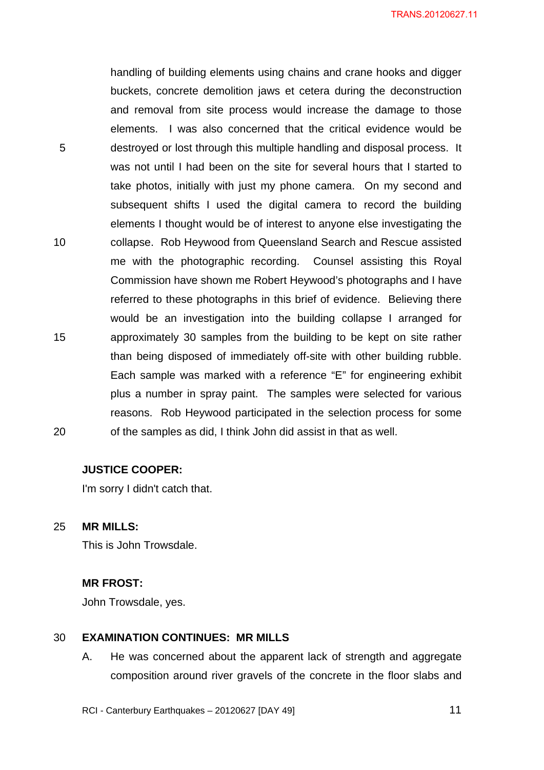5 10 15 20 handling of building elements using chains and crane hooks and digger buckets, concrete demolition jaws et cetera during the deconstruction and removal from site process would increase the damage to those elements. I was also concerned that the critical evidence would be destroyed or lost through this multiple handling and disposal process. It was not until I had been on the site for several hours that I started to take photos, initially with just my phone camera. On my second and subsequent shifts I used the digital camera to record the building elements I thought would be of interest to anyone else investigating the collapse. Rob Heywood from Queensland Search and Rescue assisted me with the photographic recording. Counsel assisting this Royal Commission have shown me Robert Heywood's photographs and I have referred to these photographs in this brief of evidence. Believing there would be an investigation into the building collapse I arranged for approximately 30 samples from the building to be kept on site rather than being disposed of immediately off-site with other building rubble. Each sample was marked with a reference "E" for engineering exhibit plus a number in spray paint. The samples were selected for various reasons. Rob Heywood participated in the selection process for some of the samples as did, I think John did assist in that as well.

#### **JUSTICE COOPER:**

I'm sorry I didn't catch that.

25 **MR MILLS:** 

This is John Trowsdale.

#### **MR FROST:**

John Trowsdale, yes.

#### 30 **EXAMINATION CONTINUES: MR MILLS**

A. He was concerned about the apparent lack of strength and aggregate composition around river gravels of the concrete in the floor slabs and

RCI - Canterbury Earthquakes – 20120627 [DAY 49]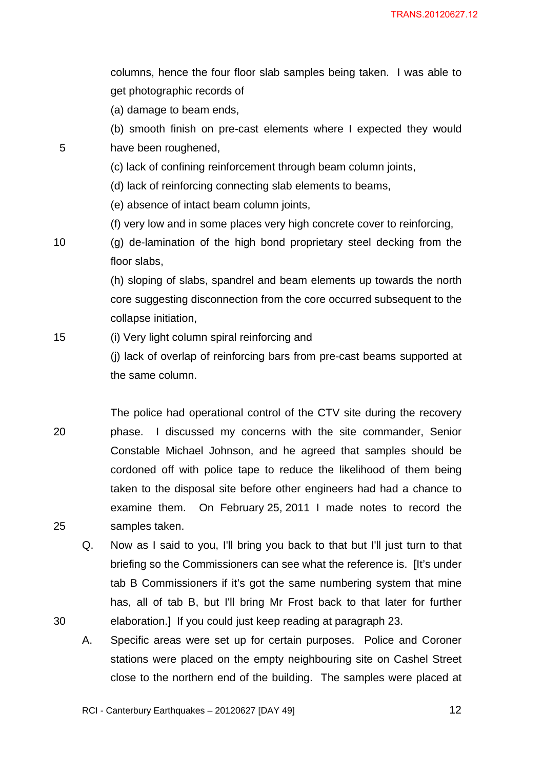columns, hence the four floor slab samples being taken. I was able to get photographic records of

(a) damage to beam ends,

(b) smooth finish on pre-cast elements where I expected they would have been roughened,

(c) lack of confining reinforcement through beam column joints,

(d) lack of reinforcing connecting slab elements to beams,

(e) absence of intact beam column joints,

(f) very low and in some places very high concrete cover to reinforcing,

(g) de-lamination of the high bond proprietary steel decking from the floor slabs,

(h) sloping of slabs, spandrel and beam elements up towards the north core suggesting disconnection from the core occurred subsequent to the collapse initiation,

15 (i) Very light column spiral reinforcing and

> (j) lack of overlap of reinforcing bars from pre-cast beams supported at the same column.

20 25 The police had operational control of the CTV site during the recovery phase. I discussed my concerns with the site commander, Senior Constable Michael Johnson, and he agreed that samples should be cordoned off with police tape to reduce the likelihood of them being taken to the disposal site before other engineers had had a chance to examine them. On February 25, 2011 I made notes to record the samples taken.

Q. Now as I said to you, I'll bring you back to that but I'll just turn to that briefing so the Commissioners can see what the reference is. [It's under tab B Commissioners if it's got the same numbering system that mine has, all of tab B, but I'll bring Mr Frost back to that later for further elaboration.] If you could just keep reading at paragraph 23.

A. Specific areas were set up for certain purposes. Police and Coroner stations were placed on the empty neighbouring site on Cashel Street close to the northern end of the building. The samples were placed at

RCI - Canterbury Earthquakes – 20120627 [DAY 49]

5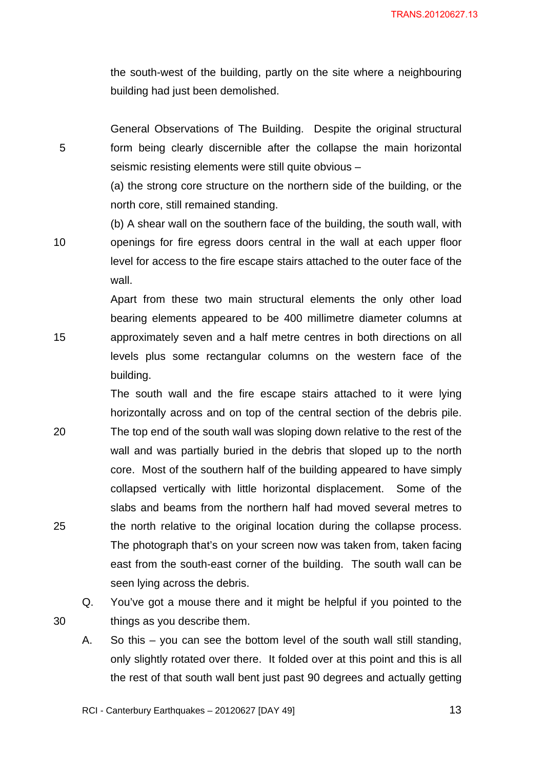the south-west of the building, partly on the site where a neighbouring building had just been demolished.

General Observations of The Building. Despite the original structural form being clearly discernible after the collapse the main horizontal seismic resisting elements were still quite obvious –

5

15

30

(a) the strong core structure on the northern side of the building, or the north core, still remained standing.

10 (b) A shear wall on the southern face of the building, the south wall, with openings for fire egress doors central in the wall at each upper floor level for access to the fire escape stairs attached to the outer face of the wall.

> Apart from these two main structural elements the only other load bearing elements appeared to be 400 millimetre diameter columns at approximately seven and a half metre centres in both directions on all levels plus some rectangular columns on the western face of the building.

20 25 The south wall and the fire escape stairs attached to it were lying horizontally across and on top of the central section of the debris pile. The top end of the south wall was sloping down relative to the rest of the wall and was partially buried in the debris that sloped up to the north core. Most of the southern half of the building appeared to have simply collapsed vertically with little horizontal displacement. Some of the slabs and beams from the northern half had moved several metres to the north relative to the original location during the collapse process. The photograph that's on your screen now was taken from, taken facing east from the south-east corner of the building. The south wall can be seen lying across the debris.

Q. You've got a mouse there and it might be helpful if you pointed to the things as you describe them.

A. So this – you can see the bottom level of the south wall still standing, only slightly rotated over there. It folded over at this point and this is all the rest of that south wall bent just past 90 degrees and actually getting

RCI - Canterbury Earthquakes – 20120627 [DAY 49]

 $\sim$  13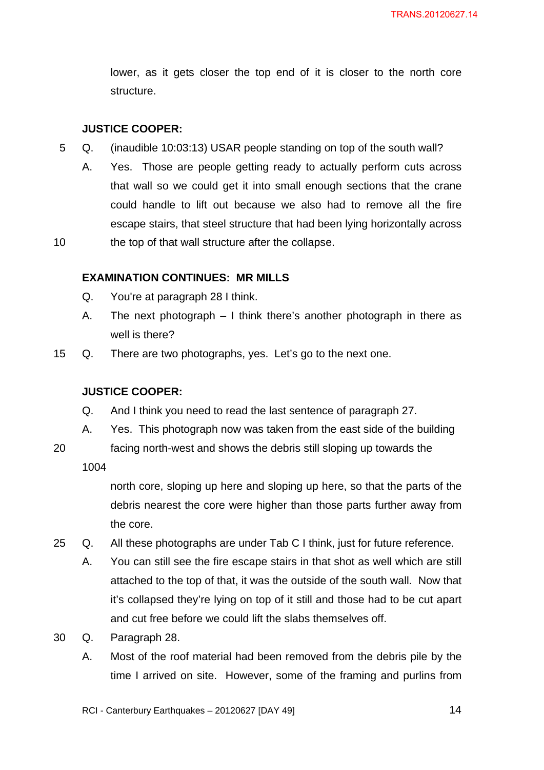lower, as it gets closer the top end of it is closer to the north core structure.

## **JUSTICE COOPER:**

- 5 Q. (inaudible 10:03:13) USAR people standing on top of the south wall?
	- A. Yes. Those are people getting ready to actually perform cuts across that wall so we could get it into small enough sections that the crane could handle to lift out because we also had to remove all the fire escape stairs, that steel structure that had been lying horizontally across the top of that wall structure after the collapse.

#### **EXAMINATION CONTINUES: MR MILLS**

- Q. You're at paragraph 28 I think.
- A. The next photograph I think there's another photograph in there as well is there?
- 15 Q. There are two photographs, yes. Let's go to the next one.

## **JUSTICE COOPER:**

- Q. And I think you need to read the last sentence of paragraph 27.
- A. Yes. This photograph now was taken from the east side of the building
- 20 facing north-west and shows the debris still sloping up towards the

1004

10

north core, sloping up here and sloping up here, so that the parts of the debris nearest the core were higher than those parts further away from the core.

- 25 Q. All these photographs are under Tab C I think, just for future reference.
	- A. You can still see the fire escape stairs in that shot as well which are still attached to the top of that, it was the outside of the south wall. Now that it's collapsed they're lying on top of it still and those had to be cut apart and cut free before we could lift the slabs themselves off.
- 30 Q. Paragraph 28.
	- A. Most of the roof material had been removed from the debris pile by the time I arrived on site. However, some of the framing and purlins from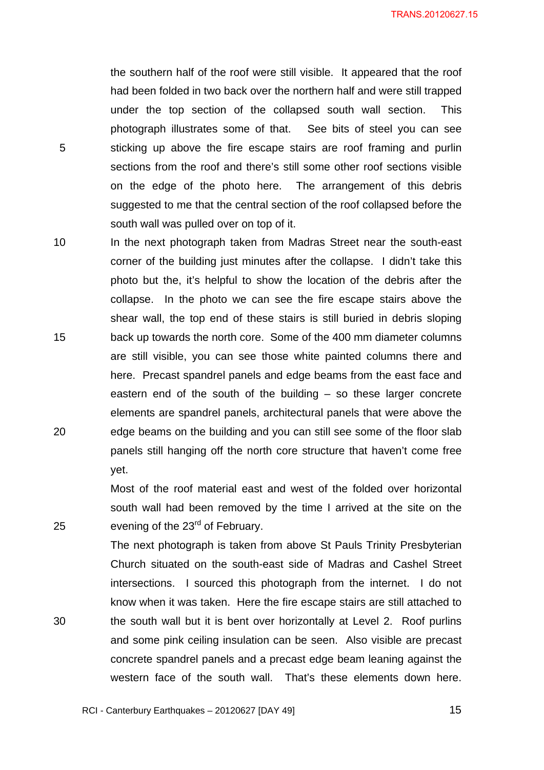the southern half of the roof were still visible. It appeared that the roof had been folded in two back over the northern half and were still trapped under the top section of the collapsed south wall section. This photograph illustrates some of that. See bits of steel you can see sticking up above the fire escape stairs are roof framing and purlin sections from the roof and there's still some other roof sections visible on the edge of the photo here. The arrangement of this debris suggested to me that the central section of the roof collapsed before the south wall was pulled over on top of it.

5

25

30

10 15 20 In the next photograph taken from Madras Street near the south-east corner of the building just minutes after the collapse. I didn't take this photo but the, it's helpful to show the location of the debris after the collapse. In the photo we can see the fire escape stairs above the shear wall, the top end of these stairs is still buried in debris sloping back up towards the north core. Some of the 400 mm diameter columns are still visible, you can see those white painted columns there and here. Precast spandrel panels and edge beams from the east face and eastern end of the south of the building – so these larger concrete elements are spandrel panels, architectural panels that were above the edge beams on the building and you can still see some of the floor slab panels still hanging off the north core structure that haven't come free yet.

> Most of the roof material east and west of the folded over horizontal south wall had been removed by the time I arrived at the site on the evening of the 23<sup>rd</sup> of February.

The next photograph is taken from above St Pauls Trinity Presbyterian Church situated on the south-east side of Madras and Cashel Street intersections. I sourced this photograph from the internet. I do not know when it was taken. Here the fire escape stairs are still attached to the south wall but it is bent over horizontally at Level 2. Roof purlins and some pink ceiling insulation can be seen. Also visible are precast concrete spandrel panels and a precast edge beam leaning against the western face of the south wall. That's these elements down here.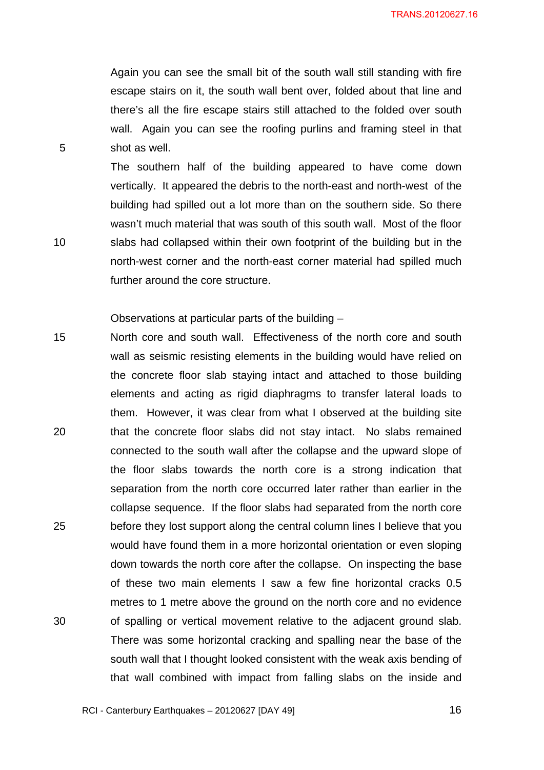Again you can see the small bit of the south wall still standing with fire escape stairs on it, the south wall bent over, folded about that line and there's all the fire escape stairs still attached to the folded over south wall. Again you can see the roofing purlins and framing steel in that shot as well.

The southern half of the building appeared to have come down vertically. It appeared the debris to the north-east and north-west of the building had spilled out a lot more than on the southern side. So there wasn't much material that was south of this south wall. Most of the floor slabs had collapsed within their own footprint of the building but in the north-west corner and the north-east corner material had spilled much further around the core structure.

Observations at particular parts of the building –

5

10

15 20 25 30 North core and south wall. Effectiveness of the north core and south wall as seismic resisting elements in the building would have relied on the concrete floor slab staying intact and attached to those building elements and acting as rigid diaphragms to transfer lateral loads to them. However, it was clear from what I observed at the building site that the concrete floor slabs did not stay intact. No slabs remained connected to the south wall after the collapse and the upward slope of the floor slabs towards the north core is a strong indication that separation from the north core occurred later rather than earlier in the collapse sequence. If the floor slabs had separated from the north core before they lost support along the central column lines I believe that you would have found them in a more horizontal orientation or even sloping down towards the north core after the collapse. On inspecting the base of these two main elements I saw a few fine horizontal cracks 0.5 metres to 1 metre above the ground on the north core and no evidence of spalling or vertical movement relative to the adjacent ground slab. There was some horizontal cracking and spalling near the base of the south wall that I thought looked consistent with the weak axis bending of that wall combined with impact from falling slabs on the inside and

 $\sim$  16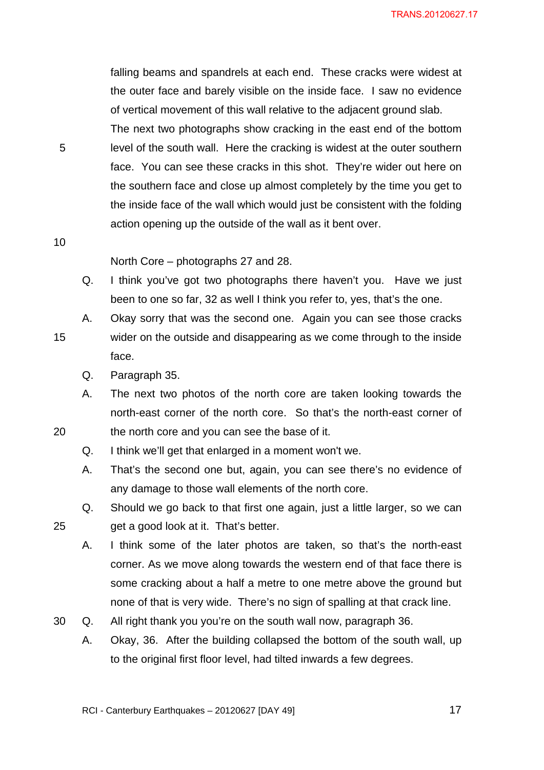falling beams and spandrels at each end. These cracks were widest at the outer face and barely visible on the inside face. I saw no evidence of vertical movement of this wall relative to the adjacent ground slab. The next two photographs show cracking in the east end of the bottom level of the south wall. Here the cracking is widest at the outer southern face. You can see these cracks in this shot. They're wider out here on the southern face and close up almost completely by the time you get to the inside face of the wall which would just be consistent with the folding action opening up the outside of the wall as it bent over.

10

5

North Core – photographs 27 and 28.

- Q. I think you've got two photographs there haven't you. Have we just been to one so far, 32 as well I think you refer to, yes, that's the one.
- 15 A. Okay sorry that was the second one. Again you can see those cracks wider on the outside and disappearing as we come through to the inside face.
	- Q. Paragraph 35.
	- A. The next two photos of the north core are taken looking towards the north-east corner of the north core. So that's the north-east corner of the north core and you can see the base of it.
	- Q. I think we'll get that enlarged in a moment won't we.
	- A. That's the second one but, again, you can see there's no evidence of any damage to those wall elements of the north core.
	- Q. Should we go back to that first one again, just a little larger, so we can get a good look at it. That's better.
	- A. I think some of the later photos are taken, so that's the north-east corner. As we move along towards the western end of that face there is some cracking about a half a metre to one metre above the ground but none of that is very wide. There's no sign of spalling at that crack line.
- 30 Q. All right thank you you're on the south wall now, paragraph 36.
	- A. Okay, 36. After the building collapsed the bottom of the south wall, up to the original first floor level, had tilted inwards a few degrees.

25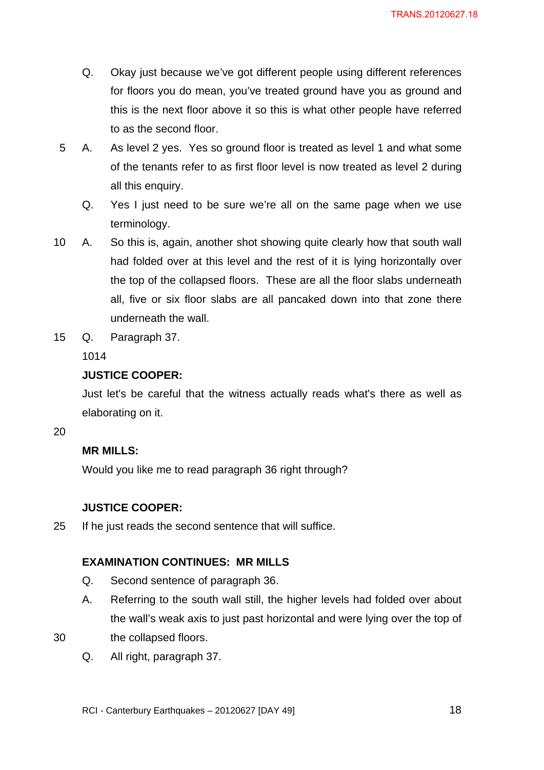- Q. Okay just because we've got different people using different references for floors you do mean, you've treated ground have you as ground and this is the next floor above it so this is what other people have referred to as the second floor.
- 5 A. As level 2 yes. Yes so ground floor is treated as level 1 and what some of the tenants refer to as first floor level is now treated as level 2 during all this enquiry.
	- Q. Yes I just need to be sure we're all on the same page when we use terminology.
- 10 A. So this is, again, another shot showing quite clearly how that south wall had folded over at this level and the rest of it is lying horizontally over the top of the collapsed floors. These are all the floor slabs underneath all, five or six floor slabs are all pancaked down into that zone there underneath the wall.
- 15 Q. Paragraph 37.

1014

## **JUSTICE COOPER:**

Just let's be careful that the witness actually reads what's there as well as elaborating on it.

20

## **MR MILLS:**

Would you like me to read paragraph 36 right through?

## **JUSTICE COOPER:**

25 If he just reads the second sentence that will suffice.

## **EXAMINATION CONTINUES: MR MILLS**

- Q. Second sentence of paragraph 36.
- A. Referring to the south wall still, the higher levels had folded over about the wall's weak axis to just past horizontal and were lying over the top of
- 30 the collapsed floors.
	- Q. All right, paragraph 37.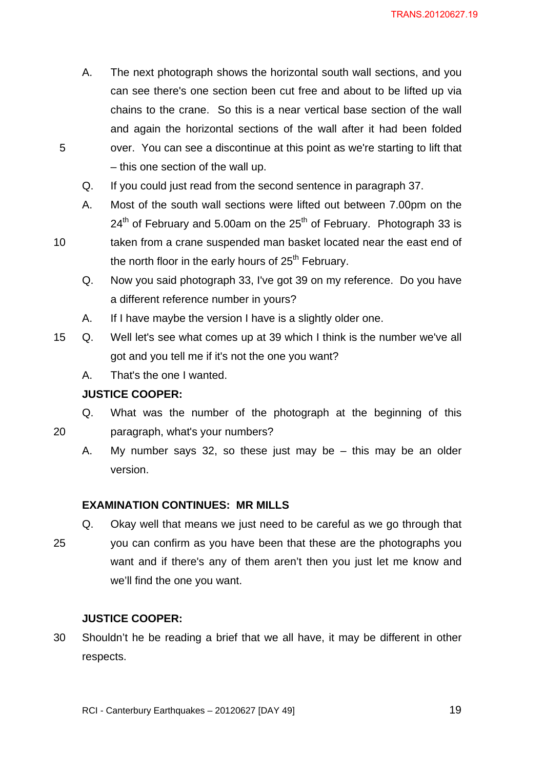- A. The next photograph shows the horizontal south wall sections, and you can see there's one section been cut free and about to be lifted up via chains to the crane. So this is a near vertical base section of the wall and again the horizontal sections of the wall after it had been folded over. You can see a discontinue at this point as we're starting to lift that – this one section of the wall up.
- Q. If you could just read from the second sentence in paragraph 37.
- A. Most of the south wall sections were lifted out between 7.00pm on the  $24<sup>th</sup>$  of February and 5.00am on the 25<sup>th</sup> of February. Photograph 33 is
- 10 taken from a crane suspended man basket located near the east end of the north floor in the early hours of  $25<sup>th</sup>$  February.
	- Q. Now you said photograph 33, I've got 39 on my reference. Do you have a different reference number in yours?
	- A. If I have maybe the version I have is a slightly older one.
- 15 Q. Well let's see what comes up at 39 which I think is the number we've all got and you tell me if it's not the one you want?
	- A. That's the one I wanted.

## **JUSTICE COOPER:**

5

20

- Q. What was the number of the photograph at the beginning of this paragraph, what's your numbers?
	- A. My number says 32, so these just may be this may be an older version.

#### **EXAMINATION CONTINUES: MR MILLS**

- Q. Okay well that means we just need to be careful as we go through that
- 25 you can confirm as you have been that these are the photographs you want and if there's any of them aren't then you just let me know and we'll find the one you want.

## **JUSTICE COOPER:**

30 Shouldn't he be reading a brief that we all have, it may be different in other respects.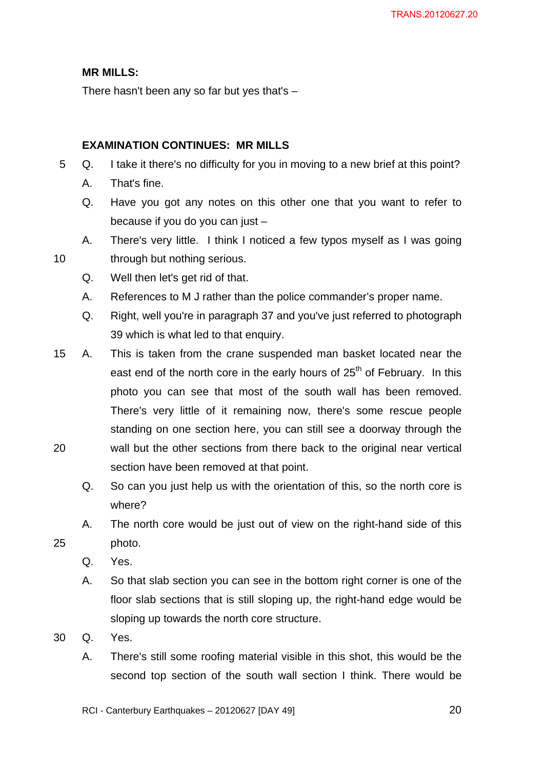## **MR MILLS:**

There hasn't been any so far but yes that's  $-$ 

## **EXAMINATION CONTINUES: MR MILLS**

- 5 Q. I take it there's no difficulty for you in moving to a new brief at this point?
	- A. That's fine.

10

- Q. Have you got any notes on this other one that you want to refer to because if you do you can just –
- A. There's very little. I think I noticed a few typos myself as I was going through but nothing serious.
- Q. Well then let's get rid of that.
- A. References to M J rather than the police commander's proper name.
- Q. Right, well you're in paragraph 37 and you've just referred to photograph 39 which is what led to that enquiry.
- 20 15 A. This is taken from the crane suspended man basket located near the east end of the north core in the early hours of  $25<sup>th</sup>$  of February. In this photo you can see that most of the south wall has been removed. There's very little of it remaining now, there's some rescue people standing on one section here, you can still see a doorway through the wall but the other sections from there back to the original near vertical section have been removed at that point.
	- Q. So can you just help us with the orientation of this, so the north core is where?
	- A. The north core would be just out of view on the right-hand side of this photo.
		- Q. Yes.

- A. So that slab section you can see in the bottom right corner is one of the floor slab sections that is still sloping up, the right-hand edge would be sloping up towards the north core structure.
- 30 Q. Yes.
	- A. There's still some roofing material visible in this shot, this would be the second top section of the south wall section I think. There would be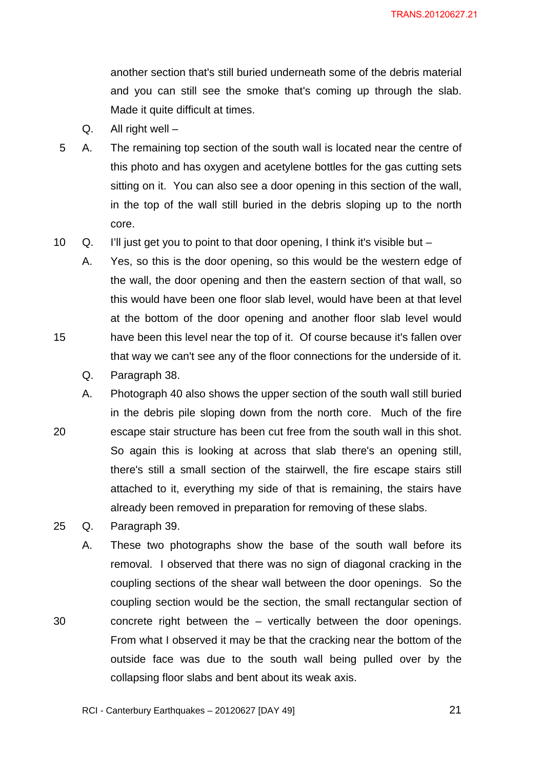another section that's still buried underneath some of the debris material and you can still see the smoke that's coming up through the slab. Made it quite difficult at times.

- Q. All right well –
- 5 A. The remaining top section of the south wall is located near the centre of this photo and has oxygen and acetylene bottles for the gas cutting sets sitting on it. You can also see a door opening in this section of the wall, in the top of the wall still buried in the debris sloping up to the north core.
- 10 Q. I'll just get you to point to that door opening, I think it's visible but –

A. Yes, so this is the door opening, so this would be the western edge of the wall, the door opening and then the eastern section of that wall, so this would have been one floor slab level, would have been at that level at the bottom of the door opening and another floor slab level would have been this level near the top of it. Of course because it's fallen over that way we can't see any of the floor connections for the underside of it.

Q. Paragraph 38.

15

30

20 A. Photograph 40 also shows the upper section of the south wall still buried in the debris pile sloping down from the north core. Much of the fire escape stair structure has been cut free from the south wall in this shot. So again this is looking at across that slab there's an opening still, there's still a small section of the stairwell, the fire escape stairs still attached to it, everything my side of that is remaining, the stairs have already been removed in preparation for removing of these slabs.

25 Q. Paragraph 39.

A. These two photographs show the base of the south wall before its removal. I observed that there was no sign of diagonal cracking in the coupling sections of the shear wall between the door openings. So the coupling section would be the section, the small rectangular section of concrete right between the – vertically between the door openings. From what I observed it may be that the cracking near the bottom of the outside face was due to the south wall being pulled over by the collapsing floor slabs and bent about its weak axis.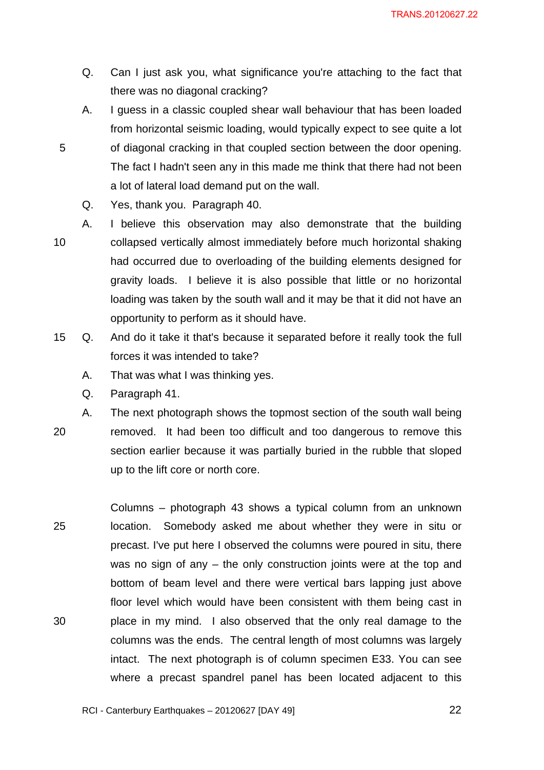- Q. Can I just ask you, what significance you're attaching to the fact that there was no diagonal cracking?
- A. I guess in a classic coupled shear wall behaviour that has been loaded from horizontal seismic loading, would typically expect to see quite a lot of diagonal cracking in that coupled section between the door opening. The fact I hadn't seen any in this made me think that there had not been a lot of lateral load demand put on the wall.
	- Q. Yes, thank you. Paragraph 40.
- 10 A. I believe this observation may also demonstrate that the building collapsed vertically almost immediately before much horizontal shaking had occurred due to overloading of the building elements designed for gravity loads. I believe it is also possible that little or no horizontal loading was taken by the south wall and it may be that it did not have an opportunity to perform as it should have.
- 15 Q. And do it take it that's because it separated before it really took the full forces it was intended to take?
	- A. That was what I was thinking yes.
	- Q. Paragraph 41.

5

20 A. The next photograph shows the topmost section of the south wall being removed. It had been too difficult and too dangerous to remove this section earlier because it was partially buried in the rubble that sloped up to the lift core or north core.

25 30 Columns – photograph 43 shows a typical column from an unknown location. Somebody asked me about whether they were in situ or precast. I've put here I observed the columns were poured in situ, there was no sign of any – the only construction joints were at the top and bottom of beam level and there were vertical bars lapping just above floor level which would have been consistent with them being cast in place in my mind. I also observed that the only real damage to the columns was the ends. The central length of most columns was largely intact. The next photograph is of column specimen E33. You can see where a precast spandrel panel has been located adjacent to this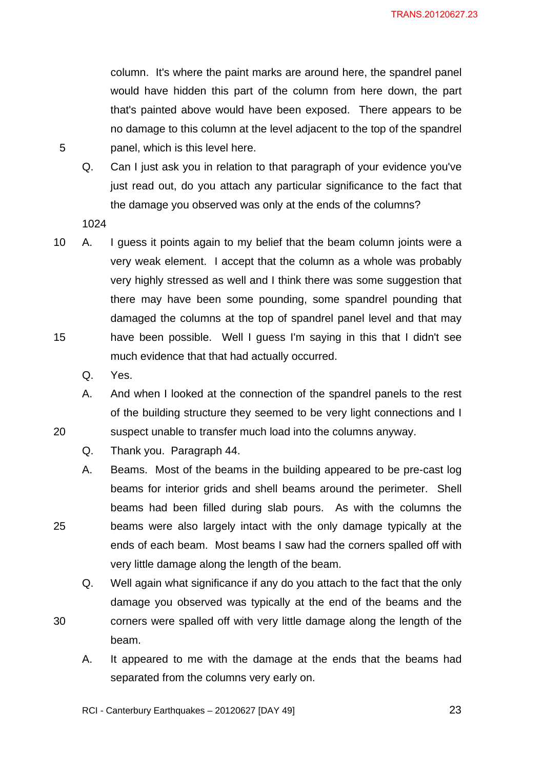column. It's where the paint marks are around here, the spandrel panel would have hidden this part of the column from here down, the part that's painted above would have been exposed. There appears to be no damage to this column at the level adjacent to the top of the spandrel panel, which is this level here.

Q. Can I just ask you in relation to that paragraph of your evidence you've just read out, do you attach any particular significance to the fact that the damage you observed was only at the ends of the columns?

1024

5

- 15 10 A. I guess it points again to my belief that the beam column joints were a very weak element. I accept that the column as a whole was probably very highly stressed as well and I think there was some suggestion that there may have been some pounding, some spandrel pounding that damaged the columns at the top of spandrel panel level and that may have been possible. Well I guess I'm saying in this that I didn't see much evidence that that had actually occurred.
	- Q. Yes.

20

25

30

- A. And when I looked at the connection of the spandrel panels to the rest of the building structure they seemed to be very light connections and I suspect unable to transfer much load into the columns anyway.
- Q. Thank you. Paragraph 44.
- A. Beams. Most of the beams in the building appeared to be pre-cast log beams for interior grids and shell beams around the perimeter. Shell beams had been filled during slab pours. As with the columns the beams were also largely intact with the only damage typically at the ends of each beam. Most beams I saw had the corners spalled off with very little damage along the length of the beam.
- Q. Well again what significance if any do you attach to the fact that the only damage you observed was typically at the end of the beams and the corners were spalled off with very little damage along the length of the beam.
	- A. It appeared to me with the damage at the ends that the beams had separated from the columns very early on.

RCI - Canterbury Earthquakes – 20120627 [DAY 49]

 $\sim$  23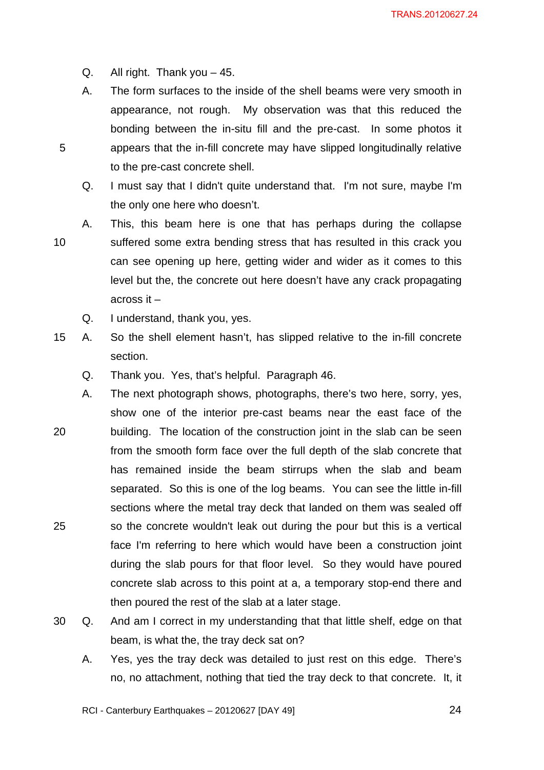Q. All right. Thank you – 45.

5

- A. The form surfaces to the inside of the shell beams were very smooth in appearance, not rough. My observation was that this reduced the bonding between the in-situ fill and the pre-cast. In some photos it appears that the in-fill concrete may have slipped longitudinally relative to the pre-cast concrete shell.
- Q. I must say that I didn't quite understand that. I'm not sure, maybe I'm the only one here who doesn't.
- 10 A. This, this beam here is one that has perhaps during the collapse suffered some extra bending stress that has resulted in this crack you can see opening up here, getting wider and wider as it comes to this level but the, the concrete out here doesn't have any crack propagating across it –
	- Q. I understand, thank you, yes.
- 15 A. So the shell element hasn't, has slipped relative to the in-fill concrete section.
	- Q. Thank you. Yes, that's helpful. Paragraph 46.
- 20 25 A. The next photograph shows, photographs, there's two here, sorry, yes, show one of the interior pre-cast beams near the east face of the building. The location of the construction joint in the slab can be seen from the smooth form face over the full depth of the slab concrete that has remained inside the beam stirrups when the slab and beam separated. So this is one of the log beams. You can see the little in-fill sections where the metal tray deck that landed on them was sealed off so the concrete wouldn't leak out during the pour but this is a vertical face I'm referring to here which would have been a construction joint during the slab pours for that floor level. So they would have poured concrete slab across to this point at a, a temporary stop-end there and then poured the rest of the slab at a later stage.
- 30 Q. And am I correct in my understanding that that little shelf, edge on that beam, is what the, the tray deck sat on?
	- A. Yes, yes the tray deck was detailed to just rest on this edge. There's no, no attachment, nothing that tied the tray deck to that concrete. It, it

RCI - Canterbury Earthquakes – 20120627 [DAY 49]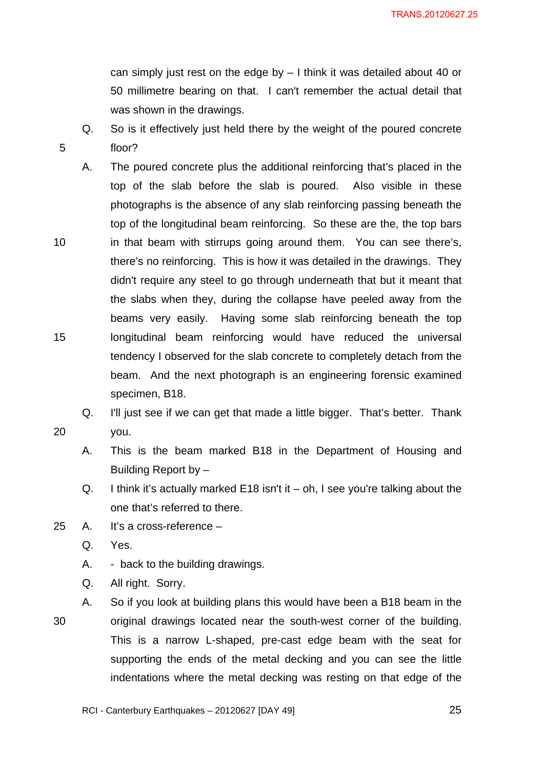can simply just rest on the edge by – I think it was detailed about 40 or 50 millimetre bearing on that. I can't remember the actual detail that was shown in the drawings.

Q. So is it effectively just held there by the weight of the poured concrete floor?

- 10 15 A. The poured concrete plus the additional reinforcing that's placed in the top of the slab before the slab is poured. Also visible in these photographs is the absence of any slab reinforcing passing beneath the top of the longitudinal beam reinforcing. So these are the, the top bars in that beam with stirrups going around them. You can see there's, there's no reinforcing. This is how it was detailed in the drawings. They didn't require any steel to go through underneath that but it meant that the slabs when they, during the collapse have peeled away from the beams very easily. Having some slab reinforcing beneath the top longitudinal beam reinforcing would have reduced the universal tendency I observed for the slab concrete to completely detach from the beam. And the next photograph is an engineering forensic examined specimen, B18.
	- Q. I'll just see if we can get that made a little bigger. That's better. Thank you.
- - A. This is the beam marked B18 in the Department of Housing and Building Report by –
	- Q. I think it's actually marked E18 isn't it oh, I see you're talking about the one that's referred to there.
- 25 A. It's a cross-reference
	- Q. Yes.

5

- A. back to the building drawings.
- Q. All right. Sorry.
- 30 A. So if you look at building plans this would have been a B18 beam in the original drawings located near the south-west corner of the building. This is a narrow L-shaped, pre-cast edge beam with the seat for supporting the ends of the metal decking and you can see the little indentations where the metal decking was resting on that edge of the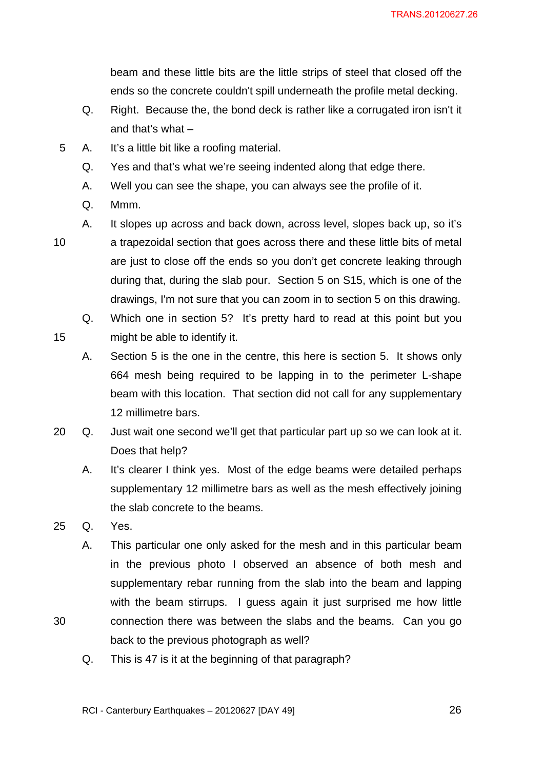beam and these little bits are the little strips of steel that closed off the ends so the concrete couldn't spill underneath the profile metal decking.

- Q. Right. Because the, the bond deck is rather like a corrugated iron isn't it and that's what –
- 5 A. It's a little bit like a roofing material.
	- Q. Yes and that's what we're seeing indented along that edge there.
	- A. Well you can see the shape, you can always see the profile of it.
	- Q. Mmm.

15

- 10
	- a trapezoidal section that goes across there and these little bits of metal are just to close off the ends so you don't get concrete leaking through during that, during the slab pour. Section 5 on S15, which is one of the drawings, I'm not sure that you can zoom in to section 5 on this drawing.

A. It slopes up across and back down, across level, slopes back up, so it's

Q. Which one in section 5? It's pretty hard to read at this point but you might be able to identify it.

- A. Section 5 is the one in the centre, this here is section 5. It shows only 664 mesh being required to be lapping in to the perimeter L-shape beam with this location. That section did not call for any supplementary 12 millimetre bars.
- 20 Q. Just wait one second we'll get that particular part up so we can look at it. Does that help?
	- A. It's clearer I think yes. Most of the edge beams were detailed perhaps supplementary 12 millimetre bars as well as the mesh effectively joining the slab concrete to the beams.
- 25 Q. Yes.

- A. This particular one only asked for the mesh and in this particular beam in the previous photo I observed an absence of both mesh and supplementary rebar running from the slab into the beam and lapping with the beam stirrups. I guess again it just surprised me how little connection there was between the slabs and the beams. Can you go back to the previous photograph as well?
- Q. This is 47 is it at the beginning of that paragraph?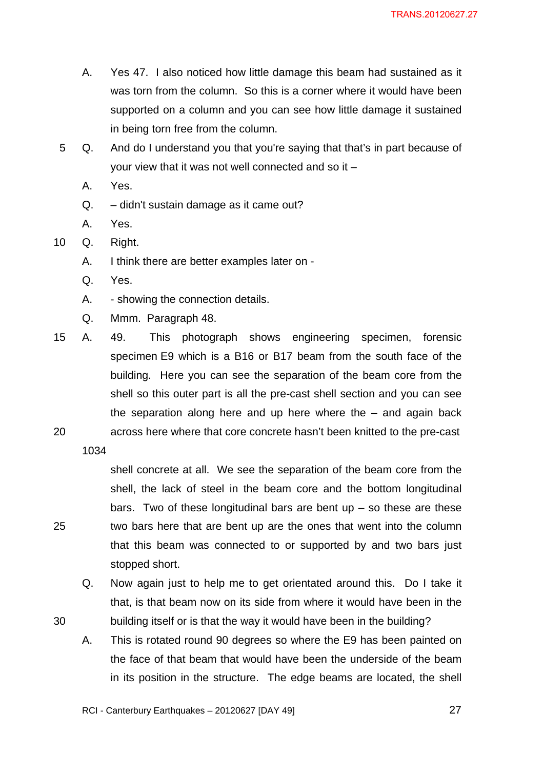- A. Yes 47. I also noticed how little damage this beam had sustained as it was torn from the column. So this is a corner where it would have been supported on a column and you can see how little damage it sustained in being torn free from the column.
- 5 Q. And do I understand you that you're saying that that's in part because of your view that it was not well connected and so it –
	- A. Yes.
	- Q. didn't sustain damage as it came out?
	- A. Yes.
- 10 Q. Right.
	- A. I think there are better examples later on -
	- Q. Yes.
	- A. showing the connection details.
	- Q. Mmm. Paragraph 48.
- 20 15 A. 49. This photograph shows engineering specimen, forensic specimen E9 which is a B16 or B17 beam from the south face of the building. Here you can see the separation of the beam core from the shell so this outer part is all the pre-cast shell section and you can see the separation along here and up here where the – and again back across here where that core concrete hasn't been knitted to the pre-cast

1034

25

30

shell concrete at all. We see the separation of the beam core from the shell, the lack of steel in the beam core and the bottom longitudinal bars. Two of these longitudinal bars are bent  $up - so$  these are these two bars here that are bent up are the ones that went into the column that this beam was connected to or supported by and two bars just stopped short.

- Q. Now again just to help me to get orientated around this. Do I take it that, is that beam now on its side from where it would have been in the building itself or is that the way it would have been in the building?
- A. This is rotated round 90 degrees so where the E9 has been painted on the face of that beam that would have been the underside of the beam in its position in the structure. The edge beams are located, the shell

RCI - Canterbury Earthquakes – 20120627 [DAY 49]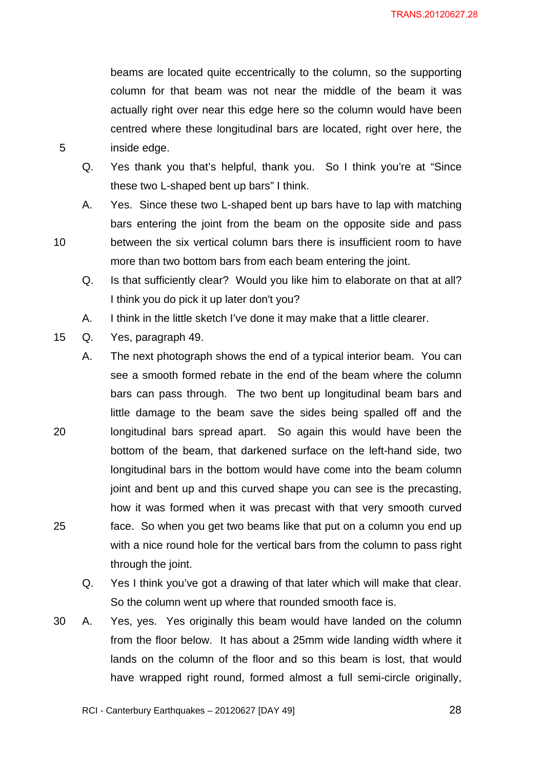beams are located quite eccentrically to the column, so the supporting column for that beam was not near the middle of the beam it was actually right over near this edge here so the column would have been centred where these longitudinal bars are located, right over here, the inside edge.

- Q. Yes thank you that's helpful, thank you. So I think you're at "Since these two L-shaped bent up bars" I think.
- A. Yes. Since these two L-shaped bent up bars have to lap with matching bars entering the joint from the beam on the opposite side and pass between the six vertical column bars there is insufficient room to have more than two bottom bars from each beam entering the joint.
- Q. Is that sufficiently clear? Would you like him to elaborate on that at all? I think you do pick it up later don't you?
- A. I think in the little sketch I've done it may make that a little clearer.
- 15 Q. Yes, paragraph 49.

5

10

20 25 A. The next photograph shows the end of a typical interior beam. You can see a smooth formed rebate in the end of the beam where the column bars can pass through. The two bent up longitudinal beam bars and little damage to the beam save the sides being spalled off and the longitudinal bars spread apart. So again this would have been the bottom of the beam, that darkened surface on the left-hand side, two longitudinal bars in the bottom would have come into the beam column joint and bent up and this curved shape you can see is the precasting, how it was formed when it was precast with that very smooth curved face. So when you get two beams like that put on a column you end up with a nice round hole for the vertical bars from the column to pass right through the joint.

- Q. Yes I think you've got a drawing of that later which will make that clear. So the column went up where that rounded smooth face is.
- 30 A. Yes, yes. Yes originally this beam would have landed on the column from the floor below. It has about a 25mm wide landing width where it lands on the column of the floor and so this beam is lost, that would have wrapped right round, formed almost a full semi-circle originally,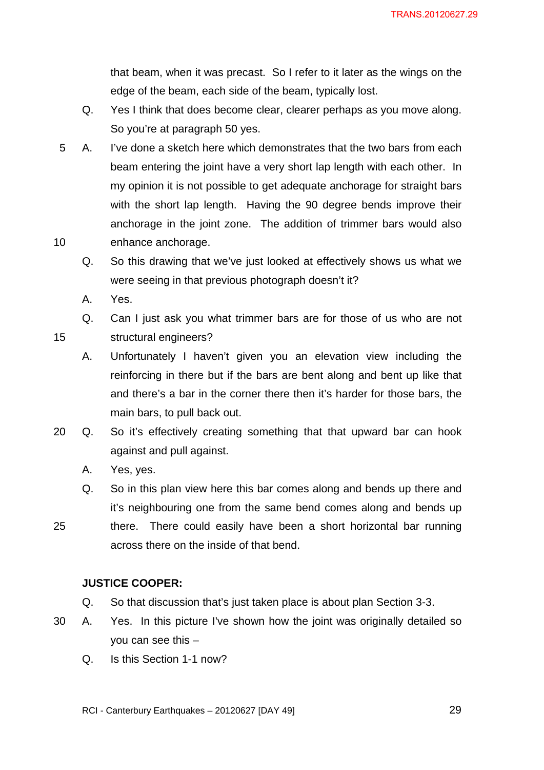that beam, when it was precast. So I refer to it later as the wings on the edge of the beam, each side of the beam, typically lost.

- Q. Yes I think that does become clear, clearer perhaps as you move along. So you're at paragraph 50 yes.
- 10 5 A. I've done a sketch here which demonstrates that the two bars from each beam entering the joint have a very short lap length with each other. In my opinion it is not possible to get adequate anchorage for straight bars with the short lap length. Having the 90 degree bends improve their anchorage in the joint zone. The addition of trimmer bars would also enhance anchorage.
	- Q. So this drawing that we've just looked at effectively shows us what we were seeing in that previous photograph doesn't it?
	- A. Yes.

15

Q. Can I just ask you what trimmer bars are for those of us who are not structural engineers?

A. Unfortunately I haven't given you an elevation view including the reinforcing in there but if the bars are bent along and bent up like that and there's a bar in the corner there then it's harder for those bars, the main bars, to pull back out.

- 20 Q. So it's effectively creating something that that upward bar can hook against and pull against.
	- A. Yes, yes.
	- Q. So in this plan view here this bar comes along and bends up there and it's neighbouring one from the same bend comes along and bends up
- 25 there. There could easily have been a short horizontal bar running across there on the inside of that bend.

## **JUSTICE COOPER:**

- Q. So that discussion that's just taken place is about plan Section 3-3.
- 30 A. Yes. In this picture I've shown how the joint was originally detailed so you can see this –
	- Q. Is this Section 1-1 now?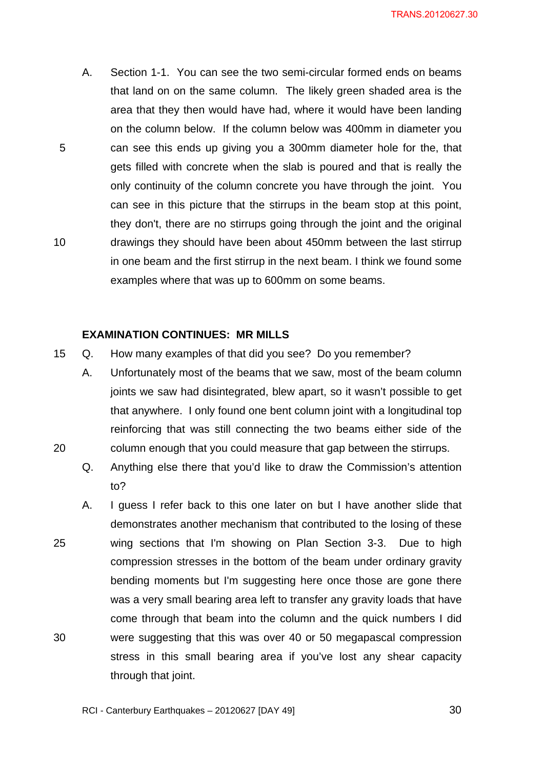A. Section 1-1. You can see the two semi-circular formed ends on beams that land on on the same column. The likely green shaded area is the area that they then would have had, where it would have been landing on the column below. If the column below was 400mm in diameter you can see this ends up giving you a 300mm diameter hole for the, that gets filled with concrete when the slab is poured and that is really the only continuity of the column concrete you have through the joint. You can see in this picture that the stirrups in the beam stop at this point, they don't, there are no stirrups going through the joint and the original drawings they should have been about 450mm between the last stirrup in one beam and the first stirrup in the next beam. I think we found some examples where that was up to 600mm on some beams.

#### **EXAMINATION CONTINUES: MR MILLS**

5

10

- 15 Q. How many examples of that did you see? Do you remember?
	- A. Unfortunately most of the beams that we saw, most of the beam column joints we saw had disintegrated, blew apart, so it wasn't possible to get that anywhere. I only found one bent column joint with a longitudinal top reinforcing that was still connecting the two beams either side of the column enough that you could measure that gap between the stirrups.
	- Q. Anything else there that you'd like to draw the Commission's attention to?
- 25 30 A. I guess I refer back to this one later on but I have another slide that demonstrates another mechanism that contributed to the losing of these wing sections that I'm showing on Plan Section 3-3. Due to high compression stresses in the bottom of the beam under ordinary gravity bending moments but I'm suggesting here once those are gone there was a very small bearing area left to transfer any gravity loads that have come through that beam into the column and the quick numbers I did were suggesting that this was over 40 or 50 megapascal compression stress in this small bearing area if you've lost any shear capacity through that joint.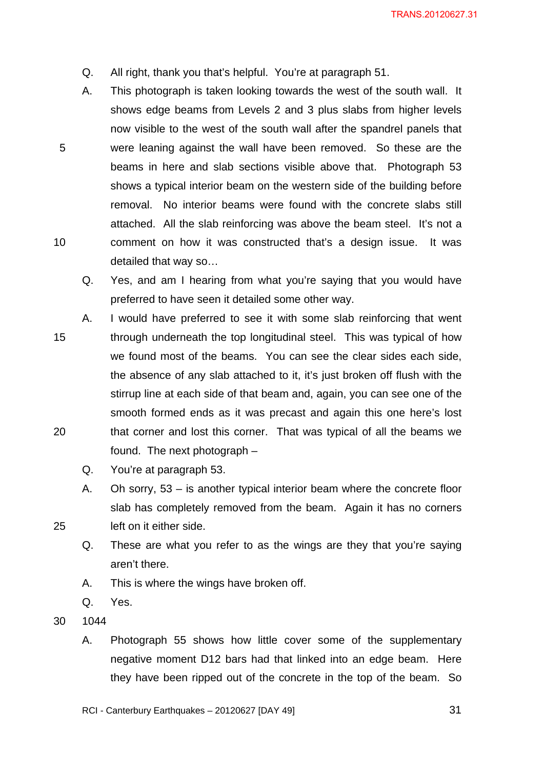- Q. All right, thank you that's helpful. You're at paragraph 51.
- A. This photograph is taken looking towards the west of the south wall. It shows edge beams from Levels 2 and 3 plus slabs from higher levels now visible to the west of the south wall after the spandrel panels that were leaning against the wall have been removed. So these are the beams in here and slab sections visible above that. Photograph 53 shows a typical interior beam on the western side of the building before removal. No interior beams were found with the concrete slabs still attached. All the slab reinforcing was above the beam steel. It's not a comment on how it was constructed that's a design issue. It was detailed that way so…
	- Q. Yes, and am I hearing from what you're saying that you would have preferred to have seen it detailed some other way.
- 15 20 A. I would have preferred to see it with some slab reinforcing that went through underneath the top longitudinal steel. This was typical of how we found most of the beams. You can see the clear sides each side, the absence of any slab attached to it, it's just broken off flush with the stirrup line at each side of that beam and, again, you can see one of the smooth formed ends as it was precast and again this one here's lost that corner and lost this corner. That was typical of all the beams we found. The next photograph –
	- Q. You're at paragraph 53.
	- A. Oh sorry, 53 is another typical interior beam where the concrete floor slab has completely removed from the beam. Again it has no corners left on it either side.
	- Q. These are what you refer to as the wings are they that you're saying aren't there.
	- A. This is where the wings have broken off.
	- Q. Yes.
- 30 1044

25

5

10

A. Photograph 55 shows how little cover some of the supplementary negative moment D12 bars had that linked into an edge beam. Here they have been ripped out of the concrete in the top of the beam. So

RCI - Canterbury Earthquakes – 20120627 [DAY 49]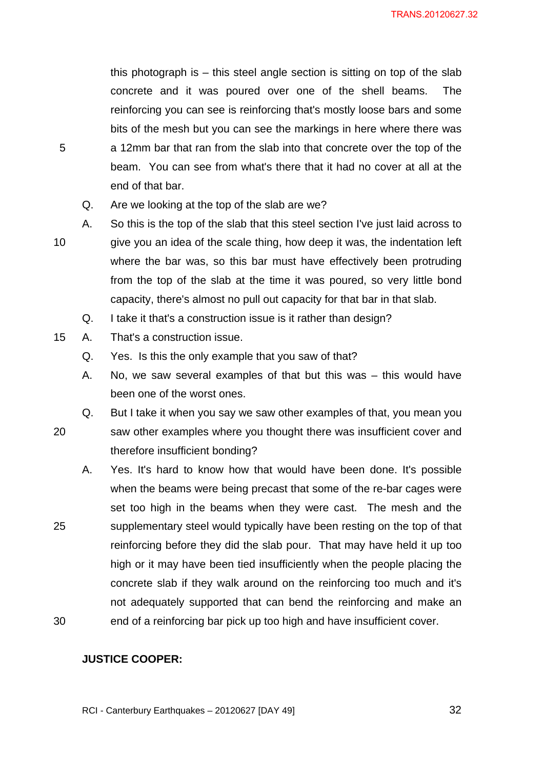this photograph is – this steel angle section is sitting on top of the slab concrete and it was poured over one of the shell beams. The reinforcing you can see is reinforcing that's mostly loose bars and some bits of the mesh but you can see the markings in here where there was a 12mm bar that ran from the slab into that concrete over the top of the beam. You can see from what's there that it had no cover at all at the end of that bar.

- Q. Are we looking at the top of the slab are we?
- 10 A. So this is the top of the slab that this steel section I've just laid across to give you an idea of the scale thing, how deep it was, the indentation left where the bar was, so this bar must have effectively been protruding from the top of the slab at the time it was poured, so very little bond capacity, there's almost no pull out capacity for that bar in that slab.
	- Q. I take it that's a construction issue is it rather than design?
- 15 A. That's a construction issue.

5

20

Q. Yes. Is this the only example that you saw of that?

therefore insufficient bonding?

- A. No, we saw several examples of that but this was this would have been one of the worst ones.
- Q. But I take it when you say we saw other examples of that, you mean you saw other examples where you thought there was insufficient cover and
- 25 30 A. Yes. It's hard to know how that would have been done. It's possible when the beams were being precast that some of the re-bar cages were set too high in the beams when they were cast. The mesh and the supplementary steel would typically have been resting on the top of that reinforcing before they did the slab pour. That may have held it up too high or it may have been tied insufficiently when the people placing the concrete slab if they walk around on the reinforcing too much and it's not adequately supported that can bend the reinforcing and make an end of a reinforcing bar pick up too high and have insufficient cover.

#### **JUSTICE COOPER:**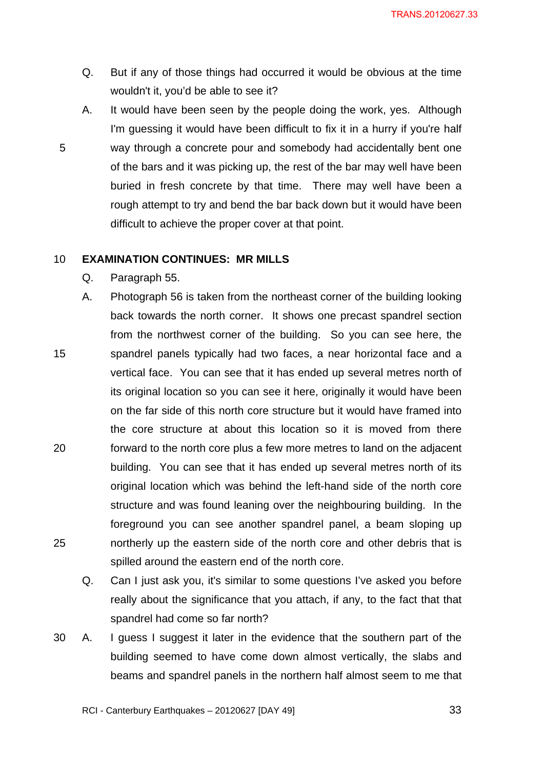- Q. But if any of those things had occurred it would be obvious at the time wouldn't it, you'd be able to see it?
- A. It would have been seen by the people doing the work, yes. Although I'm guessing it would have been difficult to fix it in a hurry if you're half way through a concrete pour and somebody had accidentally bent one of the bars and it was picking up, the rest of the bar may well have been buried in fresh concrete by that time. There may well have been a rough attempt to try and bend the bar back down but it would have been difficult to achieve the proper cover at that point.

#### 10 **EXAMINATION CONTINUES: MR MILLS**

Q. Paragraph 55.

- 15 20 25 A. Photograph 56 is taken from the northeast corner of the building looking back towards the north corner. It shows one precast spandrel section from the northwest corner of the building. So you can see here, the spandrel panels typically had two faces, a near horizontal face and a vertical face. You can see that it has ended up several metres north of its original location so you can see it here, originally it would have been on the far side of this north core structure but it would have framed into the core structure at about this location so it is moved from there forward to the north core plus a few more metres to land on the adjacent building. You can see that it has ended up several metres north of its original location which was behind the left-hand side of the north core structure and was found leaning over the neighbouring building. In the foreground you can see another spandrel panel, a beam sloping up northerly up the eastern side of the north core and other debris that is spilled around the eastern end of the north core.
	- Q. Can I just ask you, it's similar to some questions I've asked you before really about the significance that you attach, if any, to the fact that that spandrel had come so far north?
- 30 A. I guess I suggest it later in the evidence that the southern part of the building seemed to have come down almost vertically, the slabs and beams and spandrel panels in the northern half almost seem to me that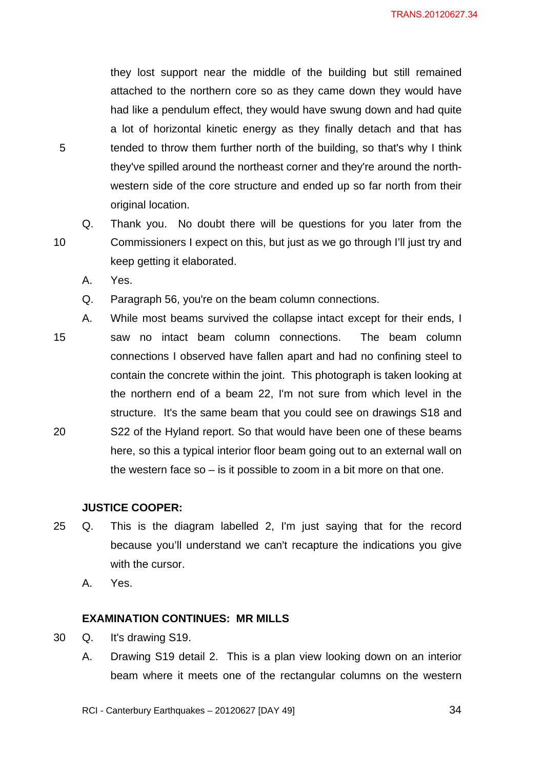they lost support near the middle of the building but still remained attached to the northern core so as they came down they would have had like a pendulum effect, they would have swung down and had quite a lot of horizontal kinetic energy as they finally detach and that has tended to throw them further north of the building, so that's why I think they've spilled around the northeast corner and they're around the northwestern side of the core structure and ended up so far north from their original location.

10 Q. Thank you. No doubt there will be questions for you later from the Commissioners I expect on this, but just as we go through I'll just try and keep getting it elaborated.

A. Yes.

5

Q. Paragraph 56, you're on the beam column connections.

15 20 A. While most beams survived the collapse intact except for their ends, I saw no intact beam column connections. The beam column connections I observed have fallen apart and had no confining steel to contain the concrete within the joint. This photograph is taken looking at the northern end of a beam 22, I'm not sure from which level in the structure. It's the same beam that you could see on drawings S18 and S22 of the Hyland report. So that would have been one of these beams here, so this a typical interior floor beam going out to an external wall on the western face so – is it possible to zoom in a bit more on that one.

## **JUSTICE COOPER:**

25 Q. This is the diagram labelled 2, I'm just saying that for the record because you'll understand we can't recapture the indications you give with the cursor.

A. Yes.

#### **EXAMINATION CONTINUES: MR MILLS**

- 30 Q. It's drawing S19.
	- A. Drawing S19 detail 2. This is a plan view looking down on an interior beam where it meets one of the rectangular columns on the western

RCI - Canterbury Earthquakes – 20120627 [DAY 49]

<u>34</u>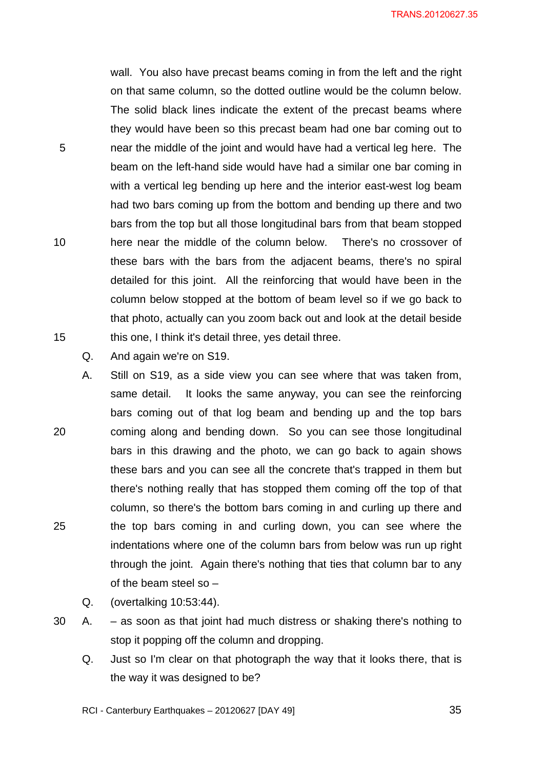wall. You also have precast beams coming in from the left and the right on that same column, so the dotted outline would be the column below. The solid black lines indicate the extent of the precast beams where they would have been so this precast beam had one bar coming out to near the middle of the joint and would have had a vertical leg here. The beam on the left-hand side would have had a similar one bar coming in with a vertical leg bending up here and the interior east-west log beam had two bars coming up from the bottom and bending up there and two bars from the top but all those longitudinal bars from that beam stopped here near the middle of the column below. There's no crossover of these bars with the bars from the adjacent beams, there's no spiral detailed for this joint. All the reinforcing that would have been in the column below stopped at the bottom of beam level so if we go back to that photo, actually can you zoom back out and look at the detail beside this one, I think it's detail three, yes detail three.

Q. And again we're on S19.

5

10

15

- 20 25 A. Still on S19, as a side view you can see where that was taken from, same detail. It looks the same anyway, you can see the reinforcing bars coming out of that log beam and bending up and the top bars coming along and bending down. So you can see those longitudinal bars in this drawing and the photo, we can go back to again shows these bars and you can see all the concrete that's trapped in them but there's nothing really that has stopped them coming off the top of that column, so there's the bottom bars coming in and curling up there and the top bars coming in and curling down, you can see where the indentations where one of the column bars from below was run up right through the joint. Again there's nothing that ties that column bar to any of the beam steel so –
	- Q. (overtalking 10:53:44).
- 30 A. as soon as that joint had much distress or shaking there's nothing to stop it popping off the column and dropping.
	- Q. Just so I'm clear on that photograph the way that it looks there, that is the way it was designed to be?

RCI - Canterbury Earthquakes – 20120627 [DAY 49]

 $\sim$  35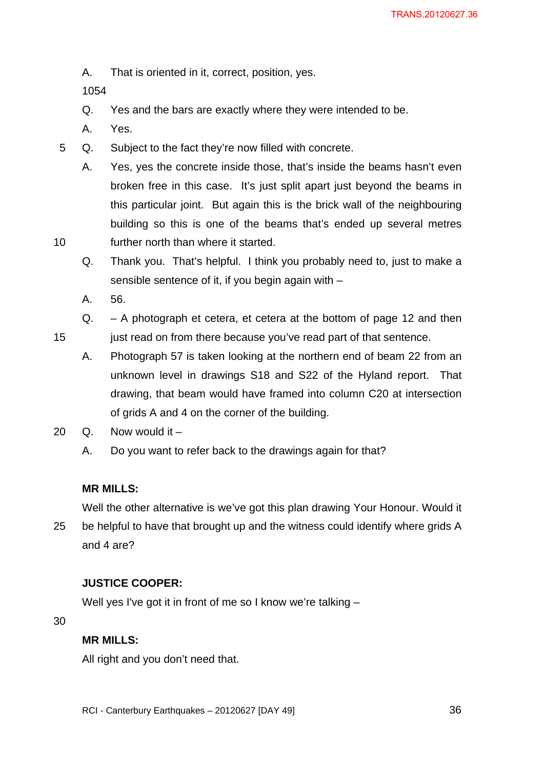A. That is oriented in it, correct, position, yes.

1054

- Q. Yes and the bars are exactly where they were intended to be.
- A. Yes.
- 5 Q. Subject to the fact they're now filled with concrete.
	- A. Yes, yes the concrete inside those, that's inside the beams hasn't even broken free in this case. It's just split apart just beyond the beams in this particular joint. But again this is the brick wall of the neighbouring building so this is one of the beams that's ended up several metres further north than where it started.
	- Q. Thank you. That's helpful. I think you probably need to, just to make a sensible sentence of it, if you begin again with –
	- A. 56.

10

15

- Q. A photograph et cetera, et cetera at the bottom of page 12 and then just read on from there because you've read part of that sentence.
	- A. Photograph 57 is taken looking at the northern end of beam 22 from an unknown level in drawings S18 and S22 of the Hyland report. That drawing, that beam would have framed into column C20 at intersection of grids A and 4 on the corner of the building.
- 20  $Q$ . Now would it
	- A. Do you want to refer back to the drawings again for that?

## **MR MILLS:**

25 Well the other alternative is we've got this plan drawing Your Honour. Would it be helpful to have that brought up and the witness could identify where grids A and 4 are?

# **JUSTICE COOPER:**

Well yes I've got it in front of me so I know we're talking –

30

# **MR MILLS:**

All right and you don't need that.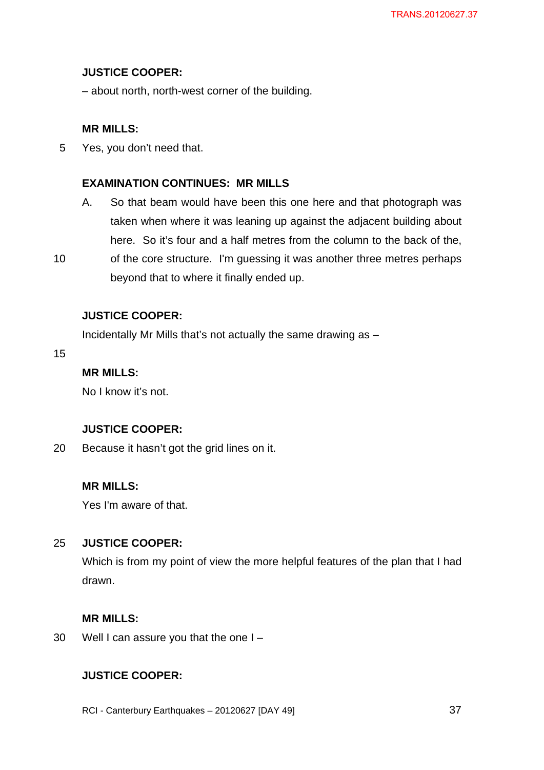## **JUSTICE COOPER:**

– about north, north-west corner of the building.

## **MR MILLS:**

5 Yes, you don't need that.

## **EXAMINATION CONTINUES: MR MILLS**

- A. So that beam would have been this one here and that photograph was taken when where it was leaning up against the adjacent building about here. So it's four and a half metres from the column to the back of the,
- 10 of the core structure. I'm guessing it was another three metres perhaps beyond that to where it finally ended up.

# **JUSTICE COOPER:**

Incidentally Mr Mills that's not actually the same drawing as –

15

## **MR MILLS:**

No I know it's not.

## **JUSTICE COOPER:**

20 Because it hasn't got the grid lines on it.

# **MR MILLS:**

Yes I'm aware of that.

#### 25 **JUSTICE COOPER:**

Which is from my point of view the more helpful features of the plan that I had drawn.

## **MR MILLS:**

30 Well I can assure you that the one I -

# **JUSTICE COOPER:**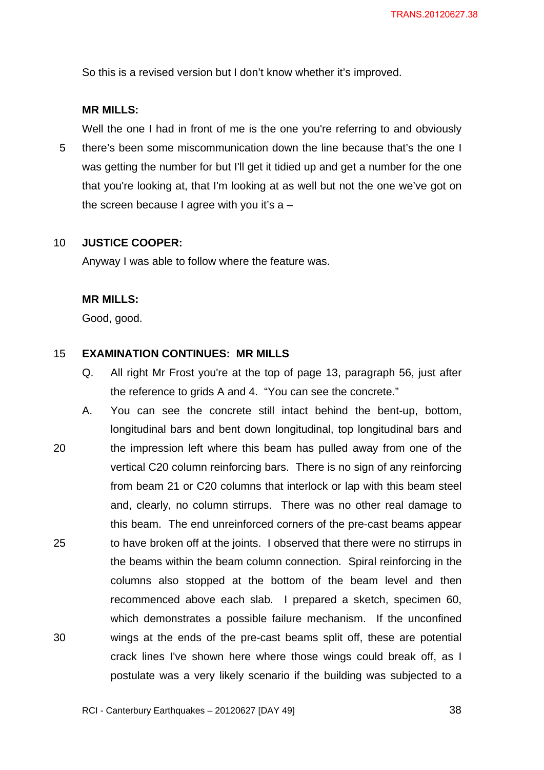So this is a revised version but I don't know whether it's improved.

#### **MR MILLS:**

5 Well the one I had in front of me is the one you're referring to and obviously there's been some miscommunication down the line because that's the one I was getting the number for but I'll get it tidied up and get a number for the one that you're looking at, that I'm looking at as well but not the one we've got on the screen because I agree with you it's  $a -$ 

#### 10 **JUSTICE COOPER:**

Anyway I was able to follow where the feature was.

#### **MR MILLS:**

Good, good.

#### 15 **EXAMINATION CONTINUES: MR MILLS**

- Q. All right Mr Frost you're at the top of page 13, paragraph 56, just after the reference to grids A and 4. "You can see the concrete."
- 20 25 30 A. You can see the concrete still intact behind the bent-up, bottom, longitudinal bars and bent down longitudinal, top longitudinal bars and the impression left where this beam has pulled away from one of the vertical C20 column reinforcing bars. There is no sign of any reinforcing from beam 21 or C20 columns that interlock or lap with this beam steel and, clearly, no column stirrups. There was no other real damage to this beam. The end unreinforced corners of the pre-cast beams appear to have broken off at the joints. I observed that there were no stirrups in the beams within the beam column connection. Spiral reinforcing in the columns also stopped at the bottom of the beam level and then recommenced above each slab. I prepared a sketch, specimen 60, which demonstrates a possible failure mechanism. If the unconfined wings at the ends of the pre-cast beams split off, these are potential crack lines I've shown here where those wings could break off, as I postulate was a very likely scenario if the building was subjected to a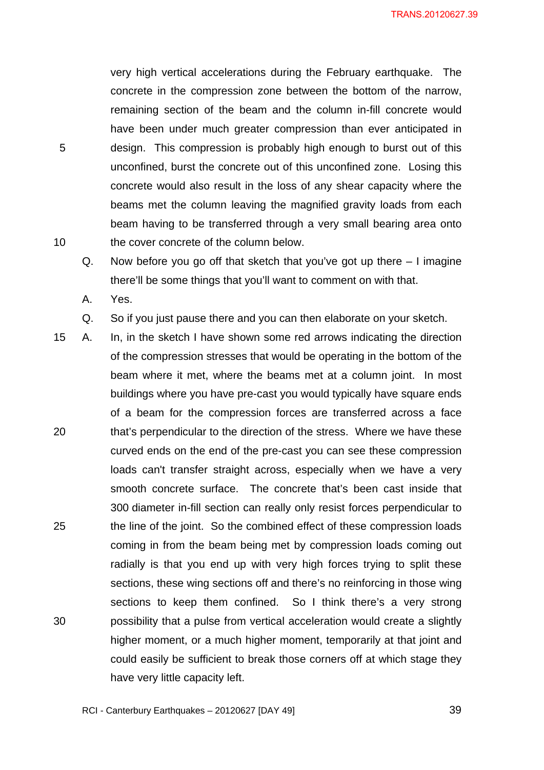very high vertical accelerations during the February earthquake. The concrete in the compression zone between the bottom of the narrow, remaining section of the beam and the column in-fill concrete would have been under much greater compression than ever anticipated in design. This compression is probably high enough to burst out of this unconfined, burst the concrete out of this unconfined zone. Losing this concrete would also result in the loss of any shear capacity where the beams met the column leaving the magnified gravity loads from each beam having to be transferred through a very small bearing area onto the cover concrete of the column below.

- Q. Now before you go off that sketch that you've got up there I imagine there'll be some things that you'll want to comment on with that.
- A. Yes.

5

- Q. So if you just pause there and you can then elaborate on your sketch.
- 20 25 30 15 A. In, in the sketch I have shown some red arrows indicating the direction of the compression stresses that would be operating in the bottom of the beam where it met, where the beams met at a column joint. In most buildings where you have pre-cast you would typically have square ends of a beam for the compression forces are transferred across a face that's perpendicular to the direction of the stress. Where we have these curved ends on the end of the pre-cast you can see these compression loads can't transfer straight across, especially when we have a very smooth concrete surface. The concrete that's been cast inside that 300 diameter in-fill section can really only resist forces perpendicular to the line of the joint. So the combined effect of these compression loads coming in from the beam being met by compression loads coming out radially is that you end up with very high forces trying to split these sections, these wing sections off and there's no reinforcing in those wing sections to keep them confined. So I think there's a very strong possibility that a pulse from vertical acceleration would create a slightly higher moment, or a much higher moment, temporarily at that joint and could easily be sufficient to break those corners off at which stage they have very little capacity left.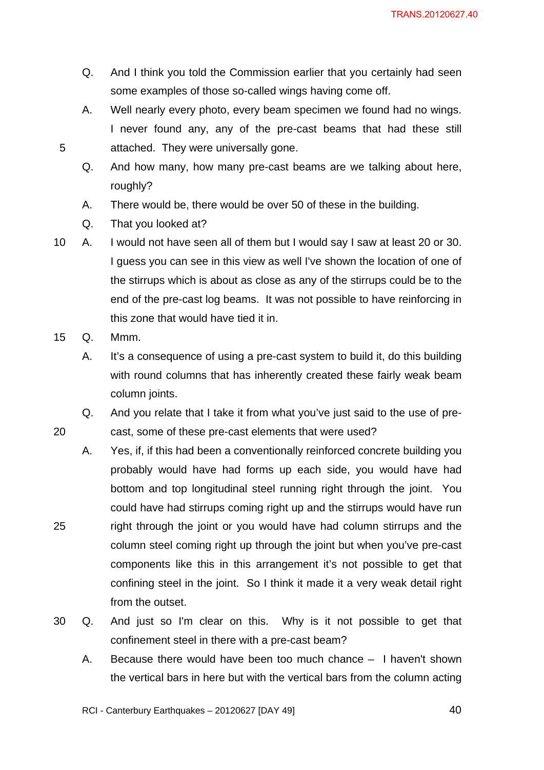- Q. And I think you told the Commission earlier that you certainly had seen some examples of those so-called wings having come off.
- A. Well nearly every photo, every beam specimen we found had no wings. I never found any, any of the pre-cast beams that had these still attached. They were universally gone.
- Q. And how many, how many pre-cast beams are we talking about here, roughly?
- A. There would be, there would be over 50 of these in the building.
- Q. That you looked at?
- 10 A. I would not have seen all of them but I would say I saw at least 20 or 30. I guess you can see in this view as well I've shown the location of one of the stirrups which is about as close as any of the stirrups could be to the end of the pre-cast log beams. It was not possible to have reinforcing in this zone that would have tied it in.
- 15 Q. Mmm.

20

25

5

- A. It's a consequence of using a pre-cast system to build it, do this building with round columns that has inherently created these fairly weak beam column joints.
- Q. And you relate that I take it from what you've just said to the use of precast, some of these pre-cast elements that were used?
- A. Yes, if, if this had been a conventionally reinforced concrete building you probably would have had forms up each side, you would have had bottom and top longitudinal steel running right through the joint. You could have had stirrups coming right up and the stirrups would have run right through the joint or you would have had column stirrups and the column steel coming right up through the joint but when you've pre-cast components like this in this arrangement it's not possible to get that confining steel in the joint. So I think it made it a very weak detail right from the outset.
- 30 Q. And just so I'm clear on this. Why is it not possible to get that confinement steel in there with a pre-cast beam?
	- A. Because there would have been too much chance I haven't shown the vertical bars in here but with the vertical bars from the column acting

RCI - Canterbury Earthquakes – 20120627 [DAY 49]

 $\sim$  40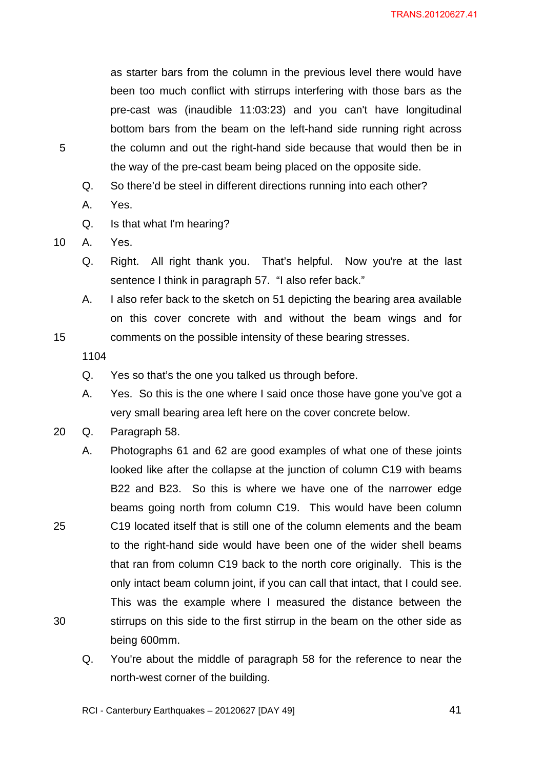as starter bars from the column in the previous level there would have been too much conflict with stirrups interfering with those bars as the pre-cast was (inaudible 11:03:23) and you can't have longitudinal bottom bars from the beam on the left-hand side running right across the column and out the right-hand side because that would then be in the way of the pre-cast beam being placed on the opposite side.

- Q. So there'd be steel in different directions running into each other?
- A. Yes.
- Q. Is that what I'm hearing?
- 10 A. Yes.

5

- Q. Right. All right thank you. That's helpful. Now you're at the last sentence I think in paragraph 57. "I also refer back."
- A. I also refer back to the sketch on 51 depicting the bearing area available on this cover concrete with and without the beam wings and for comments on the possible intensity of these bearing stresses.

1104

15

25

30

- Q. Yes so that's the one you talked us through before.
- A. Yes. So this is the one where I said once those have gone you've got a very small bearing area left here on the cover concrete below.
- 20 Q. Paragraph 58.
	- A. Photographs 61 and 62 are good examples of what one of these joints looked like after the collapse at the junction of column C19 with beams B22 and B23. So this is where we have one of the narrower edge beams going north from column C19. This would have been column C19 located itself that is still one of the column elements and the beam to the right-hand side would have been one of the wider shell beams that ran from column C19 back to the north core originally. This is the only intact beam column joint, if you can call that intact, that I could see. This was the example where I measured the distance between the stirrups on this side to the first stirrup in the beam on the other side as being 600mm.
		- Q. You're about the middle of paragraph 58 for the reference to near the north-west corner of the building.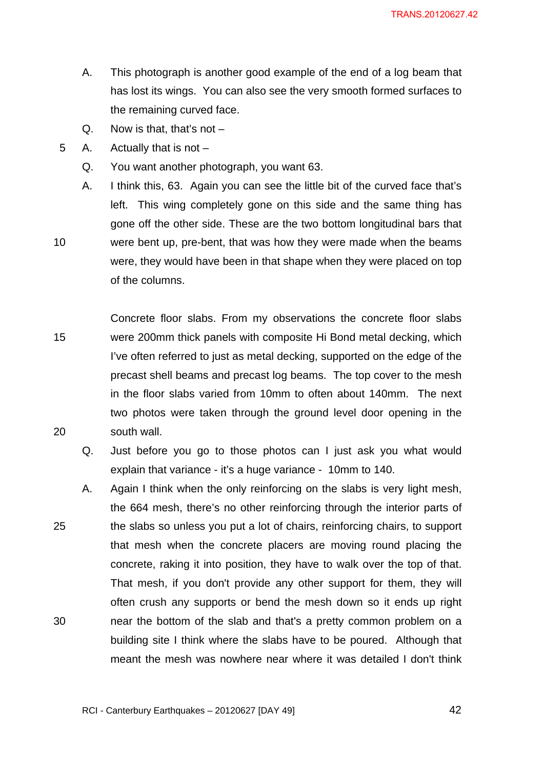- A. This photograph is another good example of the end of a log beam that has lost its wings. You can also see the very smooth formed surfaces to the remaining curved face.
- Q. Now is that, that's not  $-$
- 5 A. Actually that is not –

- Q. You want another photograph, you want 63.
- A. I think this, 63. Again you can see the little bit of the curved face that's left. This wing completely gone on this side and the same thing has gone off the other side. These are the two bottom longitudinal bars that were bent up, pre-bent, that was how they were made when the beams were, they would have been in that shape when they were placed on top of the columns.
- 15 20 Concrete floor slabs. From my observations the concrete floor slabs were 200mm thick panels with composite Hi Bond metal decking, which I've often referred to just as metal decking, supported on the edge of the precast shell beams and precast log beams. The top cover to the mesh in the floor slabs varied from 10mm to often about 140mm. The next two photos were taken through the ground level door opening in the south wall.
	- Q. Just before you go to those photos can I just ask you what would explain that variance - it's a huge variance - 10mm to 140.
- 25 30 A. Again I think when the only reinforcing on the slabs is very light mesh, the 664 mesh, there's no other reinforcing through the interior parts of the slabs so unless you put a lot of chairs, reinforcing chairs, to support that mesh when the concrete placers are moving round placing the concrete, raking it into position, they have to walk over the top of that. That mesh, if you don't provide any other support for them, they will often crush any supports or bend the mesh down so it ends up right near the bottom of the slab and that's a pretty common problem on a building site I think where the slabs have to be poured. Although that meant the mesh was nowhere near where it was detailed I don't think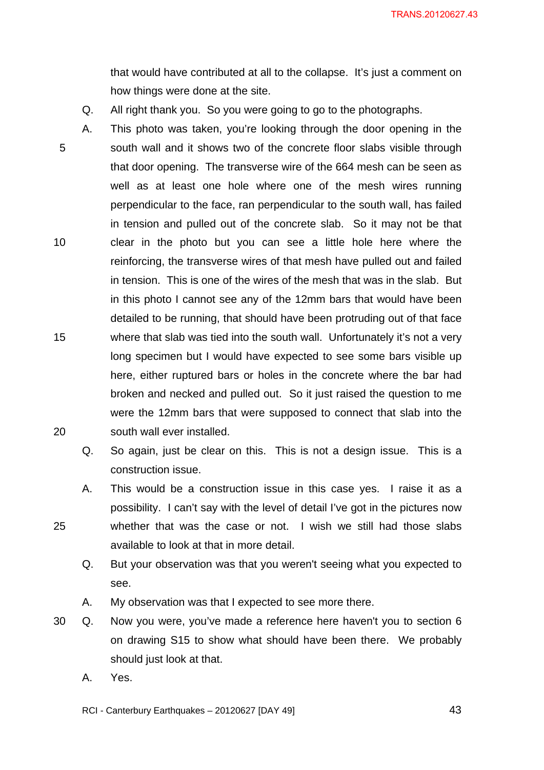that would have contributed at all to the collapse. It's just a comment on how things were done at the site.

- Q. All right thank you. So you were going to go to the photographs.
- 5 10 15 20 A. This photo was taken, you're looking through the door opening in the south wall and it shows two of the concrete floor slabs visible through that door opening. The transverse wire of the 664 mesh can be seen as well as at least one hole where one of the mesh wires running perpendicular to the face, ran perpendicular to the south wall, has failed in tension and pulled out of the concrete slab. So it may not be that clear in the photo but you can see a little hole here where the reinforcing, the transverse wires of that mesh have pulled out and failed in tension. This is one of the wires of the mesh that was in the slab. But in this photo I cannot see any of the 12mm bars that would have been detailed to be running, that should have been protruding out of that face where that slab was tied into the south wall. Unfortunately it's not a very long specimen but I would have expected to see some bars visible up here, either ruptured bars or holes in the concrete where the bar had broken and necked and pulled out. So it just raised the question to me were the 12mm bars that were supposed to connect that slab into the south wall ever installed.
	- Q. So again, just be clear on this. This is not a design issue. This is a construction issue.
	- A. This would be a construction issue in this case yes. I raise it as a possibility. I can't say with the level of detail I've got in the pictures now whether that was the case or not. I wish we still had those slabs available to look at that in more detail.
		- Q. But your observation was that you weren't seeing what you expected to see.
		- A. My observation was that I expected to see more there.
- 30 Q. Now you were, you've made a reference here haven't you to section 6 on drawing S15 to show what should have been there. We probably should just look at that.
	- A. Yes.

25

RCI - Canterbury Earthquakes – 20120627 [DAY 49]

 $\sim$  43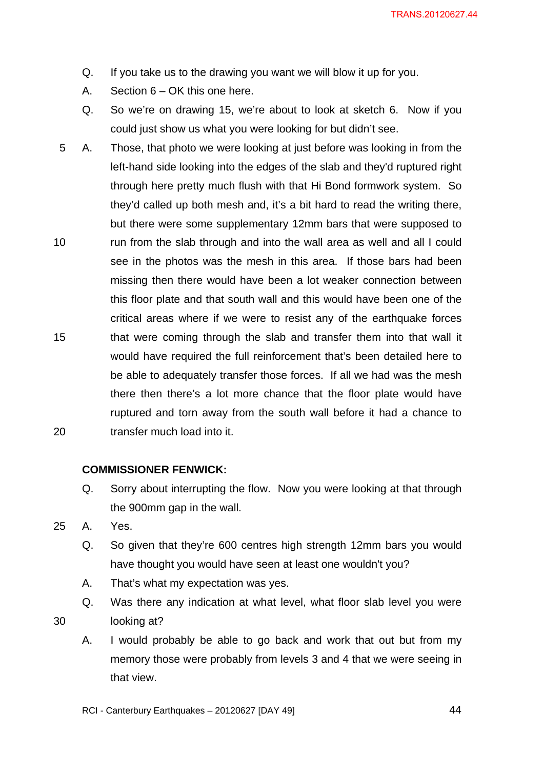- Q. If you take us to the drawing you want we will blow it up for you.
- A. Section 6 OK this one here.
- Q. So we're on drawing 15, we're about to look at sketch 6. Now if you could just show us what you were looking for but didn't see.
- 10 15 20 5 A. Those, that photo we were looking at just before was looking in from the left-hand side looking into the edges of the slab and they'd ruptured right through here pretty much flush with that Hi Bond formwork system. So they'd called up both mesh and, it's a bit hard to read the writing there, but there were some supplementary 12mm bars that were supposed to run from the slab through and into the wall area as well and all I could see in the photos was the mesh in this area. If those bars had been missing then there would have been a lot weaker connection between this floor plate and that south wall and this would have been one of the critical areas where if we were to resist any of the earthquake forces that were coming through the slab and transfer them into that wall it would have required the full reinforcement that's been detailed here to be able to adequately transfer those forces. If all we had was the mesh there then there's a lot more chance that the floor plate would have ruptured and torn away from the south wall before it had a chance to transfer much load into it.

#### **COMMISSIONER FENWICK:**

- Q. Sorry about interrupting the flow. Now you were looking at that through the 900mm gap in the wall.
- 25 A. Yes.

- Q. So given that they're 600 centres high strength 12mm bars you would have thought you would have seen at least one wouldn't you?
- A. That's what my expectation was yes.
- Q. Was there any indication at what level, what floor slab level you were looking at?
- A. I would probably be able to go back and work that out but from my memory those were probably from levels 3 and 4 that we were seeing in that view.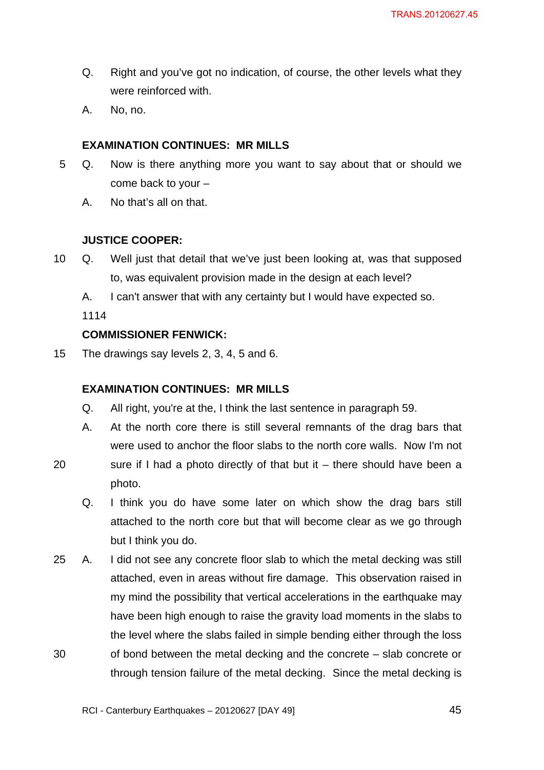- Q. Right and you've got no indication, of course, the other levels what they were reinforced with.
- A. No, no.

## **EXAMINATION CONTINUES: MR MILLS**

- 5 Q. Now is there anything more you want to say about that or should we come back to your –
	- A. No that's all on that.

# **JUSTICE COOPER:**

- 10 Q. Well just that detail that we've just been looking at, was that supposed to, was equivalent provision made in the design at each level?
	- A. I can't answer that with any certainty but I would have expected so.

1114

# **COMMISSIONER FENWICK:**

15 The drawings say levels 2, 3, 4, 5 and 6.

## **EXAMINATION CONTINUES: MR MILLS**

- Q. All right, you're at the, I think the last sentence in paragraph 59.
- A. At the north core there is still several remnants of the drag bars that were used to anchor the floor slabs to the north core walls. Now I'm not
- 20 sure if I had a photo directly of that but it  $-$  there should have been a photo.
	- Q. I think you do have some later on which show the drag bars still attached to the north core but that will become clear as we go through but I think you do.
- 30 25 A. I did not see any concrete floor slab to which the metal decking was still attached, even in areas without fire damage. This observation raised in my mind the possibility that vertical accelerations in the earthquake may have been high enough to raise the gravity load moments in the slabs to the level where the slabs failed in simple bending either through the loss of bond between the metal decking and the concrete – slab concrete or through tension failure of the metal decking. Since the metal decking is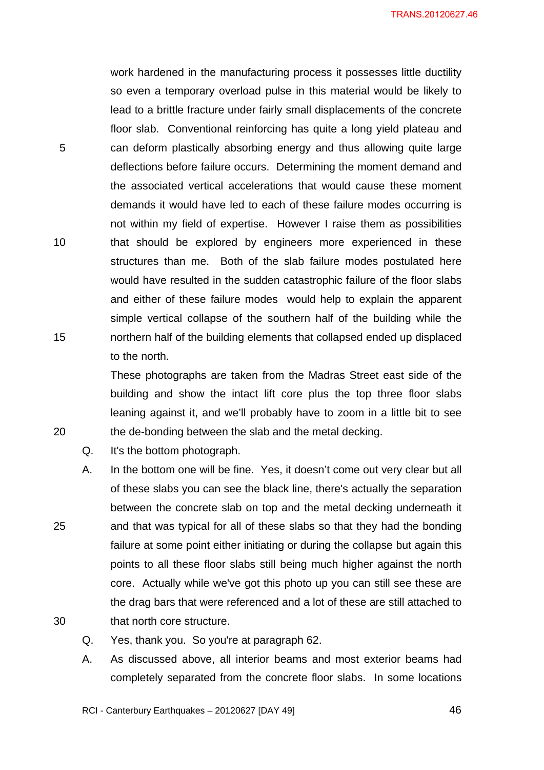work hardened in the manufacturing process it possesses little ductility so even a temporary overload pulse in this material would be likely to lead to a brittle fracture under fairly small displacements of the concrete floor slab. Conventional reinforcing has quite a long yield plateau and can deform plastically absorbing energy and thus allowing quite large deflections before failure occurs. Determining the moment demand and the associated vertical accelerations that would cause these moment demands it would have led to each of these failure modes occurring is not within my field of expertise. However I raise them as possibilities that should be explored by engineers more experienced in these structures than me. Both of the slab failure modes postulated here would have resulted in the sudden catastrophic failure of the floor slabs and either of these failure modes would help to explain the apparent simple vertical collapse of the southern half of the building while the northern half of the building elements that collapsed ended up displaced to the north.

These photographs are taken from the Madras Street east side of the building and show the intact lift core plus the top three floor slabs leaning against it, and we'll probably have to zoom in a little bit to see the de-bonding between the slab and the metal decking.

Q. It's the bottom photograph.

5

10

15

20

25

30

- A. In the bottom one will be fine. Yes, it doesn't come out very clear but all of these slabs you can see the black line, there's actually the separation between the concrete slab on top and the metal decking underneath it and that was typical for all of these slabs so that they had the bonding failure at some point either initiating or during the collapse but again this points to all these floor slabs still being much higher against the north core. Actually while we've got this photo up you can still see these are the drag bars that were referenced and a lot of these are still attached to that north core structure.
- Q. Yes, thank you. So you're at paragraph 62.
- A. As discussed above, all interior beams and most exterior beams had completely separated from the concrete floor slabs. In some locations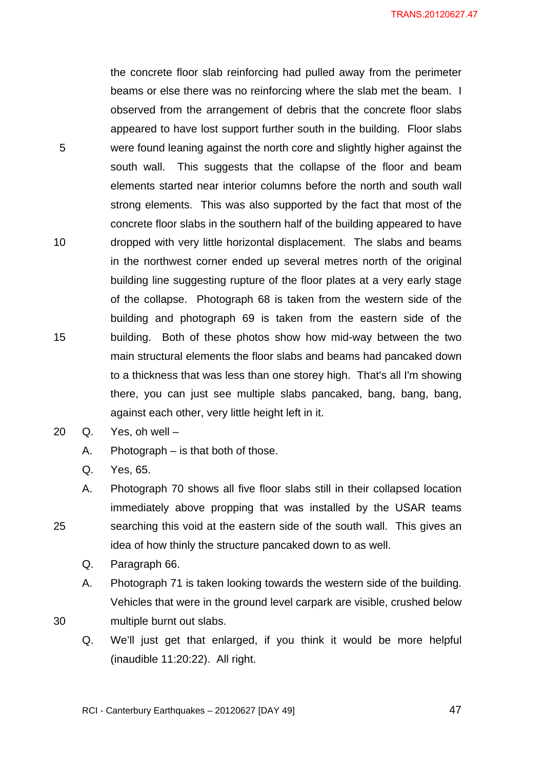5 10 15 the concrete floor slab reinforcing had pulled away from the perimeter beams or else there was no reinforcing where the slab met the beam. I observed from the arrangement of debris that the concrete floor slabs appeared to have lost support further south in the building. Floor slabs were found leaning against the north core and slightly higher against the south wall. This suggests that the collapse of the floor and beam elements started near interior columns before the north and south wall strong elements. This was also supported by the fact that most of the concrete floor slabs in the southern half of the building appeared to have dropped with very little horizontal displacement. The slabs and beams in the northwest corner ended up several metres north of the original building line suggesting rupture of the floor plates at a very early stage of the collapse. Photograph 68 is taken from the western side of the building and photograph 69 is taken from the eastern side of the building. Both of these photos show how mid-way between the two main structural elements the floor slabs and beams had pancaked down to a thickness that was less than one storey high. That's all I'm showing there, you can just see multiple slabs pancaked, bang, bang, bang, against each other, very little height left in it.

- 20 Q. Yes, oh well
	- A. Photograph is that both of those.
	- Q. Yes, 65.

25

- A. Photograph 70 shows all five floor slabs still in their collapsed location immediately above propping that was installed by the USAR teams searching this void at the eastern side of the south wall. This gives an idea of how thinly the structure pancaked down to as well.
	- Q. Paragraph 66.
	- A. Photograph 71 is taken looking towards the western side of the building. Vehicles that were in the ground level carpark are visible, crushed below multiple burnt out slabs.
	- Q. We'll just get that enlarged, if you think it would be more helpful (inaudible 11:20:22). All right.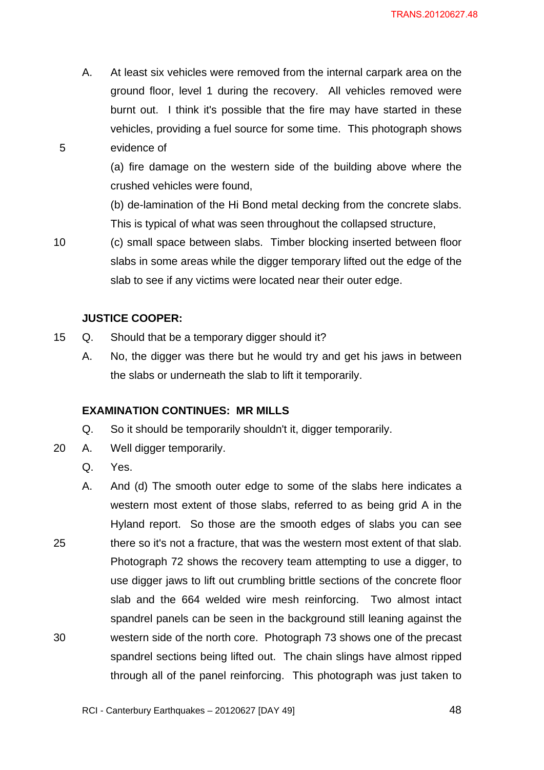A. At least six vehicles were removed from the internal carpark area on the ground floor, level 1 during the recovery. All vehicles removed were burnt out. I think it's possible that the fire may have started in these vehicles, providing a fuel source for some time. This photograph shows evidence of

(a) fire damage on the western side of the building above where the crushed vehicles were found,

(b) de-lamination of the Hi Bond metal decking from the concrete slabs. This is typical of what was seen throughout the collapsed structure,

10

5

(c) small space between slabs. Timber blocking inserted between floor slabs in some areas while the digger temporary lifted out the edge of the slab to see if any victims were located near their outer edge.

#### **JUSTICE COOPER:**

- 15 Q. Should that be a temporary digger should it?
	- A. No, the digger was there but he would try and get his jaws in between the slabs or underneath the slab to lift it temporarily.

#### **EXAMINATION CONTINUES: MR MILLS**

- Q. So it should be temporarily shouldn't it, digger temporarily.
- 20 A. Well digger temporarily.
	- Q. Yes.
- 25 30 A. And (d) The smooth outer edge to some of the slabs here indicates a western most extent of those slabs, referred to as being grid A in the Hyland report. So those are the smooth edges of slabs you can see there so it's not a fracture, that was the western most extent of that slab. Photograph 72 shows the recovery team attempting to use a digger, to use digger jaws to lift out crumbling brittle sections of the concrete floor slab and the 664 welded wire mesh reinforcing. Two almost intact spandrel panels can be seen in the background still leaning against the western side of the north core. Photograph 73 shows one of the precast spandrel sections being lifted out. The chain slings have almost ripped through all of the panel reinforcing. This photograph was just taken to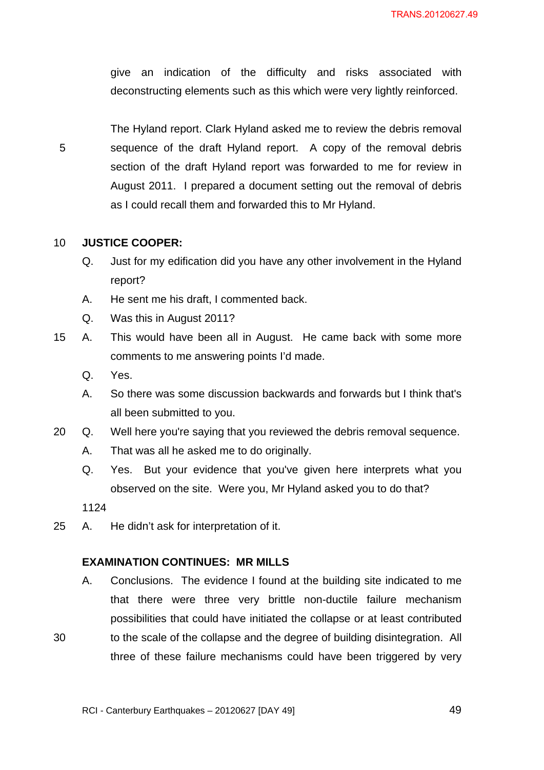give an indication of the difficulty and risks associated with deconstructing elements such as this which were very lightly reinforced.

5

The Hyland report. Clark Hyland asked me to review the debris removal sequence of the draft Hyland report. A copy of the removal debris section of the draft Hyland report was forwarded to me for review in August 2011. I prepared a document setting out the removal of debris as I could recall them and forwarded this to Mr Hyland.

#### 10 **JUSTICE COOPER:**

- Q. Just for my edification did you have any other involvement in the Hyland report?
- A. He sent me his draft, I commented back.
- Q. Was this in August 2011?
- 15 A. This would have been all in August. He came back with some more comments to me answering points I'd made.
	- Q. Yes.
	- A. So there was some discussion backwards and forwards but I think that's all been submitted to you.
- 20 Q. Well here you're saying that you reviewed the debris removal sequence.
	- A. That was all he asked me to do originally.
	- Q. Yes. But your evidence that you've given here interprets what you observed on the site. Were you, Mr Hyland asked you to do that?

1124

30

25 A. He didn't ask for interpretation of it.

#### **EXAMINATION CONTINUES: MR MILLS**

A. Conclusions. The evidence I found at the building site indicated to me that there were three very brittle non-ductile failure mechanism possibilities that could have initiated the collapse or at least contributed to the scale of the collapse and the degree of building disintegration. All three of these failure mechanisms could have been triggered by very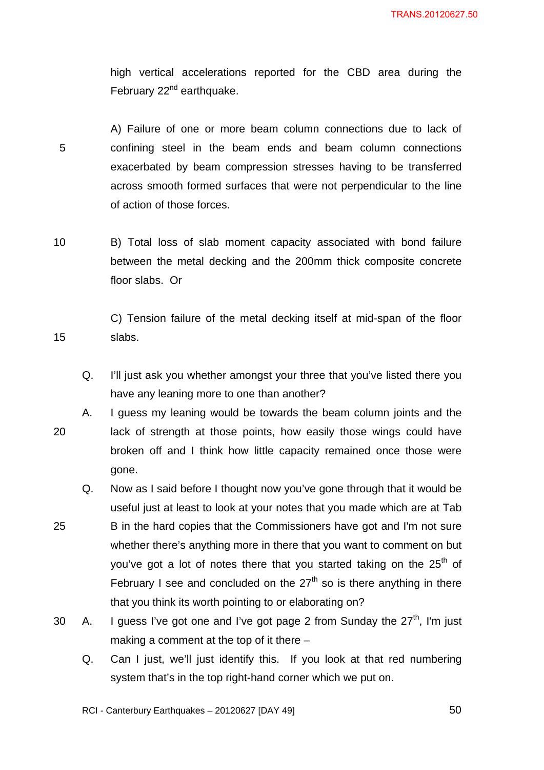high vertical accelerations reported for the CBD area during the February  $22<sup>nd</sup>$  earthquake.

5 A) Failure of one or more beam column connections due to lack of confining steel in the beam ends and beam column connections exacerbated by beam compression stresses having to be transferred across smooth formed surfaces that were not perpendicular to the line of action of those forces.

10 B) Total loss of slab moment capacity associated with bond failure between the metal decking and the 200mm thick composite concrete floor slabs. Or

C) Tension failure of the metal decking itself at mid-span of the floor slabs.

- Q. I'll just ask you whether amongst your three that you've listed there you have any leaning more to one than another?
- 20 A. I guess my leaning would be towards the beam column joints and the lack of strength at those points, how easily those wings could have broken off and I think how little capacity remained once those were gone.
- 25 Q. Now as I said before I thought now you've gone through that it would be useful just at least to look at your notes that you made which are at Tab B in the hard copies that the Commissioners have got and I'm not sure whether there's anything more in there that you want to comment on but you've got a lot of notes there that you started taking on the  $25<sup>th</sup>$  of February I see and concluded on the  $27<sup>th</sup>$  so is there anything in there that you think its worth pointing to or elaborating on?
- 30 A. I guess I've got one and I've got page 2 from Sunday the  $27<sup>th</sup>$ . I'm just making a comment at the top of it there –
	- Q. Can I just, we'll just identify this. If you look at that red numbering system that's in the top right-hand corner which we put on.

RCI - Canterbury Earthquakes – 20120627 [DAY 49]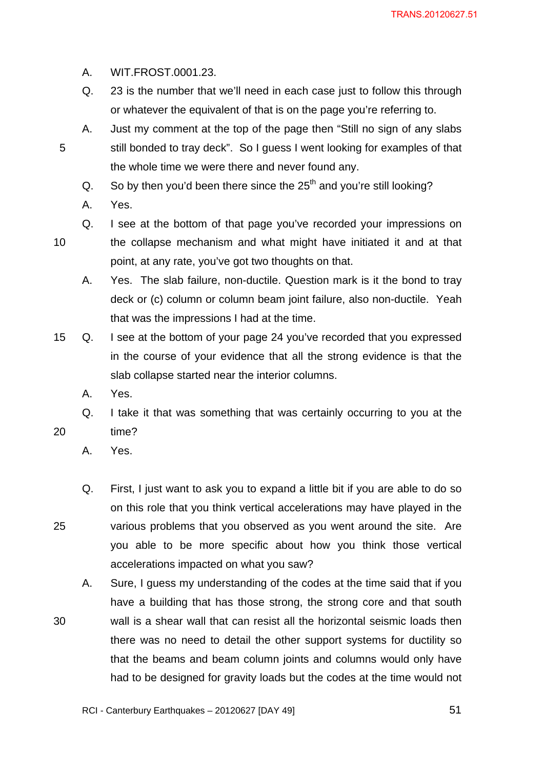- A. WIT.FROST.0001.23.
- Q. 23 is the number that we'll need in each case just to follow this through or whatever the equivalent of that is on the page you're referring to.
- A. Just my comment at the top of the page then "Still no sign of any slabs still bonded to tray deck". So I guess I went looking for examples of that the whole time we were there and never found any.
	- Q. So by then you'd been there since the  $25<sup>th</sup>$  and you're still looking?
	- A. Yes.
- 10

20

25

30

- Q. I see at the bottom of that page you've recorded your impressions on
	- the collapse mechanism and what might have initiated it and at that point, at any rate, you've got two thoughts on that.
- A. Yes. The slab failure, non-ductile. Question mark is it the bond to tray deck or (c) column or column beam joint failure, also non-ductile. Yeah that was the impressions I had at the time.
- 15 Q. I see at the bottom of your page 24 you've recorded that you expressed in the course of your evidence that all the strong evidence is that the slab collapse started near the interior columns.
	- A. Yes.
	- Q. I take it that was something that was certainly occurring to you at the time?
		- A. Yes.
	- Q. First, I just want to ask you to expand a little bit if you are able to do so on this role that you think vertical accelerations may have played in the various problems that you observed as you went around the site. Are you able to be more specific about how you think those vertical accelerations impacted on what you saw?
	- A. Sure, I guess my understanding of the codes at the time said that if you have a building that has those strong, the strong core and that south wall is a shear wall that can resist all the horizontal seismic loads then there was no need to detail the other support systems for ductility so that the beams and beam column joints and columns would only have had to be designed for gravity loads but the codes at the time would not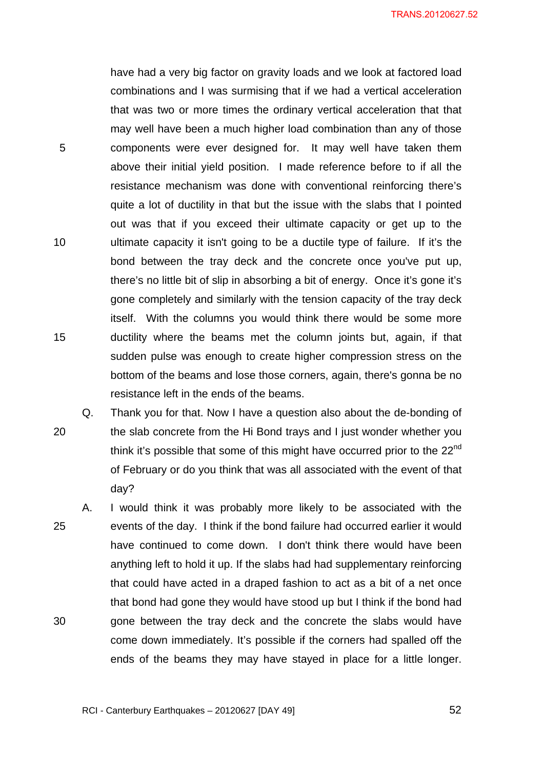have had a very big factor on gravity loads and we look at factored load combinations and I was surmising that if we had a vertical acceleration that was two or more times the ordinary vertical acceleration that that may well have been a much higher load combination than any of those components were ever designed for. It may well have taken them above their initial yield position. I made reference before to if all the resistance mechanism was done with conventional reinforcing there's quite a lot of ductility in that but the issue with the slabs that I pointed out was that if you exceed their ultimate capacity or get up to the ultimate capacity it isn't going to be a ductile type of failure. If it's the bond between the tray deck and the concrete once you've put up, there's no little bit of slip in absorbing a bit of energy. Once it's gone it's gone completely and similarly with the tension capacity of the tray deck itself. With the columns you would think there would be some more ductility where the beams met the column joints but, again, if that sudden pulse was enough to create higher compression stress on the bottom of the beams and lose those corners, again, there's gonna be no resistance left in the ends of the beams.

5

10

15

20 Q. Thank you for that. Now I have a question also about the de-bonding of the slab concrete from the Hi Bond trays and I just wonder whether you think it's possible that some of this might have occurred prior to the 22<sup>nd</sup> of February or do you think that was all associated with the event of that day?

25 30 A. I would think it was probably more likely to be associated with the events of the day. I think if the bond failure had occurred earlier it would have continued to come down. I don't think there would have been anything left to hold it up. If the slabs had had supplementary reinforcing that could have acted in a draped fashion to act as a bit of a net once that bond had gone they would have stood up but I think if the bond had gone between the tray deck and the concrete the slabs would have come down immediately. It's possible if the corners had spalled off the ends of the beams they may have stayed in place for a little longer.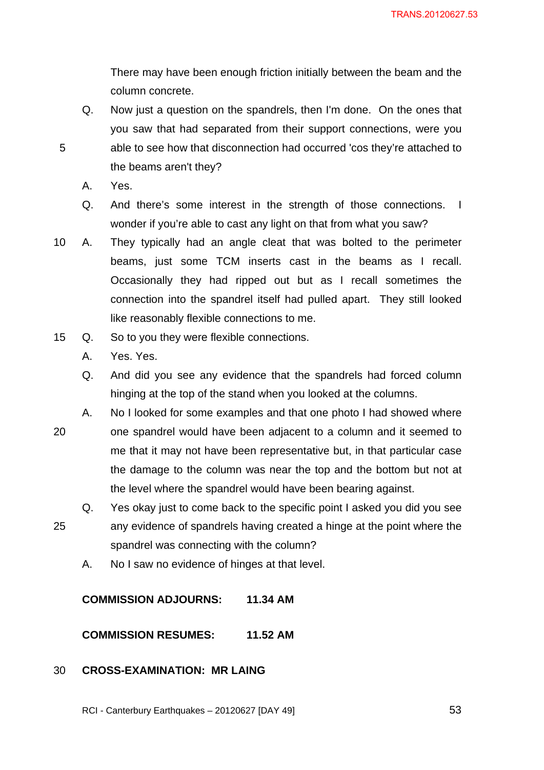There may have been enough friction initially between the beam and the column concrete.

- Q. Now just a question on the spandrels, then I'm done. On the ones that you saw that had separated from their support connections, were you able to see how that disconnection had occurred 'cos they're attached to the beams aren't they?
- A. Yes.

5

- Q. And there's some interest in the strength of those connections. I wonder if you're able to cast any light on that from what you saw?
- 10 A. They typically had an angle cleat that was bolted to the perimeter beams, just some TCM inserts cast in the beams as I recall. Occasionally they had ripped out but as I recall sometimes the connection into the spandrel itself had pulled apart. They still looked like reasonably flexible connections to me.
- 15 Q. So to you they were flexible connections.
	- A. Yes. Yes.
	- Q. And did you see any evidence that the spandrels had forced column hinging at the top of the stand when you looked at the columns.
- 20 A. No I looked for some examples and that one photo I had showed where one spandrel would have been adjacent to a column and it seemed to me that it may not have been representative but, in that particular case the damage to the column was near the top and the bottom but not at the level where the spandrel would have been bearing against.
- 25 Q. Yes okay just to come back to the specific point I asked you did you see any evidence of spandrels having created a hinge at the point where the spandrel was connecting with the column?
	- A. No I saw no evidence of hinges at that level.

**COMMISSION ADJOURNS: 11.34 AM** 

**COMMISSION RESUMES: 11.52 AM** 

#### 30 **CROSS-EXAMINATION: MR LAING**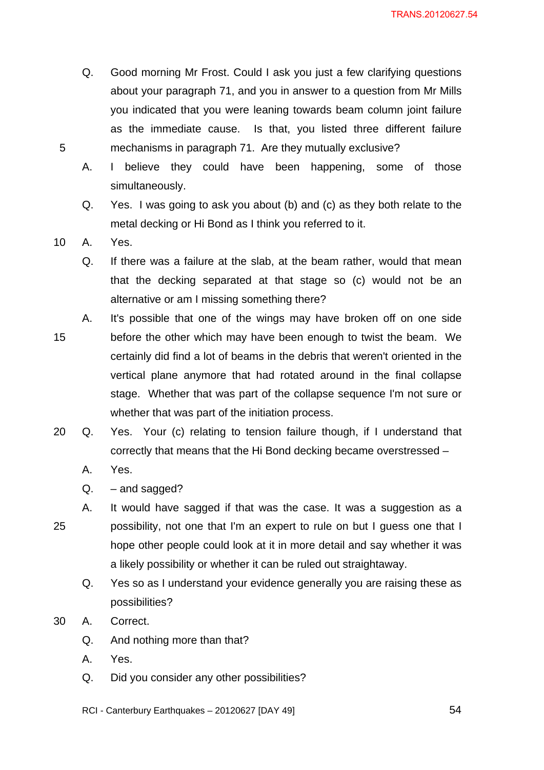- Q. Good morning Mr Frost. Could I ask you just a few clarifying questions about your paragraph 71, and you in answer to a question from Mr Mills you indicated that you were leaning towards beam column joint failure as the immediate cause. Is that, you listed three different failure mechanisms in paragraph 71. Are they mutually exclusive?
- A. I believe they could have been happening, some of those simultaneously.
- Q. Yes. I was going to ask you about (b) and (c) as they both relate to the metal decking or Hi Bond as I think you referred to it.

10 A. Yes.

- Q. If there was a failure at the slab, at the beam rather, would that mean that the decking separated at that stage so (c) would not be an alternative or am I missing something there?
- 15 A. It's possible that one of the wings may have broken off on one side before the other which may have been enough to twist the beam. We certainly did find a lot of beams in the debris that weren't oriented in the vertical plane anymore that had rotated around in the final collapse stage. Whether that was part of the collapse sequence I'm not sure or whether that was part of the initiation process.
- 20 Q. Yes. Your (c) relating to tension failure though, if I understand that correctly that means that the Hi Bond decking became overstressed –
	- A. Yes.
	- Q. and sagged?
- 25 A. It would have sagged if that was the case. It was a suggestion as a possibility, not one that I'm an expert to rule on but I guess one that I hope other people could look at it in more detail and say whether it was a likely possibility or whether it can be ruled out straightaway.
	- Q. Yes so as I understand your evidence generally you are raising these as possibilities?
- 30 A. Correct.
	- Q. And nothing more than that?
	- A. Yes.
	- Q. Did you consider any other possibilities?
	- RCI Canterbury Earthquakes 20120627 [DAY 49]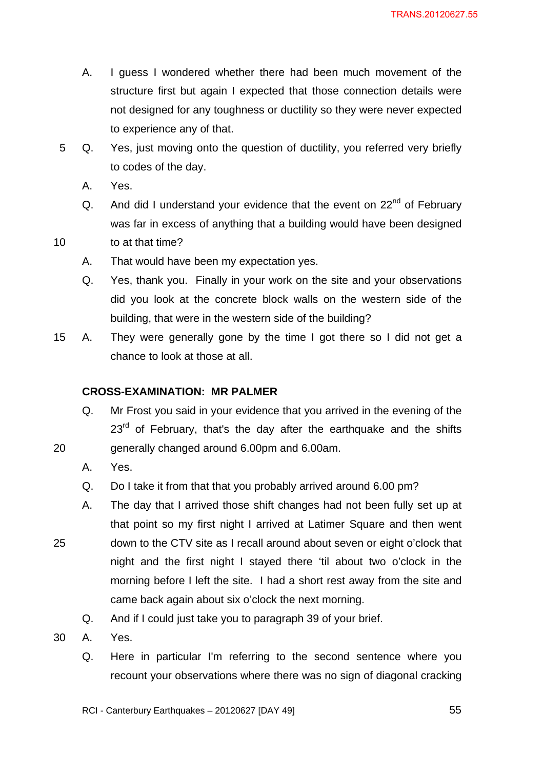- A. I guess I wondered whether there had been much movement of the structure first but again I expected that those connection details were not designed for any toughness or ductility so they were never expected to experience any of that.
- 5 Q. Yes, just moving onto the question of ductility, you referred very briefly to codes of the day.
	- A. Yes.
	- Q. And did I understand your evidence that the event on  $22<sup>nd</sup>$  of February was far in excess of anything that a building would have been designed
- 10 to at that time?
	- A. That would have been my expectation yes.
	- Q. Yes, thank you. Finally in your work on the site and your observations did you look at the concrete block walls on the western side of the building, that were in the western side of the building?
- 15 A. They were generally gone by the time I got there so I did not get a chance to look at those at all.

## **CROSS-EXAMINATION: MR PALMER**

- Q. Mr Frost you said in your evidence that you arrived in the evening of the  $23<sup>rd</sup>$  of February, that's the day after the earthquake and the shifts generally changed around 6.00pm and 6.00am.
- A. Yes.

20

- Q. Do I take it from that that you probably arrived around 6.00 pm?
- A. The day that I arrived those shift changes had not been fully set up at that point so my first night I arrived at Latimer Square and then went down to the CTV site as I recall around about seven or eight o'clock that night and the first night I stayed there 'til about two o'clock in the morning before I left the site. I had a short rest away from the site and came back again about six o'clock the next morning.
	- Q. And if I could just take you to paragraph 39 of your brief.
- 30 A. Yes.
	- Q. Here in particular I'm referring to the second sentence where you recount your observations where there was no sign of diagonal cracking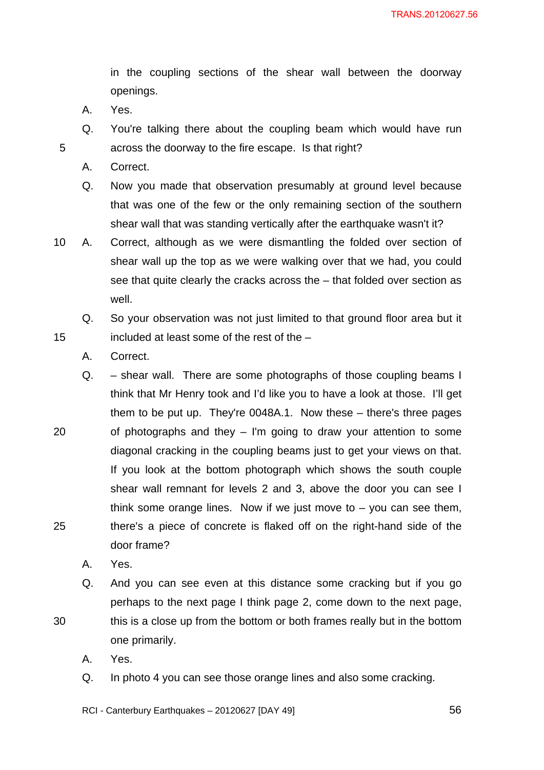in the coupling sections of the shear wall between the doorway openings.

A. Yes.

5

15

20

25

30

- Q. You're talking there about the coupling beam which would have run across the doorway to the fire escape. Is that right?
- A. Correct.
- Q. Now you made that observation presumably at ground level because that was one of the few or the only remaining section of the southern shear wall that was standing vertically after the earthquake wasn't it?
- 10 A. Correct, although as we were dismantling the folded over section of shear wall up the top as we were walking over that we had, you could see that quite clearly the cracks across the – that folded over section as well.
	- Q. So your observation was not just limited to that ground floor area but it included at least some of the rest of the –
	- A. Correct.
	- Q. shear wall. There are some photographs of those coupling beams I think that Mr Henry took and I'd like you to have a look at those. I'll get them to be put up. They're 0048A.1. Now these – there's three pages of photographs and they – I'm going to draw your attention to some diagonal cracking in the coupling beams just to get your views on that. If you look at the bottom photograph which shows the south couple shear wall remnant for levels 2 and 3, above the door you can see I think some orange lines. Now if we just move to  $-$  you can see them, there's a piece of concrete is flaked off on the right-hand side of the door frame?
		- A. Yes.
		- Q. And you can see even at this distance some cracking but if you go perhaps to the next page I think page 2, come down to the next page, this is a close up from the bottom or both frames really but in the bottom one primarily.
		- A. Yes.
		- Q. In photo 4 you can see those orange lines and also some cracking.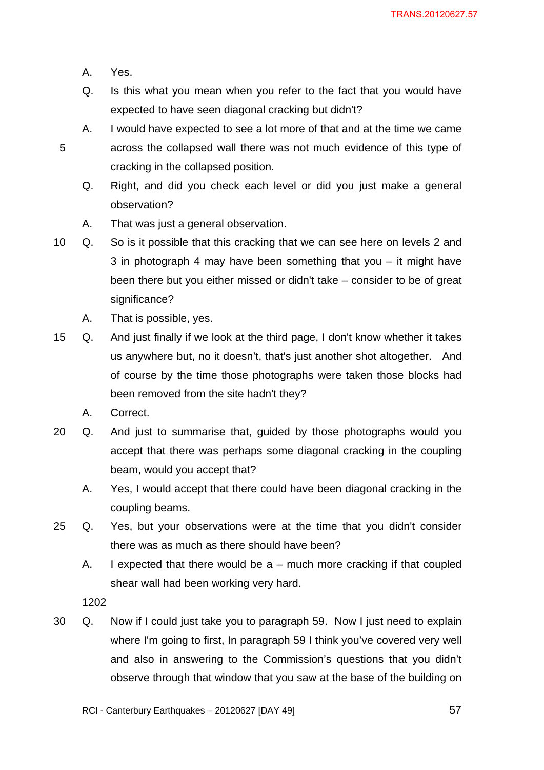A. Yes.

5

- Q. Is this what you mean when you refer to the fact that you would have expected to have seen diagonal cracking but didn't?
- A. I would have expected to see a lot more of that and at the time we came across the collapsed wall there was not much evidence of this type of cracking in the collapsed position.
	- Q. Right, and did you check each level or did you just make a general observation?
	- A. That was just a general observation.
- 10 Q. So is it possible that this cracking that we can see here on levels 2 and 3 in photograph 4 may have been something that you – it might have been there but you either missed or didn't take – consider to be of great significance?
	- A. That is possible, yes.
- 15 Q. And just finally if we look at the third page, I don't know whether it takes us anywhere but, no it doesn't, that's just another shot altogether. And of course by the time those photographs were taken those blocks had been removed from the site hadn't they?
	- A. Correct.
- 20 Q. And just to summarise that, guided by those photographs would you accept that there was perhaps some diagonal cracking in the coupling beam, would you accept that?
	- A. Yes, I would accept that there could have been diagonal cracking in the coupling beams.
- 25 Q. Yes, but your observations were at the time that you didn't consider there was as much as there should have been?
	- A. I expected that there would be  $a$  much more cracking if that coupled shear wall had been working very hard.

1202

30 Q. Now if I could just take you to paragraph 59. Now I just need to explain where I'm going to first, In paragraph 59 I think you've covered very well and also in answering to the Commission's questions that you didn't observe through that window that you saw at the base of the building on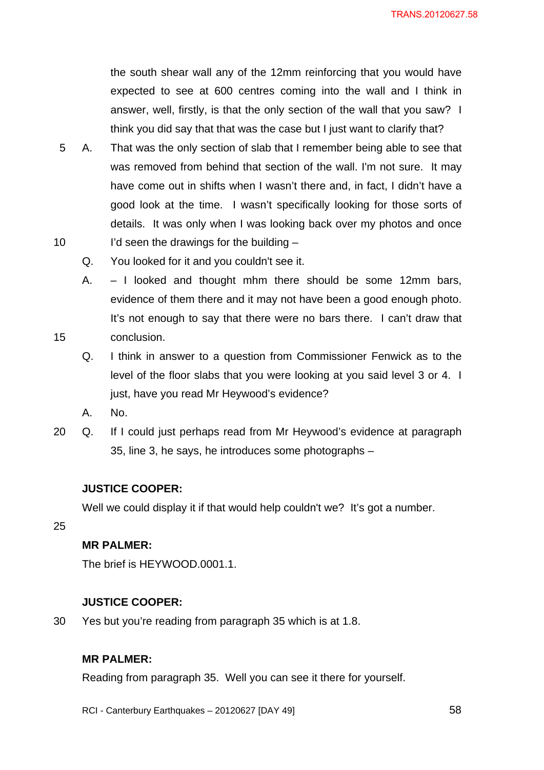the south shear wall any of the 12mm reinforcing that you would have expected to see at 600 centres coming into the wall and I think in answer, well, firstly, is that the only section of the wall that you saw? I think you did say that that was the case but I just want to clarify that?

- 10 5 A. That was the only section of slab that I remember being able to see that was removed from behind that section of the wall. I'm not sure. It may have come out in shifts when I wasn't there and, in fact, I didn't have a good look at the time. I wasn't specifically looking for those sorts of details. It was only when I was looking back over my photos and once I'd seen the drawings for the building –
	- Q. You looked for it and you couldn't see it.
	- A. I looked and thought mhm there should be some 12mm bars, evidence of them there and it may not have been a good enough photo. It's not enough to say that there were no bars there. I can't draw that conclusion.
	- Q. I think in answer to a question from Commissioner Fenwick as to the level of the floor slabs that you were looking at you said level 3 or 4. I just, have you read Mr Heywood's evidence?
	- A. No.
- 20 Q. If I could just perhaps read from Mr Heywood's evidence at paragraph 35, line 3, he says, he introduces some photographs –

## **JUSTICE COOPER:**

Well we could display it if that would help couldn't we? It's got a number.

## 25

15

# **MR PALMER:**

The brief is HEYWOOD.0001.1.

## **JUSTICE COOPER:**

30 Yes but you're reading from paragraph 35 which is at 1.8.

#### **MR PALMER:**

Reading from paragraph 35. Well you can see it there for yourself.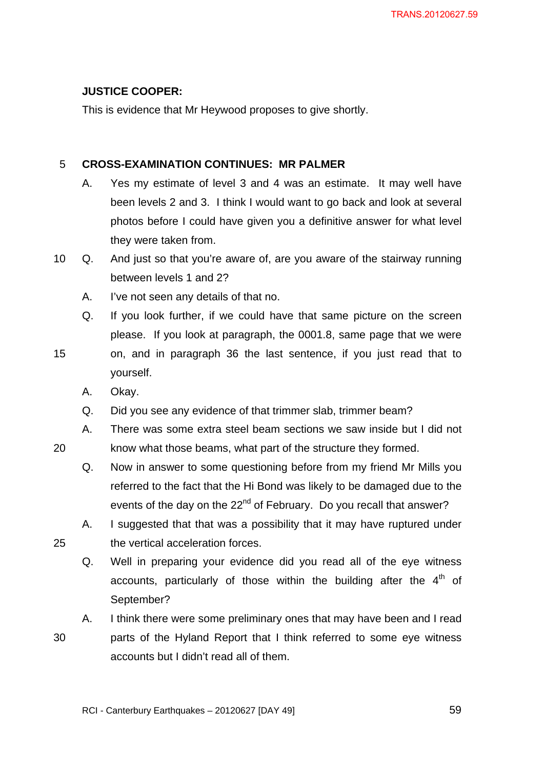# **JUSTICE COOPER:**

This is evidence that Mr Heywood proposes to give shortly.

#### 5 **CROSS-EXAMINATION CONTINUES: MR PALMER**

- A. Yes my estimate of level 3 and 4 was an estimate. It may well have been levels 2 and 3. I think I would want to go back and look at several photos before I could have given you a definitive answer for what level they were taken from.
- 10 Q. And just so that you're aware of, are you aware of the stairway running between levels 1 and 2?
	- A. I've not seen any details of that no.
	- Q. If you look further, if we could have that same picture on the screen please. If you look at paragraph, the 0001.8, same page that we were
- 15 on, and in paragraph 36 the last sentence, if you just read that to yourself.
	- A. Okay.

20

25

- Q. Did you see any evidence of that trimmer slab, trimmer beam?
- A. There was some extra steel beam sections we saw inside but I did not know what those beams, what part of the structure they formed.
- Q. Now in answer to some questioning before from my friend Mr Mills you referred to the fact that the Hi Bond was likely to be damaged due to the events of the day on the 22<sup>nd</sup> of February. Do you recall that answer?
- A. I suggested that that was a possibility that it may have ruptured under the vertical acceleration forces.
	- Q. Well in preparing your evidence did you read all of the eye witness accounts, particularly of those within the building after the  $4<sup>th</sup>$  of September?

30 A. I think there were some preliminary ones that may have been and I read parts of the Hyland Report that I think referred to some eye witness accounts but I didn't read all of them.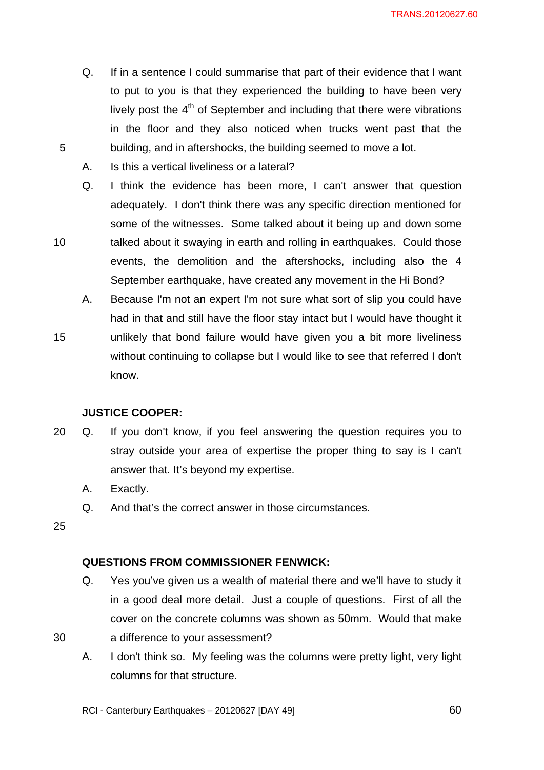TRANS.20120627.60

- Q. If in a sentence I could summarise that part of their evidence that I want to put to you is that they experienced the building to have been very lively post the  $4<sup>th</sup>$  of September and including that there were vibrations in the floor and they also noticed when trucks went past that the building, and in aftershocks, the building seemed to move a lot.
- A. Is this a vertical liveliness or a lateral?
- Q. I think the evidence has been more, I can't answer that question adequately. I don't think there was any specific direction mentioned for some of the witnesses. Some talked about it being up and down some talked about it swaying in earth and rolling in earthquakes. Could those events, the demolition and the aftershocks, including also the 4 September earthquake, have created any movement in the Hi Bond?
- A. Because I'm not an expert I'm not sure what sort of slip you could have had in that and still have the floor stay intact but I would have thought it unlikely that bond failure would have given you a bit more liveliness without continuing to collapse but I would like to see that referred I don't know.

## **JUSTICE COOPER:**

- 20 Q. If you don't know, if you feel answering the question requires you to stray outside your area of expertise the proper thing to say is I can't answer that. It's beyond my expertise.
	- A. Exactly.
	- Q. And that's the correct answer in those circumstances.

25

30

5

10

15

## **QUESTIONS FROM COMMISSIONER FENWICK:**

- Q. Yes you've given us a wealth of material there and we'll have to study it in a good deal more detail. Just a couple of questions. First of all the cover on the concrete columns was shown as 50mm. Would that make a difference to your assessment?
- A. I don't think so. My feeling was the columns were pretty light, very light columns for that structure.

RCI - Canterbury Earthquakes – 20120627 [DAY 49]

 $\sim$  60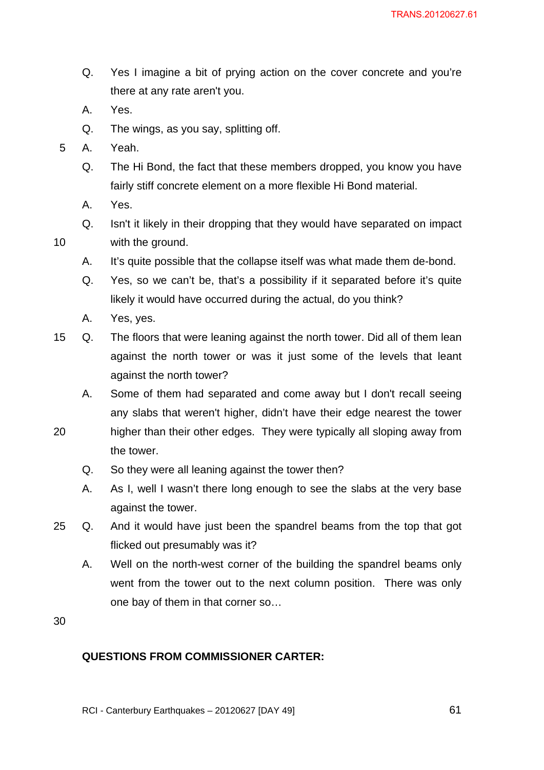- Q. Yes I imagine a bit of prying action on the cover concrete and you're there at any rate aren't you.
- A. Yes.
- Q. The wings, as you say, splitting off.
- 5 A. Yeah.
	- Q. The Hi Bond, the fact that these members dropped, you know you have fairly stiff concrete element on a more flexible Hi Bond material.
	- A. Yes.

10

- Q. Isn't it likely in their dropping that they would have separated on impact with the ground.
- A. It's quite possible that the collapse itself was what made them de-bond.
- Q. Yes, so we can't be, that's a possibility if it separated before it's quite likely it would have occurred during the actual, do you think?
- A. Yes, yes.
- 15 Q. The floors that were leaning against the north tower. Did all of them lean against the north tower or was it just some of the levels that leant against the north tower?
	- A. Some of them had separated and come away but I don't recall seeing any slabs that weren't higher, didn't have their edge nearest the tower
- 20 higher than their other edges. They were typically all sloping away from the tower.
	- Q. So they were all leaning against the tower then?
	- A. As I, well I wasn't there long enough to see the slabs at the very base against the tower.
- 25 Q. And it would have just been the spandrel beams from the top that got flicked out presumably was it?
	- A. Well on the north-west corner of the building the spandrel beams only went from the tower out to the next column position. There was only one bay of them in that corner so…

30

# **QUESTIONS FROM COMMISSIONER CARTER:**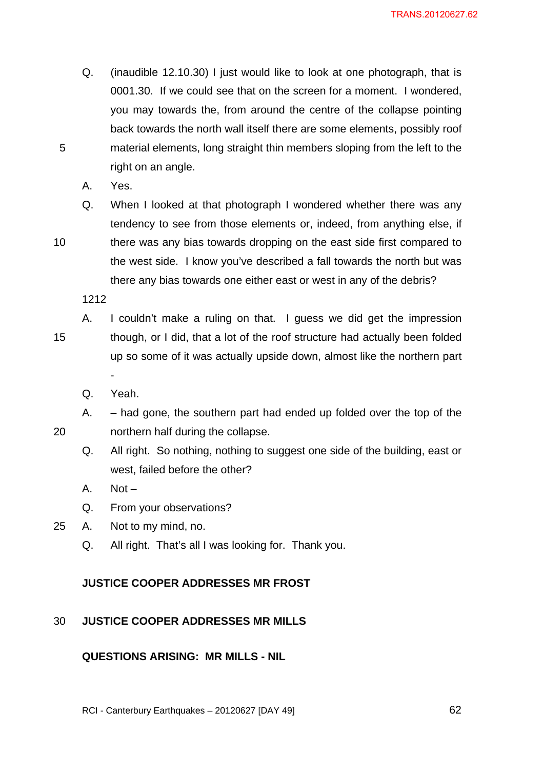- Q. (inaudible 12.10.30) I just would like to look at one photograph, that is 0001.30. If we could see that on the screen for a moment. I wondered, you may towards the, from around the centre of the collapse pointing back towards the north wall itself there are some elements, possibly roof material elements, long straight thin members sloping from the left to the right on an angle.
- A. Yes.

5

10

20

Q. When I looked at that photograph I wondered whether there was any tendency to see from those elements or, indeed, from anything else, if there was any bias towards dropping on the east side first compared to the west side. I know you've described a fall towards the north but was there any bias towards one either east or west in any of the debris?

1212

- 15 A. I couldn't make a ruling on that. I guess we did get the impression though, or I did, that a lot of the roof structure had actually been folded up so some of it was actually upside down, almost like the northern part -
	- Q. Yeah.
	- A. had gone, the southern part had ended up folded over the top of the northern half during the collapse.
		- Q. All right. So nothing, nothing to suggest one side of the building, east or west, failed before the other?
		- A. Not –
		- Q. From your observations?
- 25 A. Not to my mind, no.
	- Q. All right. That's all I was looking for. Thank you.

#### **JUSTICE COOPER ADDRESSES MR FROST**

#### 30 **JUSTICE COOPER ADDRESSES MR MILLS**

# **QUESTIONS ARISING: MR MILLS - NIL**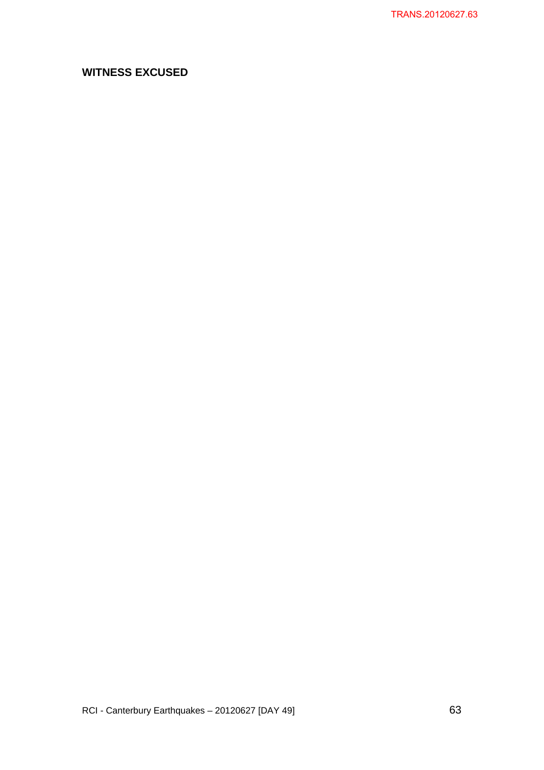# **WITNESS EXCUSED**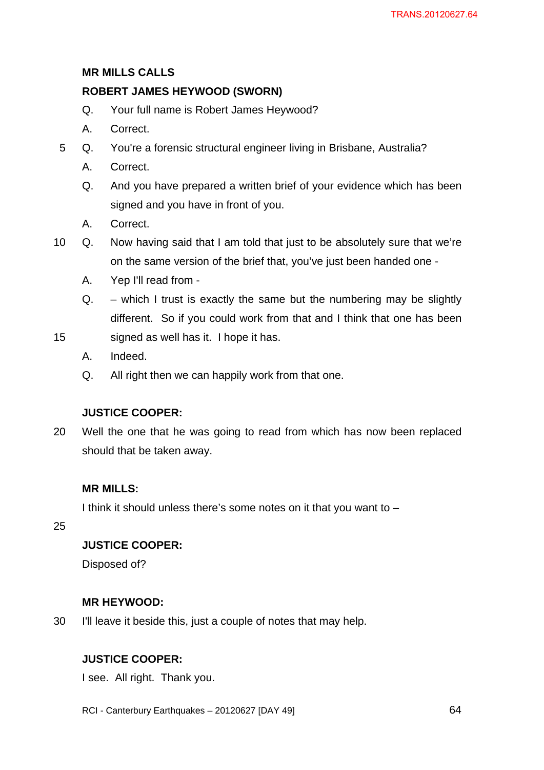# **MR MILLS CALLS**

## **ROBERT JAMES HEYWOOD (SWORN)**

- Q. Your full name is Robert James Heywood?
- A. Correct.
- 5 Q. You're a forensic structural engineer living in Brisbane, Australia?
	- A. Correct.
	- Q. And you have prepared a written brief of your evidence which has been signed and you have in front of you.
	- A. Correct.
- 10 Q. Now having said that I am told that just to be absolutely sure that we're on the same version of the brief that, you've just been handed one -
	- A. Yep I'll read from -
	- $Q_{\text{r}}$  which I trust is exactly the same but the numbering may be slightly different. So if you could work from that and I think that one has been
- 15 signed as well has it. I hope it has.
	- A. Indeed.
	- Q. All right then we can happily work from that one.

## **JUSTICE COOPER:**

20 Well the one that he was going to read from which has now been replaced should that be taken away.

## **MR MILLS:**

I think it should unless there's some notes on it that you want to –

25

## **JUSTICE COOPER:**

Disposed of?

#### **MR HEYWOOD:**

30 I'll leave it beside this, just a couple of notes that may help.

# **JUSTICE COOPER:**

I see. All right. Thank you.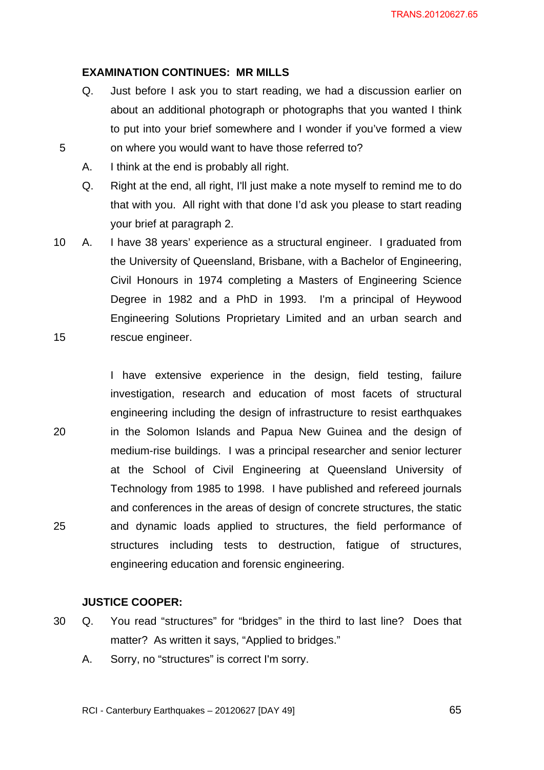#### **EXAMINATION CONTINUES: MR MILLS**

- Q. Just before I ask you to start reading, we had a discussion earlier on about an additional photograph or photographs that you wanted I think to put into your brief somewhere and I wonder if you've formed a view on where you would want to have those referred to?
- A. I think at the end is probably all right.

5

- Q. Right at the end, all right, I'll just make a note myself to remind me to do that with you. All right with that done I'd ask you please to start reading your brief at paragraph 2.
- 15 10 A. I have 38 years' experience as a structural engineer. I graduated from the University of Queensland, Brisbane, with a Bachelor of Engineering, Civil Honours in 1974 completing a Masters of Engineering Science Degree in 1982 and a PhD in 1993. I'm a principal of Heywood Engineering Solutions Proprietary Limited and an urban search and rescue engineer.

20 25 I have extensive experience in the design, field testing, failure investigation, research and education of most facets of structural engineering including the design of infrastructure to resist earthquakes in the Solomon Islands and Papua New Guinea and the design of medium-rise buildings. I was a principal researcher and senior lecturer at the School of Civil Engineering at Queensland University of Technology from 1985 to 1998. I have published and refereed journals and conferences in the areas of design of concrete structures, the static and dynamic loads applied to structures, the field performance of structures including tests to destruction, fatigue of structures, engineering education and forensic engineering.

#### **JUSTICE COOPER:**

- 30 Q. You read "structures" for "bridges" in the third to last line? Does that matter? As written it says, "Applied to bridges."
	- A. Sorry, no "structures" is correct I'm sorry.

RCI - Canterbury Earthquakes – 20120627 [DAY 49]

 $\sim$  65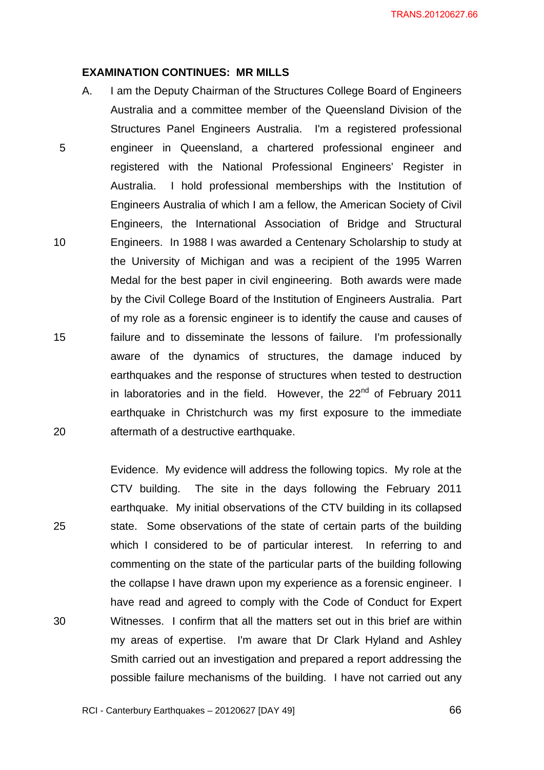#### **EXAMINATION CONTINUES: MR MILLS**

5 10 15 20 A. I am the Deputy Chairman of the Structures College Board of Engineers Australia and a committee member of the Queensland Division of the Structures Panel Engineers Australia. I'm a registered professional engineer in Queensland, a chartered professional engineer and registered with the National Professional Engineers' Register in Australia. I hold professional memberships with the Institution of Engineers Australia of which I am a fellow, the American Society of Civil Engineers, the International Association of Bridge and Structural Engineers. In 1988 I was awarded a Centenary Scholarship to study at the University of Michigan and was a recipient of the 1995 Warren Medal for the best paper in civil engineering. Both awards were made by the Civil College Board of the Institution of Engineers Australia. Part of my role as a forensic engineer is to identify the cause and causes of failure and to disseminate the lessons of failure. I'm professionally aware of the dynamics of structures, the damage induced by earthquakes and the response of structures when tested to destruction in laboratories and in the field. However, the  $22<sup>nd</sup>$  of February 2011 earthquake in Christchurch was my first exposure to the immediate aftermath of a destructive earthquake.

Evidence. My evidence will address the following topics. My role at the CTV building. The site in the days following the February 2011 earthquake. My initial observations of the CTV building in its collapsed state. Some observations of the state of certain parts of the building which I considered to be of particular interest. In referring to and commenting on the state of the particular parts of the building following the collapse I have drawn upon my experience as a forensic engineer. I have read and agreed to comply with the Code of Conduct for Expert Witnesses. I confirm that all the matters set out in this brief are within my areas of expertise. I'm aware that Dr Clark Hyland and Ashley Smith carried out an investigation and prepared a report addressing the possible failure mechanisms of the building. I have not carried out any

25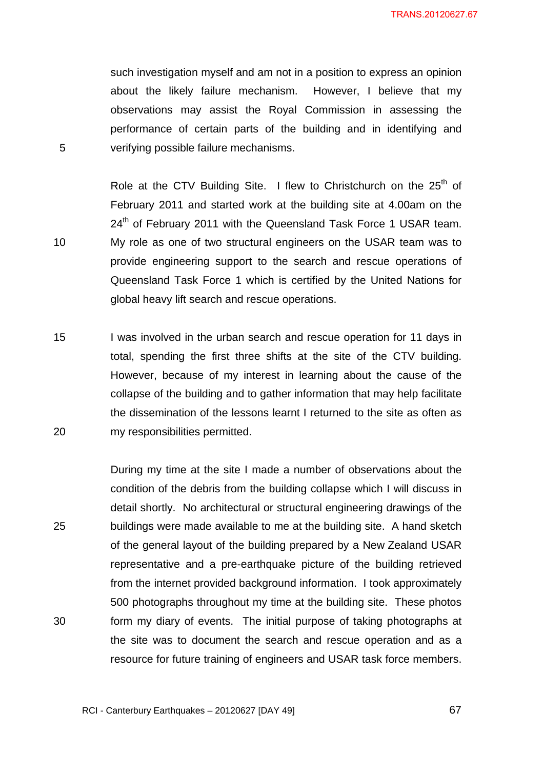such investigation myself and am not in a position to express an opinion about the likely failure mechanism. However, I believe that my observations may assist the Royal Commission in assessing the performance of certain parts of the building and in identifying and verifying possible failure mechanisms.

Role at the CTV Building Site. I flew to Christchurch on the  $25<sup>th</sup>$  of February 2011 and started work at the building site at 4.00am on the 24<sup>th</sup> of February 2011 with the Queensland Task Force 1 USAR team. My role as one of two structural engineers on the USAR team was to provide engineering support to the search and rescue operations of Queensland Task Force 1 which is certified by the United Nations for global heavy lift search and rescue operations.

5

10

15 20 I was involved in the urban search and rescue operation for 11 days in total, spending the first three shifts at the site of the CTV building. However, because of my interest in learning about the cause of the collapse of the building and to gather information that may help facilitate the dissemination of the lessons learnt I returned to the site as often as my responsibilities permitted.

25 30 During my time at the site I made a number of observations about the condition of the debris from the building collapse which I will discuss in detail shortly. No architectural or structural engineering drawings of the buildings were made available to me at the building site. A hand sketch of the general layout of the building prepared by a New Zealand USAR representative and a pre-earthquake picture of the building retrieved from the internet provided background information. I took approximately 500 photographs throughout my time at the building site. These photos form my diary of events. The initial purpose of taking photographs at the site was to document the search and rescue operation and as a resource for future training of engineers and USAR task force members.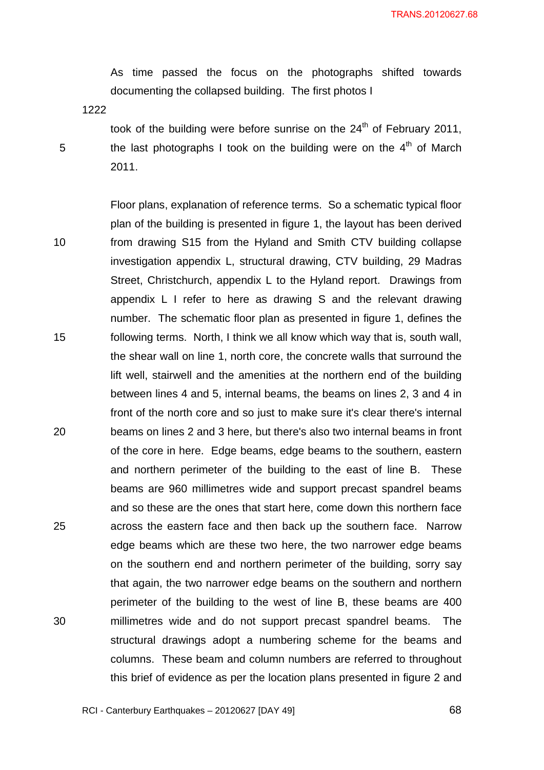As time passed the focus on the photographs shifted towards documenting the collapsed building. The first photos I

1222

5

took of the building were before sunrise on the  $24<sup>th</sup>$  of February 2011, the last photographs I took on the building were on the  $4<sup>th</sup>$  of March 2011.

10 15 20 25 30 Floor plans, explanation of reference terms. So a schematic typical floor plan of the building is presented in figure 1, the layout has been derived from drawing S15 from the Hyland and Smith CTV building collapse investigation appendix L, structural drawing, CTV building, 29 Madras Street, Christchurch, appendix L to the Hyland report. Drawings from appendix L I refer to here as drawing S and the relevant drawing number. The schematic floor plan as presented in figure 1, defines the following terms. North, I think we all know which way that is, south wall, the shear wall on line 1, north core, the concrete walls that surround the lift well, stairwell and the amenities at the northern end of the building between lines 4 and 5, internal beams, the beams on lines 2, 3 and 4 in front of the north core and so just to make sure it's clear there's internal beams on lines 2 and 3 here, but there's also two internal beams in front of the core in here. Edge beams, edge beams to the southern, eastern and northern perimeter of the building to the east of line B. These beams are 960 millimetres wide and support precast spandrel beams and so these are the ones that start here, come down this northern face across the eastern face and then back up the southern face. Narrow edge beams which are these two here, the two narrower edge beams on the southern end and northern perimeter of the building, sorry say that again, the two narrower edge beams on the southern and northern perimeter of the building to the west of line B, these beams are 400 millimetres wide and do not support precast spandrel beams. The structural drawings adopt a numbering scheme for the beams and columns. These beam and column numbers are referred to throughout this brief of evidence as per the location plans presented in figure 2 and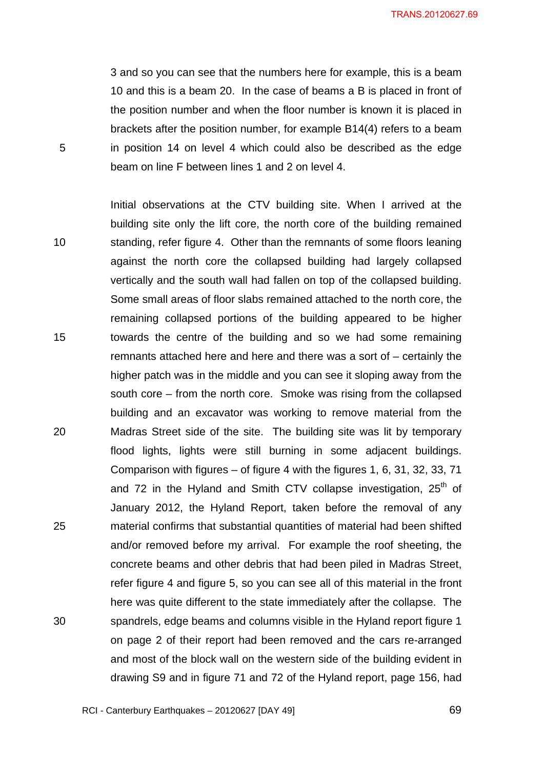TRANS.20120627.69

3 and so you can see that the numbers here for example, this is a beam 10 and this is a beam 20. In the case of beams a B is placed in front of the position number and when the floor number is known it is placed in brackets after the position number, for example B14(4) refers to a beam in position 14 on level 4 which could also be described as the edge beam on line F between lines 1 and 2 on level 4.

5

10 15 20 25 30 Initial observations at the CTV building site. When I arrived at the building site only the lift core, the north core of the building remained standing, refer figure 4. Other than the remnants of some floors leaning against the north core the collapsed building had largely collapsed vertically and the south wall had fallen on top of the collapsed building. Some small areas of floor slabs remained attached to the north core, the remaining collapsed portions of the building appeared to be higher towards the centre of the building and so we had some remaining remnants attached here and here and there was a sort of – certainly the higher patch was in the middle and you can see it sloping away from the south core – from the north core. Smoke was rising from the collapsed building and an excavator was working to remove material from the Madras Street side of the site. The building site was lit by temporary flood lights, lights were still burning in some adjacent buildings. Comparison with figures – of figure 4 with the figures 1, 6, 31, 32, 33, 71 and 72 in the Hyland and Smith CTV collapse investigation,  $25<sup>th</sup>$  of January 2012, the Hyland Report, taken before the removal of any material confirms that substantial quantities of material had been shifted and/or removed before my arrival. For example the roof sheeting, the concrete beams and other debris that had been piled in Madras Street, refer figure 4 and figure 5, so you can see all of this material in the front here was quite different to the state immediately after the collapse. The spandrels, edge beams and columns visible in the Hyland report figure 1 on page 2 of their report had been removed and the cars re-arranged and most of the block wall on the western side of the building evident in drawing S9 and in figure 71 and 72 of the Hyland report, page 156, had

RCI - Canterbury Earthquakes – 20120627 [DAY 49]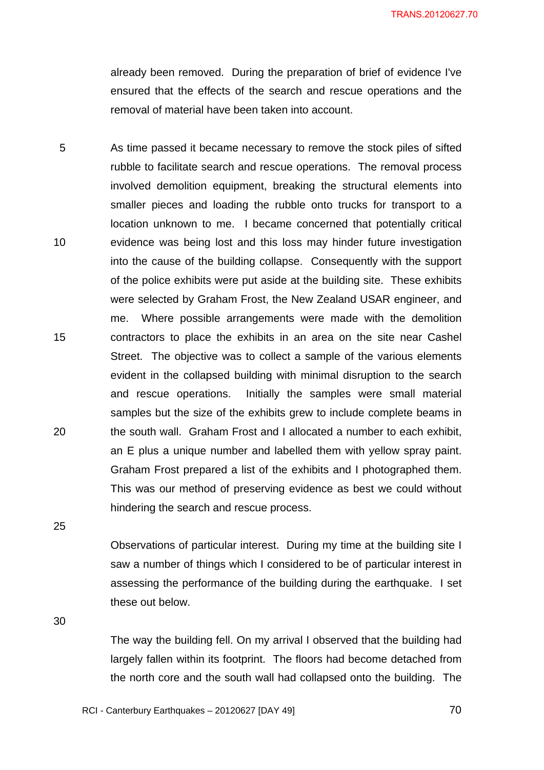already been removed. During the preparation of brief of evidence I've ensured that the effects of the search and rescue operations and the removal of material have been taken into account.

5 10 15 20 As time passed it became necessary to remove the stock piles of sifted rubble to facilitate search and rescue operations. The removal process involved demolition equipment, breaking the structural elements into smaller pieces and loading the rubble onto trucks for transport to a location unknown to me. I became concerned that potentially critical evidence was being lost and this loss may hinder future investigation into the cause of the building collapse. Consequently with the support of the police exhibits were put aside at the building site. These exhibits were selected by Graham Frost, the New Zealand USAR engineer, and me. Where possible arrangements were made with the demolition contractors to place the exhibits in an area on the site near Cashel Street. The objective was to collect a sample of the various elements evident in the collapsed building with minimal disruption to the search and rescue operations. Initially the samples were small material samples but the size of the exhibits grew to include complete beams in the south wall. Graham Frost and I allocated a number to each exhibit, an E plus a unique number and labelled them with yellow spray paint. Graham Frost prepared a list of the exhibits and I photographed them. This was our method of preserving evidence as best we could without hindering the search and rescue process.

25

Observations of particular interest. During my time at the building site I saw a number of things which I considered to be of particular interest in assessing the performance of the building during the earthquake. I set these out below.

30

The way the building fell. On my arrival I observed that the building had largely fallen within its footprint. The floors had become detached from the north core and the south wall had collapsed onto the building. The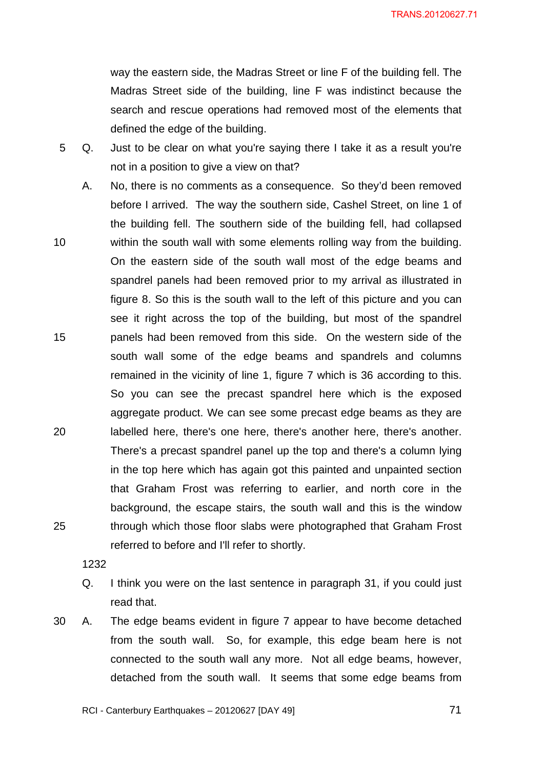TRANS.20120627.71

way the eastern side, the Madras Street or line F of the building fell. The Madras Street side of the building, line F was indistinct because the search and rescue operations had removed most of the elements that defined the edge of the building.

- 5 Q. Just to be clear on what you're saying there I take it as a result you're not in a position to give a view on that?
- 10 15 20 25 A. No, there is no comments as a consequence. So they'd been removed before I arrived. The way the southern side, Cashel Street, on line 1 of the building fell. The southern side of the building fell, had collapsed within the south wall with some elements rolling way from the building. On the eastern side of the south wall most of the edge beams and spandrel panels had been removed prior to my arrival as illustrated in figure 8. So this is the south wall to the left of this picture and you can see it right across the top of the building, but most of the spandrel panels had been removed from this side. On the western side of the south wall some of the edge beams and spandrels and columns remained in the vicinity of line 1, figure 7 which is 36 according to this. So you can see the precast spandrel here which is the exposed aggregate product. We can see some precast edge beams as they are labelled here, there's one here, there's another here, there's another. There's a precast spandrel panel up the top and there's a column lying in the top here which has again got this painted and unpainted section that Graham Frost was referring to earlier, and north core in the background, the escape stairs, the south wall and this is the window through which those floor slabs were photographed that Graham Frost referred to before and I'll refer to shortly.

1232

- Q. I think you were on the last sentence in paragraph 31, if you could just read that.
- 30 A. The edge beams evident in figure 7 appear to have become detached from the south wall. So, for example, this edge beam here is not connected to the south wall any more. Not all edge beams, however, detached from the south wall. It seems that some edge beams from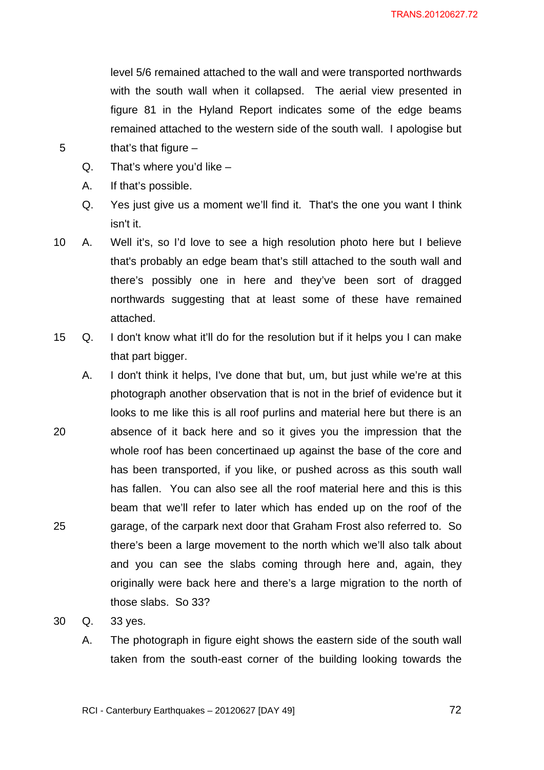level 5/6 remained attached to the wall and were transported northwards with the south wall when it collapsed. The aerial view presented in figure 81 in the Hyland Report indicates some of the edge beams remained attached to the western side of the south wall. I apologise but that's that figure  $-$ 

- $Q.$  That's where you'd like  $-$
- A. If that's possible.

5

Q. Yes just give us a moment we'll find it. That's the one you want I think isn't it.

10 A. Well it's, so I'd love to see a high resolution photo here but I believe that's probably an edge beam that's still attached to the south wall and there's possibly one in here and they've been sort of dragged northwards suggesting that at least some of these have remained attached.

- 15 Q. I don't know what it'll do for the resolution but if it helps you I can make that part bigger.
- 20 25 A. I don't think it helps, I've done that but, um, but just while we're at this photograph another observation that is not in the brief of evidence but it looks to me like this is all roof purlins and material here but there is an absence of it back here and so it gives you the impression that the whole roof has been concertinaed up against the base of the core and has been transported, if you like, or pushed across as this south wall has fallen. You can also see all the roof material here and this is this beam that we'll refer to later which has ended up on the roof of the garage, of the carpark next door that Graham Frost also referred to. So there's been a large movement to the north which we'll also talk about and you can see the slabs coming through here and, again, they originally were back here and there's a large migration to the north of those slabs. So 33?
- 30 Q. 33 yes.
	- A. The photograph in figure eight shows the eastern side of the south wall taken from the south-east corner of the building looking towards the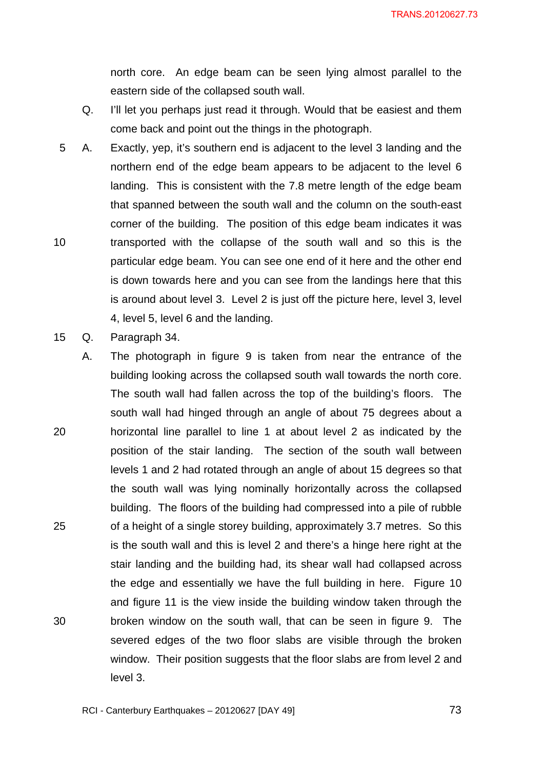north core. An edge beam can be seen lying almost parallel to the eastern side of the collapsed south wall.

- Q. I'll let you perhaps just read it through. Would that be easiest and them come back and point out the things in the photograph.
- 10 5 A. Exactly, yep, it's southern end is adjacent to the level 3 landing and the northern end of the edge beam appears to be adjacent to the level 6 landing. This is consistent with the 7.8 metre length of the edge beam that spanned between the south wall and the column on the south-east corner of the building. The position of this edge beam indicates it was transported with the collapse of the south wall and so this is the particular edge beam. You can see one end of it here and the other end is down towards here and you can see from the landings here that this is around about level 3. Level 2 is just off the picture here, level 3, level 4, level 5, level 6 and the landing.
- 15 Q. Paragraph 34.
- 20 25 30 A. The photograph in figure 9 is taken from near the entrance of the building looking across the collapsed south wall towards the north core. The south wall had fallen across the top of the building's floors. The south wall had hinged through an angle of about 75 degrees about a horizontal line parallel to line 1 at about level 2 as indicated by the position of the stair landing. The section of the south wall between levels 1 and 2 had rotated through an angle of about 15 degrees so that the south wall was lying nominally horizontally across the collapsed building. The floors of the building had compressed into a pile of rubble of a height of a single storey building, approximately 3.7 metres. So this is the south wall and this is level 2 and there's a hinge here right at the stair landing and the building had, its shear wall had collapsed across the edge and essentially we have the full building in here. Figure 10 and figure 11 is the view inside the building window taken through the broken window on the south wall, that can be seen in figure 9. The severed edges of the two floor slabs are visible through the broken window. Their position suggests that the floor slabs are from level 2 and level 3.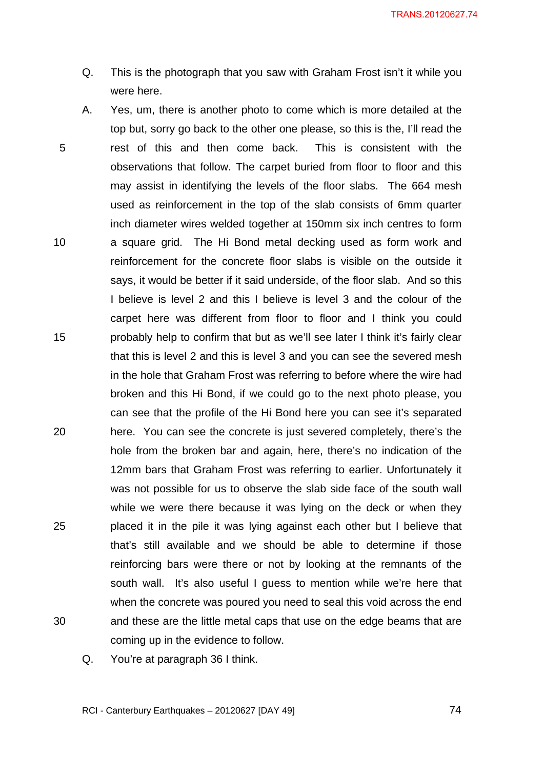- Q. This is the photograph that you saw with Graham Frost isn't it while you were here.
- 5 10 15 20 25 30 A. Yes, um, there is another photo to come which is more detailed at the top but, sorry go back to the other one please, so this is the, I'll read the rest of this and then come back. This is consistent with the observations that follow. The carpet buried from floor to floor and this may assist in identifying the levels of the floor slabs. The 664 mesh used as reinforcement in the top of the slab consists of 6mm quarter inch diameter wires welded together at 150mm six inch centres to form a square grid. The Hi Bond metal decking used as form work and reinforcement for the concrete floor slabs is visible on the outside it says, it would be better if it said underside, of the floor slab. And so this I believe is level 2 and this I believe is level 3 and the colour of the carpet here was different from floor to floor and I think you could probably help to confirm that but as we'll see later I think it's fairly clear that this is level 2 and this is level 3 and you can see the severed mesh in the hole that Graham Frost was referring to before where the wire had broken and this Hi Bond, if we could go to the next photo please, you can see that the profile of the Hi Bond here you can see it's separated here. You can see the concrete is just severed completely, there's the hole from the broken bar and again, here, there's no indication of the 12mm bars that Graham Frost was referring to earlier. Unfortunately it was not possible for us to observe the slab side face of the south wall while we were there because it was lying on the deck or when they placed it in the pile it was lying against each other but I believe that that's still available and we should be able to determine if those reinforcing bars were there or not by looking at the remnants of the south wall. It's also useful I guess to mention while we're here that when the concrete was poured you need to seal this void across the end and these are the little metal caps that use on the edge beams that are coming up in the evidence to follow.
	- Q. You're at paragraph 36 I think.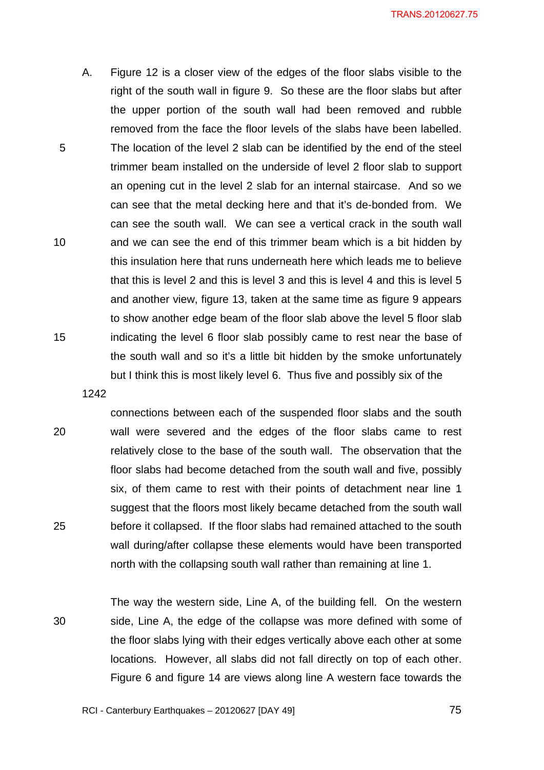A. Figure 12 is a closer view of the edges of the floor slabs visible to the right of the south wall in figure 9. So these are the floor slabs but after the upper portion of the south wall had been removed and rubble removed from the face the floor levels of the slabs have been labelled. The location of the level 2 slab can be identified by the end of the steel trimmer beam installed on the underside of level 2 floor slab to support an opening cut in the level 2 slab for an internal staircase. And so we can see that the metal decking here and that it's de-bonded from. We can see the south wall. We can see a vertical crack in the south wall and we can see the end of this trimmer beam which is a bit hidden by this insulation here that runs underneath here which leads me to believe that this is level 2 and this is level 3 and this is level 4 and this is level 5 and another view, figure 13, taken at the same time as figure 9 appears to show another edge beam of the floor slab above the level 5 floor slab indicating the level 6 floor slab possibly came to rest near the base of the south wall and so it's a little bit hidden by the smoke unfortunately but I think this is most likely level 6. Thus five and possibly six of the

1242

20

25

5

10

15

connections between each of the suspended floor slabs and the south wall were severed and the edges of the floor slabs came to rest relatively close to the base of the south wall. The observation that the floor slabs had become detached from the south wall and five, possibly six, of them came to rest with their points of detachment near line 1 suggest that the floors most likely became detached from the south wall before it collapsed. If the floor slabs had remained attached to the south wall during/after collapse these elements would have been transported north with the collapsing south wall rather than remaining at line 1.

30 The way the western side, Line A, of the building fell. On the western side, Line A, the edge of the collapse was more defined with some of the floor slabs lying with their edges vertically above each other at some locations. However, all slabs did not fall directly on top of each other. Figure 6 and figure 14 are views along line A western face towards the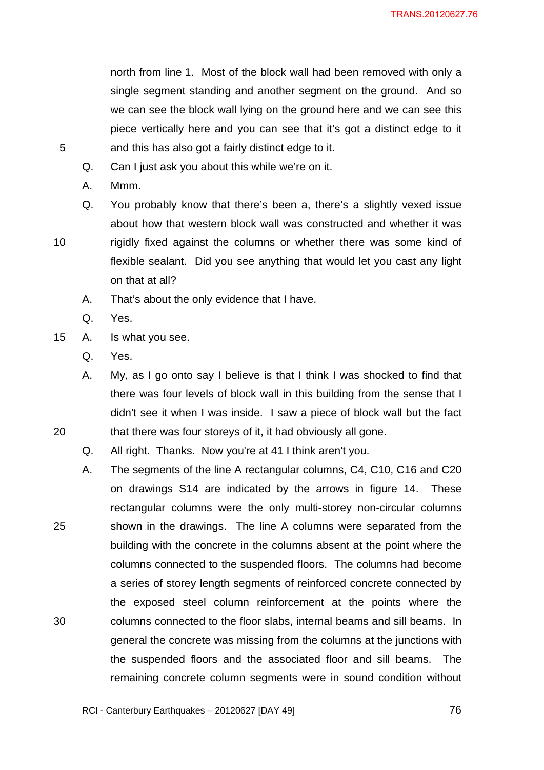north from line 1. Most of the block wall had been removed with only a single segment standing and another segment on the ground. And so we can see the block wall lying on the ground here and we can see this piece vertically here and you can see that it's got a distinct edge to it and this has also got a fairly distinct edge to it.

- Q. Can I just ask you about this while we're on it.
- A. Mmm.

5

10

20

25

30

- Q. You probably know that there's been a, there's a slightly vexed issue about how that western block wall was constructed and whether it was rigidly fixed against the columns or whether there was some kind of flexible sealant. Did you see anything that would let you cast any light on that at all?
- A. That's about the only evidence that I have.
- Q. Yes.
- 15 A. Is what you see.
	- Q. Yes.
	- A. My, as I go onto say I believe is that I think I was shocked to find that there was four levels of block wall in this building from the sense that I didn't see it when I was inside. I saw a piece of block wall but the fact that there was four storeys of it, it had obviously all gone.

Q. All right. Thanks. Now you're at 41 I think aren't you.

A. The segments of the line A rectangular columns, C4, C10, C16 and C20 on drawings S14 are indicated by the arrows in figure 14. These rectangular columns were the only multi-storey non-circular columns shown in the drawings. The line A columns were separated from the building with the concrete in the columns absent at the point where the columns connected to the suspended floors. The columns had become a series of storey length segments of reinforced concrete connected by the exposed steel column reinforcement at the points where the columns connected to the floor slabs, internal beams and sill beams. In general the concrete was missing from the columns at the junctions with the suspended floors and the associated floor and sill beams. The remaining concrete column segments were in sound condition without

<u>2012 - Paris Carl The Carl The Time and Time and Time and Time and Time and Time and Time and Time and Time an</u>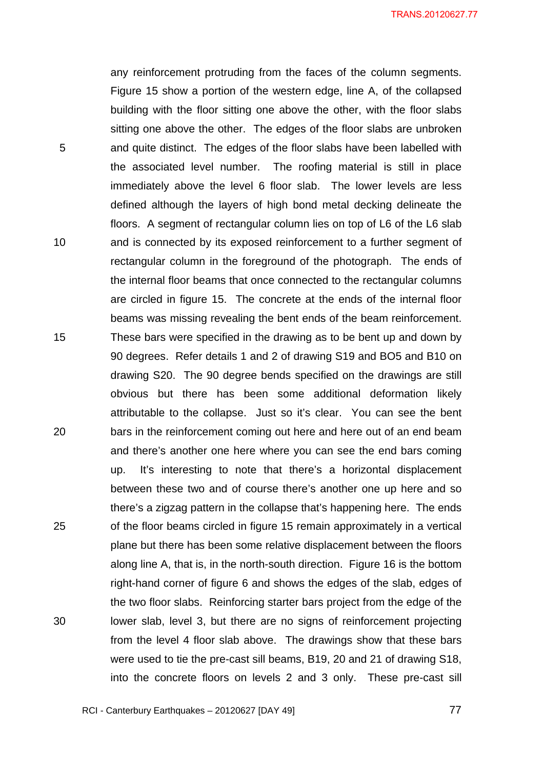any reinforcement protruding from the faces of the column segments. Figure 15 show a portion of the western edge, line A, of the collapsed building with the floor sitting one above the other, with the floor slabs sitting one above the other. The edges of the floor slabs are unbroken and quite distinct. The edges of the floor slabs have been labelled with the associated level number. The roofing material is still in place immediately above the level 6 floor slab. The lower levels are less defined although the layers of high bond metal decking delineate the floors. A segment of rectangular column lies on top of L6 of the L6 slab and is connected by its exposed reinforcement to a further segment of rectangular column in the foreground of the photograph. The ends of the internal floor beams that once connected to the rectangular columns are circled in figure 15. The concrete at the ends of the internal floor beams was missing revealing the bent ends of the beam reinforcement. These bars were specified in the drawing as to be bent up and down by 90 degrees. Refer details 1 and 2 of drawing S19 and BO5 and B10 on drawing S20. The 90 degree bends specified on the drawings are still obvious but there has been some additional deformation likely attributable to the collapse. Just so it's clear. You can see the bent bars in the reinforcement coming out here and here out of an end beam and there's another one here where you can see the end bars coming up. It's interesting to note that there's a horizontal displacement between these two and of course there's another one up here and so there's a zigzag pattern in the collapse that's happening here. The ends of the floor beams circled in figure 15 remain approximately in a vertical plane but there has been some relative displacement between the floors along line A, that is, in the north-south direction. Figure 16 is the bottom right-hand corner of figure 6 and shows the edges of the slab, edges of the two floor slabs. Reinforcing starter bars project from the edge of the lower slab, level 3, but there are no signs of reinforcement projecting from the level 4 floor slab above. The drawings show that these bars were used to tie the pre-cast sill beams, B19, 20 and 21 of drawing S18, into the concrete floors on levels 2 and 3 only. These pre-cast sill

RCI - Canterbury Earthquakes – 20120627 [DAY 49]

5

10

15

20

25

30

<u>27 mars 1986 - 1987 - 1988 i 1989 i 1989 i 1989 i 1989 i 1989 i 1989 i 1989 i 1989 i 1989 i 1989 i 1989 i 198</u>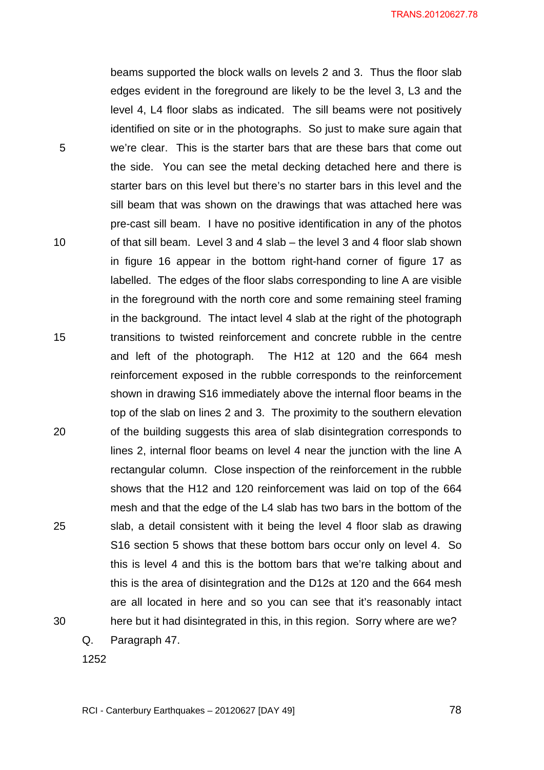beams supported the block walls on levels 2 and 3. Thus the floor slab edges evident in the foreground are likely to be the level 3, L3 and the level 4, L4 floor slabs as indicated. The sill beams were not positively identified on site or in the photographs. So just to make sure again that we're clear. This is the starter bars that are these bars that come out the side. You can see the metal decking detached here and there is starter bars on this level but there's no starter bars in this level and the sill beam that was shown on the drawings that was attached here was pre-cast sill beam. I have no positive identification in any of the photos of that sill beam. Level 3 and 4 slab – the level 3 and 4 floor slab shown in figure 16 appear in the bottom right-hand corner of figure 17 as labelled. The edges of the floor slabs corresponding to line A are visible in the foreground with the north core and some remaining steel framing in the background. The intact level 4 slab at the right of the photograph transitions to twisted reinforcement and concrete rubble in the centre and left of the photograph. The H12 at 120 and the 664 mesh reinforcement exposed in the rubble corresponds to the reinforcement shown in drawing S16 immediately above the internal floor beams in the top of the slab on lines 2 and 3. The proximity to the southern elevation of the building suggests this area of slab disintegration corresponds to lines 2, internal floor beams on level 4 near the junction with the line A rectangular column. Close inspection of the reinforcement in the rubble shows that the H12 and 120 reinforcement was laid on top of the 664 mesh and that the edge of the L4 slab has two bars in the bottom of the slab, a detail consistent with it being the level 4 floor slab as drawing S16 section 5 shows that these bottom bars occur only on level 4. So this is level 4 and this is the bottom bars that we're talking about and this is the area of disintegration and the D12s at 120 and the 664 mesh are all located in here and so you can see that it's reasonably intact here but it had disintegrated in this, in this region. Sorry where are we?

Q. Paragraph 47.

1252

5

10

15

20

25

30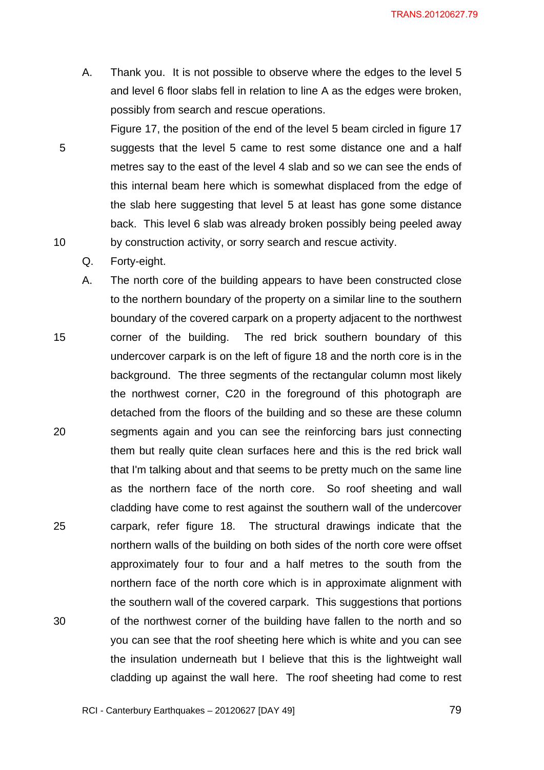A. Thank you. It is not possible to observe where the edges to the level 5 and level 6 floor slabs fell in relation to line A as the edges were broken, possibly from search and rescue operations.

Figure 17, the position of the end of the level 5 beam circled in figure 17 suggests that the level 5 came to rest some distance one and a half metres say to the east of the level 4 slab and so we can see the ends of this internal beam here which is somewhat displaced from the edge of the slab here suggesting that level 5 at least has gone some distance back. This level 6 slab was already broken possibly being peeled away by construction activity, or sorry search and rescue activity.

Q. Forty-eight.

5

10

15 20 25 30 A. The north core of the building appears to have been constructed close to the northern boundary of the property on a similar line to the southern boundary of the covered carpark on a property adjacent to the northwest corner of the building. The red brick southern boundary of this undercover carpark is on the left of figure 18 and the north core is in the background. The three segments of the rectangular column most likely the northwest corner, C20 in the foreground of this photograph are detached from the floors of the building and so these are these column segments again and you can see the reinforcing bars just connecting them but really quite clean surfaces here and this is the red brick wall that I'm talking about and that seems to be pretty much on the same line as the northern face of the north core. So roof sheeting and wall cladding have come to rest against the southern wall of the undercover carpark, refer figure 18. The structural drawings indicate that the northern walls of the building on both sides of the north core were offset approximately four to four and a half metres to the south from the northern face of the north core which is in approximate alignment with the southern wall of the covered carpark. This suggestions that portions of the northwest corner of the building have fallen to the north and so you can see that the roof sheeting here which is white and you can see the insulation underneath but I believe that this is the lightweight wall cladding up against the wall here. The roof sheeting had come to rest

RCI - Canterbury Earthquakes – 20120627 [DAY 49]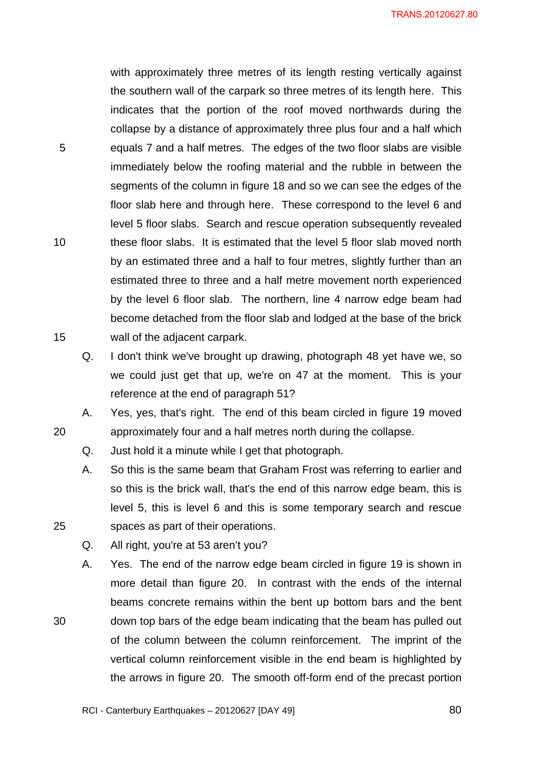with approximately three metres of its length resting vertically against the southern wall of the carpark so three metres of its length here. This indicates that the portion of the roof moved northwards during the collapse by a distance of approximately three plus four and a half which equals 7 and a half metres. The edges of the two floor slabs are visible immediately below the roofing material and the rubble in between the segments of the column in figure 18 and so we can see the edges of the floor slab here and through here. These correspond to the level 6 and level 5 floor slabs. Search and rescue operation subsequently revealed these floor slabs. It is estimated that the level 5 floor slab moved north by an estimated three and a half to four metres, slightly further than an estimated three to three and a half metre movement north experienced by the level 6 floor slab. The northern, line 4 narrow edge beam had become detached from the floor slab and lodged at the base of the brick wall of the adjacent carpark.

Q. I don't think we've brought up drawing, photograph 48 yet have we, so we could just get that up, we're on 47 at the moment. This is your reference at the end of paragraph 51?

A. Yes, yes, that's right. The end of this beam circled in figure 19 moved approximately four and a half metres north during the collapse.

- Q. Just hold it a minute while I get that photograph.
- A. So this is the same beam that Graham Frost was referring to earlier and so this is the brick wall, that's the end of this narrow edge beam, this is level 5, this is level 6 and this is some temporary search and rescue spaces as part of their operations.
- Q. All right, you're at 53 aren't you?

5

10

15

20

25

30

A. Yes. The end of the narrow edge beam circled in figure 19 is shown in more detail than figure 20. In contrast with the ends of the internal beams concrete remains within the bent up bottom bars and the bent down top bars of the edge beam indicating that the beam has pulled out of the column between the column reinforcement. The imprint of the vertical column reinforcement visible in the end beam is highlighted by the arrows in figure 20. The smooth off-form end of the precast portion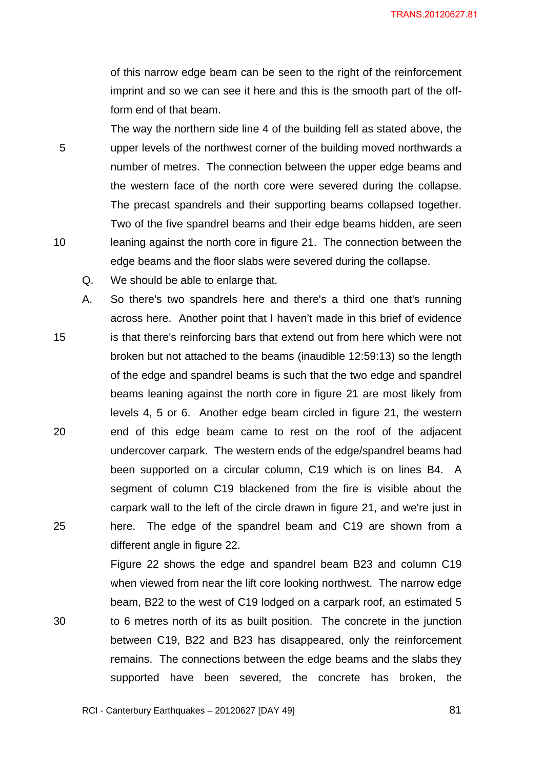of this narrow edge beam can be seen to the right of the reinforcement imprint and so we can see it here and this is the smooth part of the offform end of that beam.

The way the northern side line 4 of the building fell as stated above, the upper levels of the northwest corner of the building moved northwards a number of metres. The connection between the upper edge beams and the western face of the north core were severed during the collapse. The precast spandrels and their supporting beams collapsed together. Two of the five spandrel beams and their edge beams hidden, are seen leaning against the north core in figure 21. The connection between the edge beams and the floor slabs were severed during the collapse.

Q. We should be able to enlarge that.

5

10

30

15 20 25 A. So there's two spandrels here and there's a third one that's running across here. Another point that I haven't made in this brief of evidence is that there's reinforcing bars that extend out from here which were not broken but not attached to the beams (inaudible 12:59:13) so the length of the edge and spandrel beams is such that the two edge and spandrel beams leaning against the north core in figure 21 are most likely from levels 4, 5 or 6. Another edge beam circled in figure 21, the western end of this edge beam came to rest on the roof of the adjacent undercover carpark. The western ends of the edge/spandrel beams had been supported on a circular column, C19 which is on lines B4. A segment of column C19 blackened from the fire is visible about the carpark wall to the left of the circle drawn in figure 21, and we're just in here. The edge of the spandrel beam and C19 are shown from a different angle in figure 22.

> Figure 22 shows the edge and spandrel beam B23 and column C19 when viewed from near the lift core looking northwest. The narrow edge beam, B22 to the west of C19 lodged on a carpark roof, an estimated 5 to 6 metres north of its as built position. The concrete in the junction between C19, B22 and B23 has disappeared, only the reinforcement remains. The connections between the edge beams and the slabs they supported have been severed, the concrete has broken, the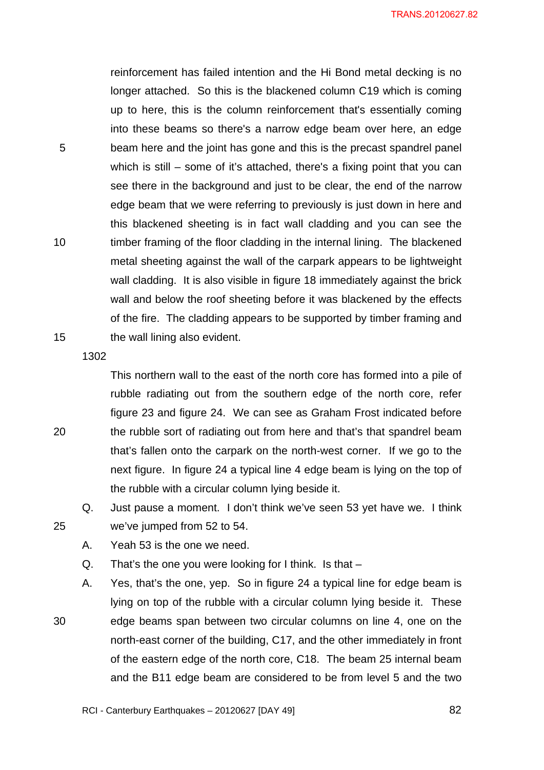reinforcement has failed intention and the Hi Bond metal decking is no longer attached. So this is the blackened column C19 which is coming up to here, this is the column reinforcement that's essentially coming into these beams so there's a narrow edge beam over here, an edge beam here and the joint has gone and this is the precast spandrel panel which is still – some of it's attached, there's a fixing point that you can see there in the background and just to be clear, the end of the narrow edge beam that we were referring to previously is just down in here and this blackened sheeting is in fact wall cladding and you can see the timber framing of the floor cladding in the internal lining. The blackened metal sheeting against the wall of the carpark appears to be lightweight wall cladding. It is also visible in figure 18 immediately against the brick wall and below the roof sheeting before it was blackened by the effects of the fire. The cladding appears to be supported by timber framing and the wall lining also evident.

1302

5

10

15

This northern wall to the east of the north core has formed into a pile of rubble radiating out from the southern edge of the north core, refer figure 23 and figure 24. We can see as Graham Frost indicated before the rubble sort of radiating out from here and that's that spandrel beam that's fallen onto the carpark on the north-west corner. If we go to the next figure. In figure 24 a typical line 4 edge beam is lying on the top of the rubble with a circular column lying beside it.

Q. Just pause a moment. I don't think we've seen 53 yet have we. I think we've jumped from 52 to 54.

A. Yeah 53 is the one we need.

Q. That's the one you were looking for I think. Is that –

A. Yes, that's the one, yep. So in figure 24 a typical line for edge beam is lying on top of the rubble with a circular column lying beside it. These edge beams span between two circular columns on line 4, one on the north-east corner of the building, C17, and the other immediately in front of the eastern edge of the north core, C18. The beam 25 internal beam and the B11 edge beam are considered to be from level 5 and the two

25

30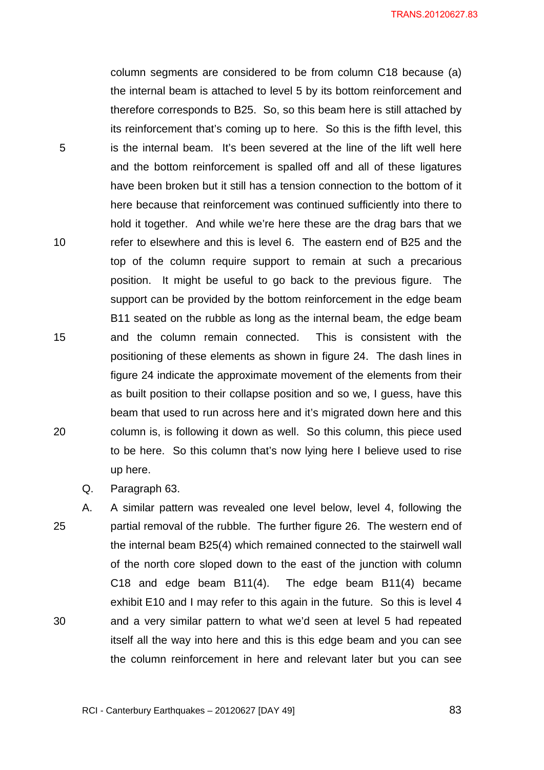column segments are considered to be from column C18 because (a) the internal beam is attached to level 5 by its bottom reinforcement and therefore corresponds to B25. So, so this beam here is still attached by its reinforcement that's coming up to here. So this is the fifth level, this is the internal beam. It's been severed at the line of the lift well here and the bottom reinforcement is spalled off and all of these ligatures have been broken but it still has a tension connection to the bottom of it here because that reinforcement was continued sufficiently into there to hold it together. And while we're here these are the drag bars that we refer to elsewhere and this is level 6. The eastern end of B25 and the top of the column require support to remain at such a precarious position. It might be useful to go back to the previous figure. The support can be provided by the bottom reinforcement in the edge beam B11 seated on the rubble as long as the internal beam, the edge beam and the column remain connected. This is consistent with the positioning of these elements as shown in figure 24. The dash lines in figure 24 indicate the approximate movement of the elements from their as built position to their collapse position and so we, I guess, have this beam that used to run across here and it's migrated down here and this column is, is following it down as well. So this column, this piece used to be here. So this column that's now lying here I believe used to rise up here.

Q. Paragraph 63.

5

10

15

20

25 30 A. A similar pattern was revealed one level below, level 4, following the partial removal of the rubble. The further figure 26. The western end of the internal beam B25(4) which remained connected to the stairwell wall of the north core sloped down to the east of the junction with column C18 and edge beam B11(4). The edge beam B11(4) became exhibit E10 and I may refer to this again in the future. So this is level 4 and a very similar pattern to what we'd seen at level 5 had repeated itself all the way into here and this is this edge beam and you can see the column reinforcement in here and relevant later but you can see

<u>**83**</u>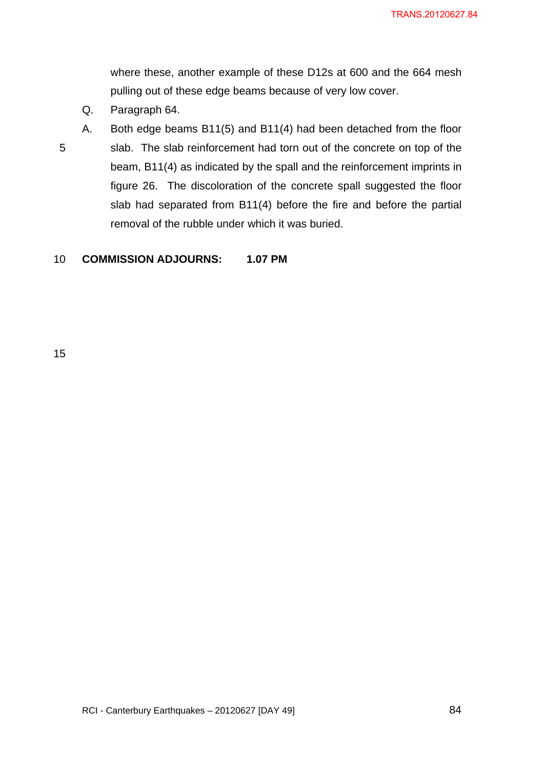where these, another example of these D12s at 600 and the 664 mesh pulling out of these edge beams because of very low cover.

- Q. Paragraph 64.
- 5
- A. Both edge beams B11(5) and B11(4) had been detached from the floor slab. The slab reinforcement had torn out of the concrete on top of the beam, B11(4) as indicated by the spall and the reinforcement imprints in figure 26. The discoloration of the concrete spall suggested the floor slab had separated from B11(4) before the fire and before the partial removal of the rubble under which it was buried.

### 10 **COMMISSION ADJOURNS: 1.07 PM**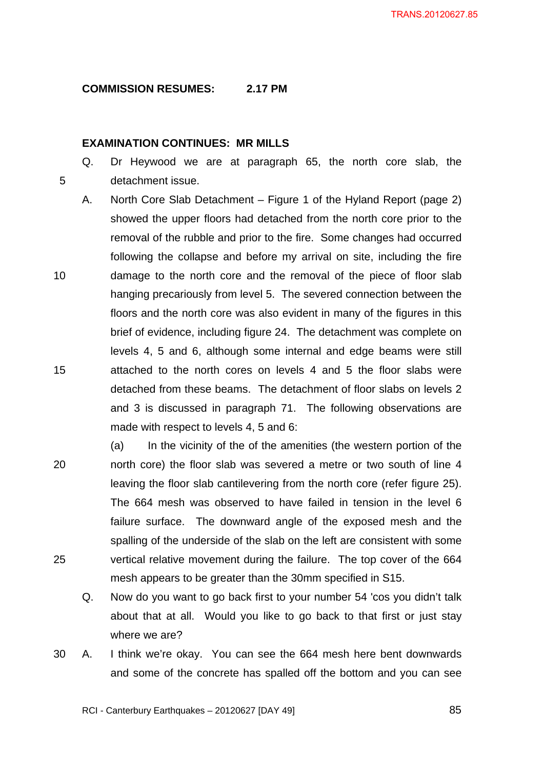# **COMMISSION RESUMES: 2.17 PM**

# **EXAMINATION CONTINUES: MR MILLS**

5

Q. Dr Heywood we are at paragraph 65, the north core slab, the detachment issue.

- 10 15 A. North Core Slab Detachment – Figure 1 of the Hyland Report (page 2) showed the upper floors had detached from the north core prior to the removal of the rubble and prior to the fire. Some changes had occurred following the collapse and before my arrival on site, including the fire damage to the north core and the removal of the piece of floor slab hanging precariously from level 5. The severed connection between the floors and the north core was also evident in many of the figures in this brief of evidence, including figure 24. The detachment was complete on levels 4, 5 and 6, although some internal and edge beams were still attached to the north cores on levels 4 and 5 the floor slabs were detached from these beams. The detachment of floor slabs on levels 2 and 3 is discussed in paragraph 71. The following observations are made with respect to levels 4, 5 and 6:
- 20 25 (a) In the vicinity of the of the amenities (the western portion of the north core) the floor slab was severed a metre or two south of line 4 leaving the floor slab cantilevering from the north core (refer figure 25). The 664 mesh was observed to have failed in tension in the level 6 failure surface. The downward angle of the exposed mesh and the spalling of the underside of the slab on the left are consistent with some vertical relative movement during the failure. The top cover of the 664 mesh appears to be greater than the 30mm specified in S15.
	- Q. Now do you want to go back first to your number 54 'cos you didn't talk about that at all. Would you like to go back to that first or just stay where we are?
- 30 A. I think we're okay. You can see the 664 mesh here bent downwards and some of the concrete has spalled off the bottom and you can see

RCI - Canterbury Earthquakes – 20120627 [DAY 49]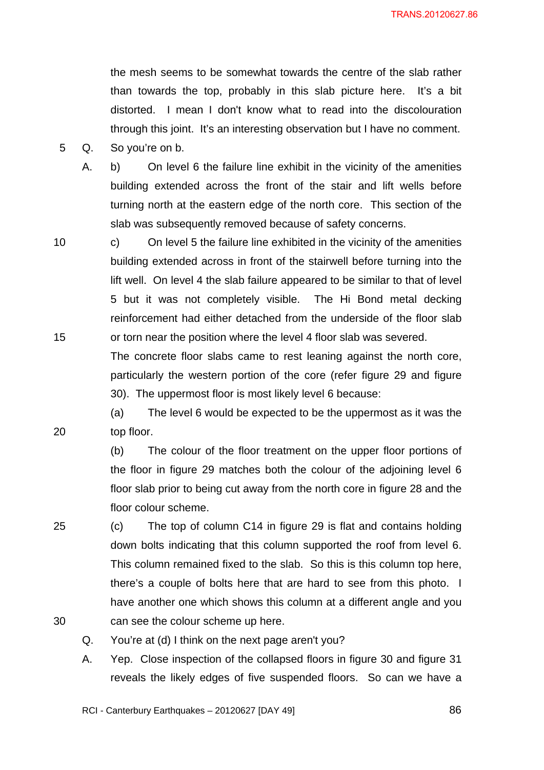the mesh seems to be somewhat towards the centre of the slab rather than towards the top, probably in this slab picture here. It's a bit distorted. I mean I don't know what to read into the discolouration through this joint. It's an interesting observation but I have no comment.

5 Q. So you're on b.

10

15

20

A. b) On level 6 the failure line exhibit in the vicinity of the amenities building extended across the front of the stair and lift wells before turning north at the eastern edge of the north core. This section of the slab was subsequently removed because of safety concerns.

c) On level 5 the failure line exhibited in the vicinity of the amenities building extended across in front of the stairwell before turning into the lift well. On level 4 the slab failure appeared to be similar to that of level 5 but it was not completely visible. The Hi Bond metal decking reinforcement had either detached from the underside of the floor slab or torn near the position where the level 4 floor slab was severed.

The concrete floor slabs came to rest leaning against the north core, particularly the western portion of the core (refer figure 29 and figure 30). The uppermost floor is most likely level 6 because:

(a) The level 6 would be expected to be the uppermost as it was the top floor.

(b) The colour of the floor treatment on the upper floor portions of the floor in figure 29 matches both the colour of the adjoining level 6 floor slab prior to being cut away from the north core in figure 28 and the floor colour scheme.

25 30 (c) The top of column C14 in figure 29 is flat and contains holding down bolts indicating that this column supported the roof from level 6. This column remained fixed to the slab. So this is this column top here, there's a couple of bolts here that are hard to see from this photo. I have another one which shows this column at a different angle and you can see the colour scheme up here.

- Q. You're at (d) I think on the next page aren't you?
- A. Yep. Close inspection of the collapsed floors in figure 30 and figure 31 reveals the likely edges of five suspended floors. So can we have a

RCI - Canterbury Earthquakes – 20120627 [DAY 49]

<u>86 and 2001 and 2002 and 2003 and 2003 and 2004 and 2004 and 2005 and 2006 and 2006 and 2006 and 2006 and 200</u>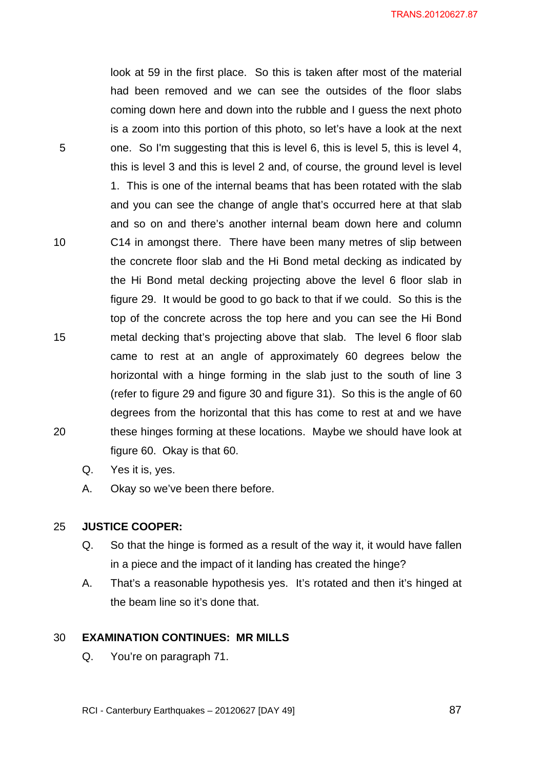look at 59 in the first place. So this is taken after most of the material had been removed and we can see the outsides of the floor slabs coming down here and down into the rubble and I guess the next photo is a zoom into this portion of this photo, so let's have a look at the next one. So I'm suggesting that this is level 6, this is level 5, this is level 4, this is level 3 and this is level 2 and, of course, the ground level is level 1. This is one of the internal beams that has been rotated with the slab and you can see the change of angle that's occurred here at that slab and so on and there's another internal beam down here and column C14 in amongst there. There have been many metres of slip between the concrete floor slab and the Hi Bond metal decking as indicated by the Hi Bond metal decking projecting above the level 6 floor slab in figure 29. It would be good to go back to that if we could. So this is the top of the concrete across the top here and you can see the Hi Bond metal decking that's projecting above that slab. The level 6 floor slab came to rest at an angle of approximately 60 degrees below the horizontal with a hinge forming in the slab just to the south of line 3 (refer to figure 29 and figure 30 and figure 31). So this is the angle of 60 degrees from the horizontal that this has come to rest at and we have these hinges forming at these locations. Maybe we should have look at figure 60. Okay is that 60.

Q. Yes it is, yes.

5

10

15

20

A. Okay so we've been there before.

#### 25 **JUSTICE COOPER:**

- Q. So that the hinge is formed as a result of the way it, it would have fallen in a piece and the impact of it landing has created the hinge?
- A. That's a reasonable hypothesis yes. It's rotated and then it's hinged at the beam line so it's done that.

#### 30 **EXAMINATION CONTINUES: MR MILLS**

Q. You're on paragraph 71.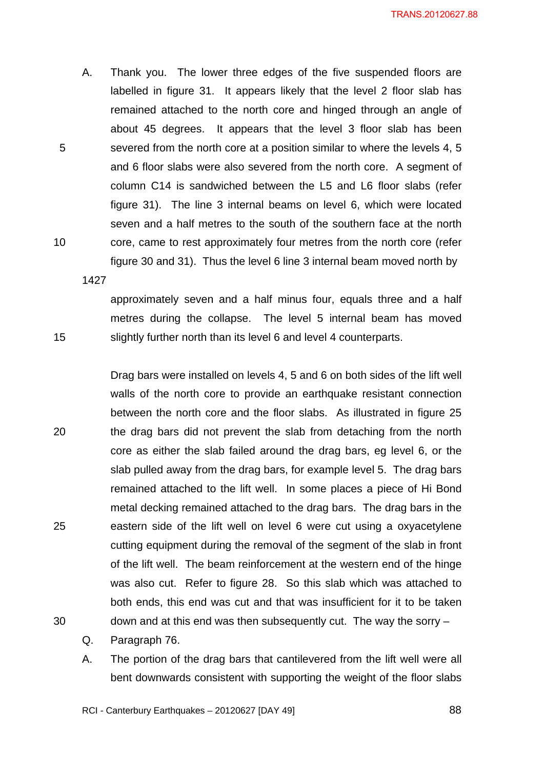A. Thank you. The lower three edges of the five suspended floors are labelled in figure 31. It appears likely that the level 2 floor slab has remained attached to the north core and hinged through an angle of about 45 degrees. It appears that the level 3 floor slab has been severed from the north core at a position similar to where the levels 4, 5 and 6 floor slabs were also severed from the north core. A segment of column C14 is sandwiched between the L5 and L6 floor slabs (refer figure 31). The line 3 internal beams on level 6, which were located seven and a half metres to the south of the southern face at the north core, came to rest approximately four metres from the north core (refer figure 30 and 31). Thus the level 6 line 3 internal beam moved north by

1427

15

10

5

approximately seven and a half minus four, equals three and a half metres during the collapse. The level 5 internal beam has moved slightly further north than its level 6 and level 4 counterparts.

20 25 30 Drag bars were installed on levels 4, 5 and 6 on both sides of the lift well walls of the north core to provide an earthquake resistant connection between the north core and the floor slabs. As illustrated in figure 25 the drag bars did not prevent the slab from detaching from the north core as either the slab failed around the drag bars, eg level 6, or the slab pulled away from the drag bars, for example level 5. The drag bars remained attached to the lift well. In some places a piece of Hi Bond metal decking remained attached to the drag bars. The drag bars in the eastern side of the lift well on level 6 were cut using a oxyacetylene cutting equipment during the removal of the segment of the slab in front of the lift well. The beam reinforcement at the western end of the hinge was also cut. Refer to figure 28. So this slab which was attached to both ends, this end was cut and that was insufficient for it to be taken down and at this end was then subsequently cut. The way the sorry –

- Q. Paragraph 76.
- A. The portion of the drag bars that cantilevered from the lift well were all bent downwards consistent with supporting the weight of the floor slabs

RCI - Canterbury Earthquakes – 20120627 [DAY 49]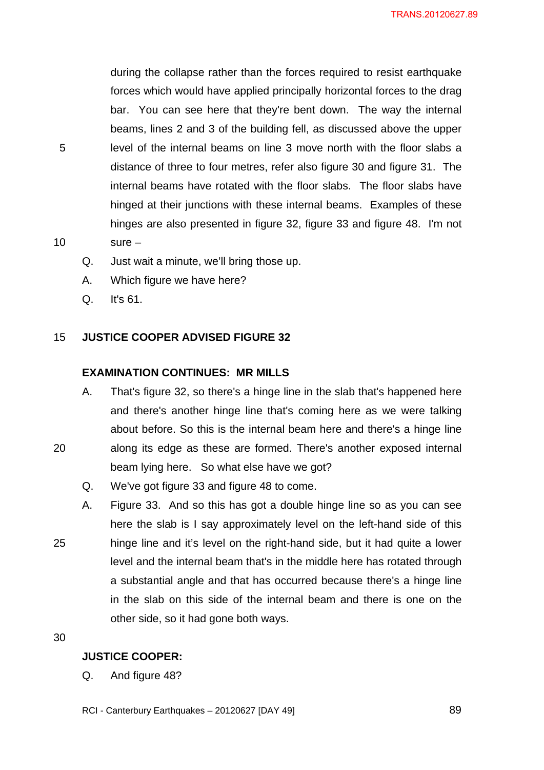during the collapse rather than the forces required to resist earthquake forces which would have applied principally horizontal forces to the drag bar. You can see here that they're bent down. The way the internal beams, lines 2 and 3 of the building fell, as discussed above the upper level of the internal beams on line 3 move north with the floor slabs a distance of three to four metres, refer also figure 30 and figure 31. The internal beams have rotated with the floor slabs. The floor slabs have hinged at their junctions with these internal beams. Examples of these hinges are also presented in figure 32, figure 33 and figure 48. I'm not sure –

- Q. Just wait a minute, we'll bring those up.
- A. Which figure we have here?
- Q. It's 61.

5

10

#### 15 **JUSTICE COOPER ADVISED FIGURE 32**

### **EXAMINATION CONTINUES: MR MILLS**

- A. That's figure 32, so there's a hinge line in the slab that's happened here and there's another hinge line that's coming here as we were talking about before. So this is the internal beam here and there's a hinge line along its edge as these are formed. There's another exposed internal beam lying here. So what else have we got?
- Q. We've got figure 33 and figure 48 to come.
- 25 A. Figure 33. And so this has got a double hinge line so as you can see here the slab is I say approximately level on the left-hand side of this hinge line and it's level on the right-hand side, but it had quite a lower level and the internal beam that's in the middle here has rotated through a substantial angle and that has occurred because there's a hinge line in the slab on this side of the internal beam and there is one on the other side, so it had gone both ways.

30

20

# **JUSTICE COOPER:**

Q. And figure 48?

RCI - Canterbury Earthquakes – 20120627 [DAY 49]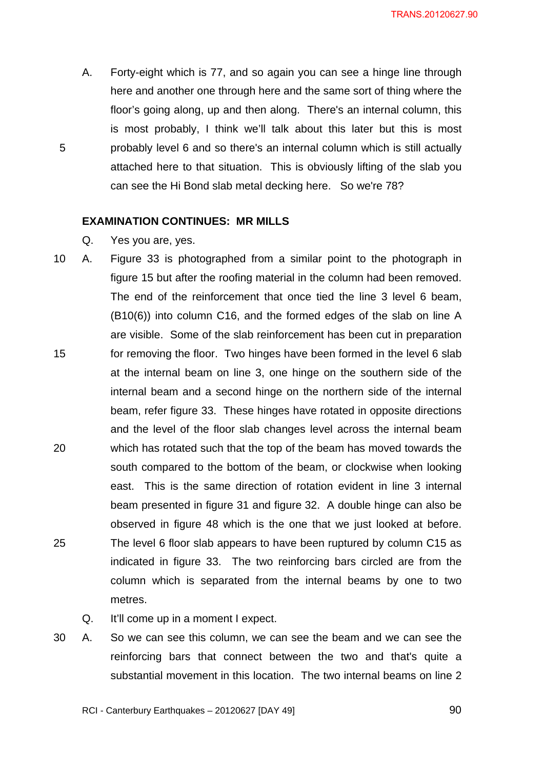A. Forty-eight which is 77, and so again you can see a hinge line through here and another one through here and the same sort of thing where the floor's going along, up and then along. There's an internal column, this is most probably, I think we'll talk about this later but this is most probably level 6 and so there's an internal column which is still actually attached here to that situation. This is obviously lifting of the slab you can see the Hi Bond slab metal decking here. So we're 78?

### **EXAMINATION CONTINUES: MR MILLS**

Q. Yes you are, yes.

5

- 15 20 25 10 A. Figure 33 is photographed from a similar point to the photograph in figure 15 but after the roofing material in the column had been removed. The end of the reinforcement that once tied the line 3 level 6 beam, (B10(6)) into column C16, and the formed edges of the slab on line A are visible. Some of the slab reinforcement has been cut in preparation for removing the floor. Two hinges have been formed in the level 6 slab at the internal beam on line 3, one hinge on the southern side of the internal beam and a second hinge on the northern side of the internal beam, refer figure 33. These hinges have rotated in opposite directions and the level of the floor slab changes level across the internal beam which has rotated such that the top of the beam has moved towards the south compared to the bottom of the beam, or clockwise when looking east. This is the same direction of rotation evident in line 3 internal beam presented in figure 31 and figure 32. A double hinge can also be observed in figure 48 which is the one that we just looked at before. The level 6 floor slab appears to have been ruptured by column C15 as indicated in figure 33. The two reinforcing bars circled are from the column which is separated from the internal beams by one to two metres.
	- Q. It'll come up in a moment I expect.
- 30 A. So we can see this column, we can see the beam and we can see the reinforcing bars that connect between the two and that's quite a substantial movement in this location. The two internal beams on line 2

RCI - Canterbury Earthquakes – 20120627 [DAY 49]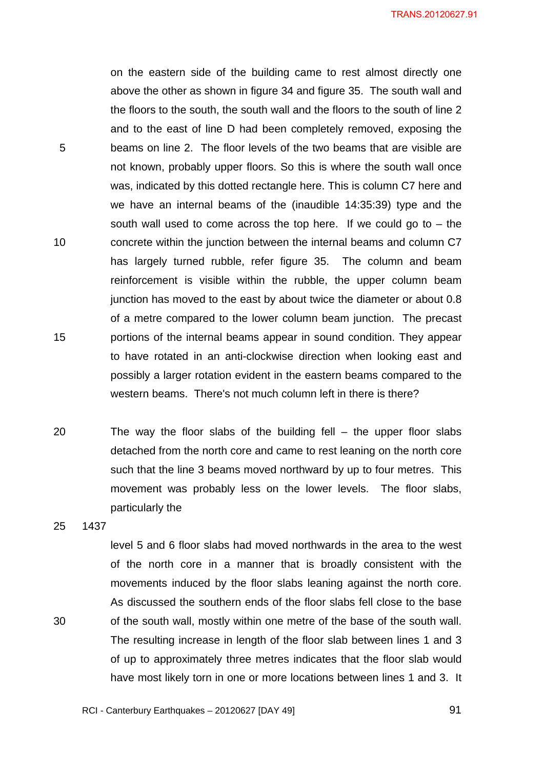on the eastern side of the building came to rest almost directly one above the other as shown in figure 34 and figure 35. The south wall and the floors to the south, the south wall and the floors to the south of line 2 and to the east of line D had been completely removed, exposing the beams on line 2. The floor levels of the two beams that are visible are not known, probably upper floors. So this is where the south wall once was, indicated by this dotted rectangle here. This is column C7 here and we have an internal beams of the (inaudible 14:35:39) type and the south wall used to come across the top here. If we could go to  $-$  the concrete within the junction between the internal beams and column C7 has largely turned rubble, refer figure 35. The column and beam reinforcement is visible within the rubble, the upper column beam junction has moved to the east by about twice the diameter or about 0.8 of a metre compared to the lower column beam junction. The precast portions of the internal beams appear in sound condition. They appear to have rotated in an anti-clockwise direction when looking east and possibly a larger rotation evident in the eastern beams compared to the western beams. There's not much column left in there is there?

- 20 The way the floor slabs of the building fell  $-$  the upper floor slabs detached from the north core and came to rest leaning on the north core such that the line 3 beams moved northward by up to four metres. This movement was probably less on the lower levels. The floor slabs, particularly the
- 25 1437

30

5

10

15

level 5 and 6 floor slabs had moved northwards in the area to the west of the north core in a manner that is broadly consistent with the movements induced by the floor slabs leaning against the north core. As discussed the southern ends of the floor slabs fell close to the base of the south wall, mostly within one metre of the base of the south wall. The resulting increase in length of the floor slab between lines 1 and 3 of up to approximately three metres indicates that the floor slab would have most likely torn in one or more locations between lines 1 and 3. It

RCI - Canterbury Earthquakes – 20120627 [DAY 49]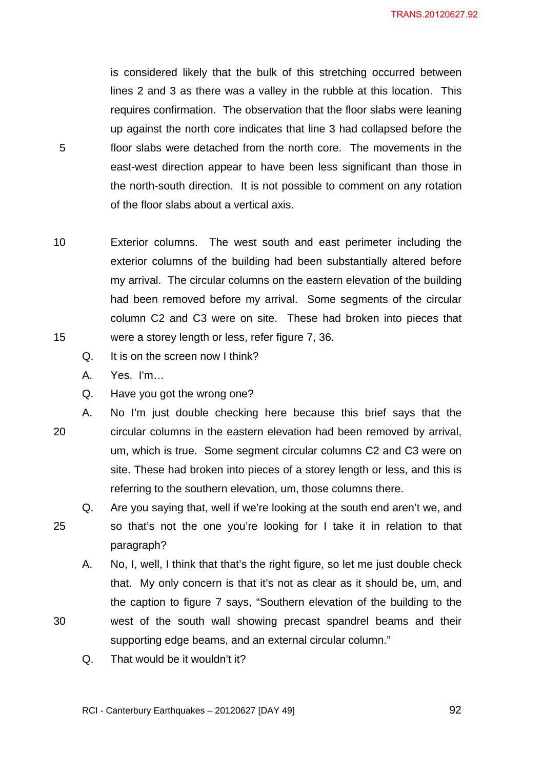is considered likely that the bulk of this stretching occurred between lines 2 and 3 as there was a valley in the rubble at this location. This requires confirmation. The observation that the floor slabs were leaning up against the north core indicates that line 3 had collapsed before the floor slabs were detached from the north core. The movements in the east-west direction appear to have been less significant than those in the north-south direction. It is not possible to comment on any rotation of the floor slabs about a vertical axis.

10 15 Exterior columns. The west south and east perimeter including the exterior columns of the building had been substantially altered before my arrival. The circular columns on the eastern elevation of the building had been removed before my arrival. Some segments of the circular column C2 and C3 were on site. These had broken into pieces that were a storey length or less, refer figure 7, 36.

- Q. It is on the screen now I think?
- A. Yes. I'm…

5

25

- Q. Have you got the wrong one?
- 20 A. No I'm just double checking here because this brief says that the circular columns in the eastern elevation had been removed by arrival, um, which is true. Some segment circular columns C2 and C3 were on site. These had broken into pieces of a storey length or less, and this is referring to the southern elevation, um, those columns there.
	- Q. Are you saying that, well if we're looking at the south end aren't we, and so that's not the one you're looking for I take it in relation to that paragraph?
	- A. No, I, well, I think that that's the right figure, so let me just double check that. My only concern is that it's not as clear as it should be, um, and the caption to figure 7 says, "Southern elevation of the building to the west of the south wall showing precast spandrel beams and their supporting edge beams, and an external circular column."
	- Q. That would be it wouldn't it?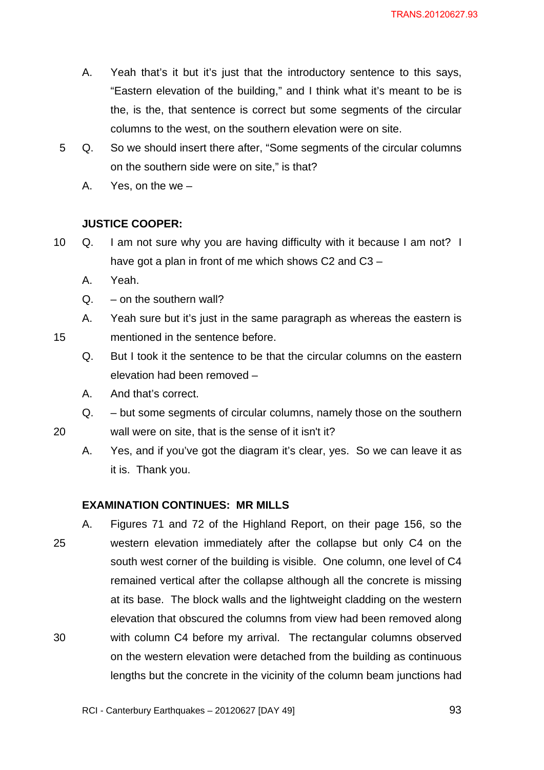- A. Yeah that's it but it's just that the introductory sentence to this says, "Eastern elevation of the building," and I think what it's meant to be is the, is the, that sentence is correct but some segments of the circular columns to the west, on the southern elevation were on site.
- 5 Q. So we should insert there after, "Some segments of the circular columns on the southern side were on site," is that?
	- A. Yes, on the we –

# **JUSTICE COOPER:**

- 10 Q. I am not sure why you are having difficulty with it because I am not? I have got a plan in front of me which shows C2 and C3 –
	- A. Yeah.

15

20

- $Q. -$  on the southern wall?
- A. Yeah sure but it's just in the same paragraph as whereas the eastern is
- mentioned in the sentence before.
	- Q. But I took it the sentence to be that the circular columns on the eastern elevation had been removed –
	- A. And that's correct.
	- Q. but some segments of circular columns, namely those on the southern

wall were on site, that is the sense of it isn't it?

A. Yes, and if you've got the diagram it's clear, yes. So we can leave it as it is. Thank you.

## **EXAMINATION CONTINUES: MR MILLS**

25 30 A. Figures 71 and 72 of the Highland Report, on their page 156, so the western elevation immediately after the collapse but only C4 on the south west corner of the building is visible. One column, one level of C4 remained vertical after the collapse although all the concrete is missing at its base. The block walls and the lightweight cladding on the western elevation that obscured the columns from view had been removed along with column C4 before my arrival. The rectangular columns observed on the western elevation were detached from the building as continuous lengths but the concrete in the vicinity of the column beam junctions had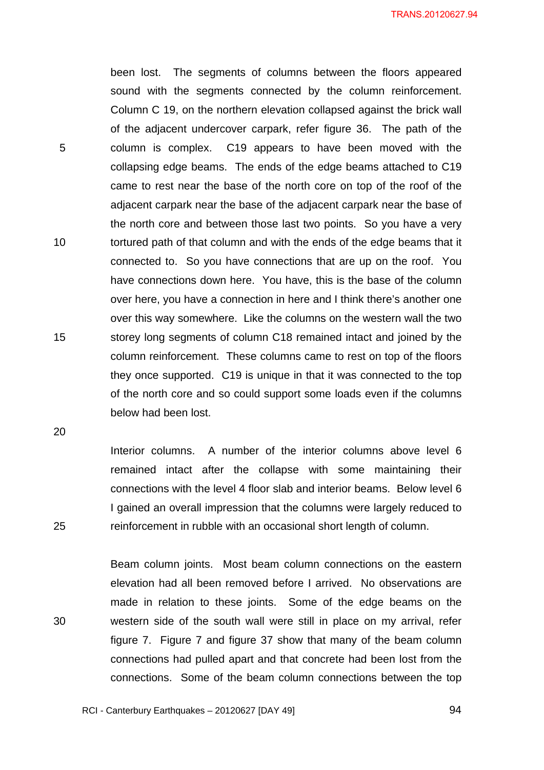been lost. The segments of columns between the floors appeared sound with the segments connected by the column reinforcement. Column C 19, on the northern elevation collapsed against the brick wall of the adjacent undercover carpark, refer figure 36. The path of the column is complex. C19 appears to have been moved with the collapsing edge beams. The ends of the edge beams attached to C19 came to rest near the base of the north core on top of the roof of the adjacent carpark near the base of the adjacent carpark near the base of the north core and between those last two points. So you have a very tortured path of that column and with the ends of the edge beams that it connected to. So you have connections that are up on the roof. You have connections down here. You have, this is the base of the column over here, you have a connection in here and I think there's another one over this way somewhere. Like the columns on the western wall the two storey long segments of column C18 remained intact and joined by the column reinforcement. These columns came to rest on top of the floors they once supported. C19 is unique in that it was connected to the top of the north core and so could support some loads even if the columns below had been lost.

20

25

5

10

15

Interior columns. A number of the interior columns above level 6 remained intact after the collapse with some maintaining their connections with the level 4 floor slab and interior beams. Below level 6 I gained an overall impression that the columns were largely reduced to reinforcement in rubble with an occasional short length of column.

30 Beam column joints. Most beam column connections on the eastern elevation had all been removed before I arrived. No observations are made in relation to these joints. Some of the edge beams on the western side of the south wall were still in place on my arrival, refer figure 7. Figure 7 and figure 37 show that many of the beam column connections had pulled apart and that concrete had been lost from the connections. Some of the beam column connections between the top

<u>94 and 2001 and 2012</u>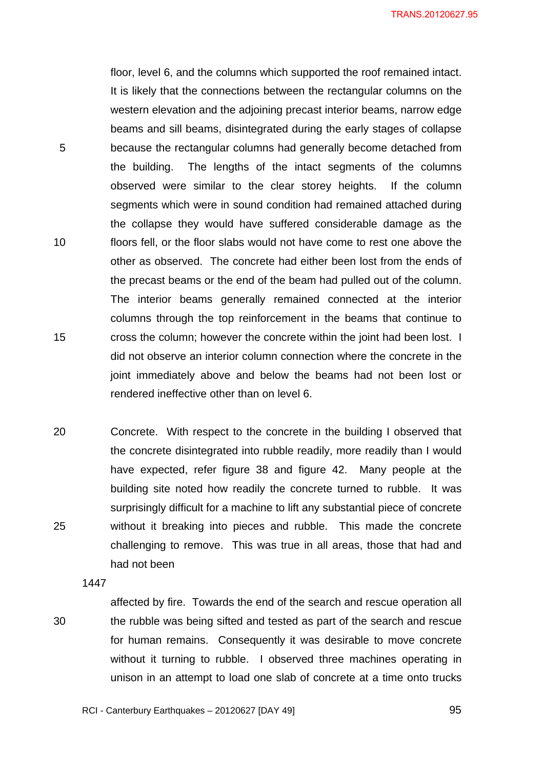floor, level 6, and the columns which supported the roof remained intact. It is likely that the connections between the rectangular columns on the western elevation and the adjoining precast interior beams, narrow edge beams and sill beams, disintegrated during the early stages of collapse because the rectangular columns had generally become detached from the building. The lengths of the intact segments of the columns observed were similar to the clear storey heights. If the column segments which were in sound condition had remained attached during the collapse they would have suffered considerable damage as the floors fell, or the floor slabs would not have come to rest one above the other as observed. The concrete had either been lost from the ends of the precast beams or the end of the beam had pulled out of the column. The interior beams generally remained connected at the interior columns through the top reinforcement in the beams that continue to cross the column; however the concrete within the joint had been lost. I did not observe an interior column connection where the concrete in the joint immediately above and below the beams had not been lost or rendered ineffective other than on level 6.

20 25 Concrete. With respect to the concrete in the building I observed that the concrete disintegrated into rubble readily, more readily than I would have expected, refer figure 38 and figure 42. Many people at the building site noted how readily the concrete turned to rubble. It was surprisingly difficult for a machine to lift any substantial piece of concrete without it breaking into pieces and rubble. This made the concrete challenging to remove. This was true in all areas, those that had and had not been

1447

30

5

10

15

affected by fire. Towards the end of the search and rescue operation all the rubble was being sifted and tested as part of the search and rescue for human remains. Consequently it was desirable to move concrete without it turning to rubble. I observed three machines operating in unison in an attempt to load one slab of concrete at a time onto trucks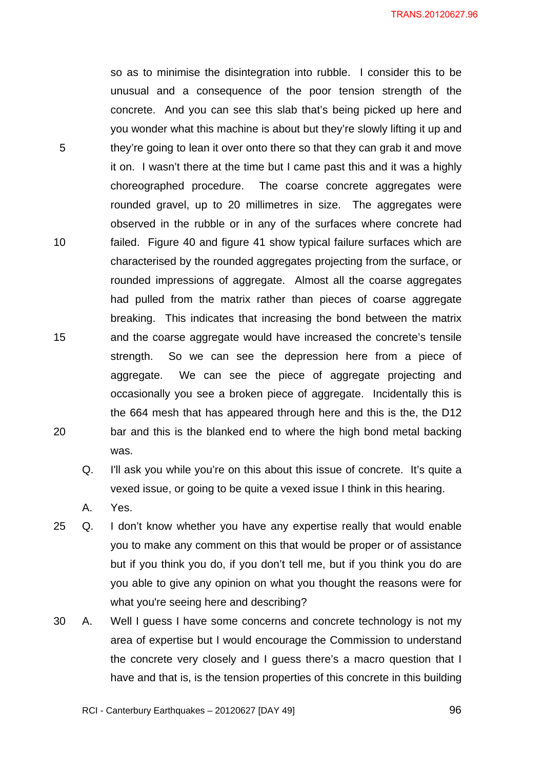so as to minimise the disintegration into rubble. I consider this to be unusual and a consequence of the poor tension strength of the concrete. And you can see this slab that's being picked up here and you wonder what this machine is about but they're slowly lifting it up and they're going to lean it over onto there so that they can grab it and move it on. I wasn't there at the time but I came past this and it was a highly choreographed procedure. The coarse concrete aggregates were rounded gravel, up to 20 millimetres in size. The aggregates were observed in the rubble or in any of the surfaces where concrete had failed. Figure 40 and figure 41 show typical failure surfaces which are characterised by the rounded aggregates projecting from the surface, or rounded impressions of aggregate. Almost all the coarse aggregates had pulled from the matrix rather than pieces of coarse aggregate breaking. This indicates that increasing the bond between the matrix and the coarse aggregate would have increased the concrete's tensile strength. So we can see the depression here from a piece of aggregate. We can see the piece of aggregate projecting and occasionally you see a broken piece of aggregate. Incidentally this is the 664 mesh that has appeared through here and this is the, the D12 bar and this is the blanked end to where the high bond metal backing was.

Q. I'll ask you while you're on this about this issue of concrete. It's quite a vexed issue, or going to be quite a vexed issue I think in this hearing.

A. Yes.

5

10

15

- 25 Q. I don't know whether you have any expertise really that would enable you to make any comment on this that would be proper or of assistance but if you think you do, if you don't tell me, but if you think you do are you able to give any opinion on what you thought the reasons were for what you're seeing here and describing?
- 30 A. Well I guess I have some concerns and concrete technology is not my area of expertise but I would encourage the Commission to understand the concrete very closely and I guess there's a macro question that I have and that is, is the tension properties of this concrete in this building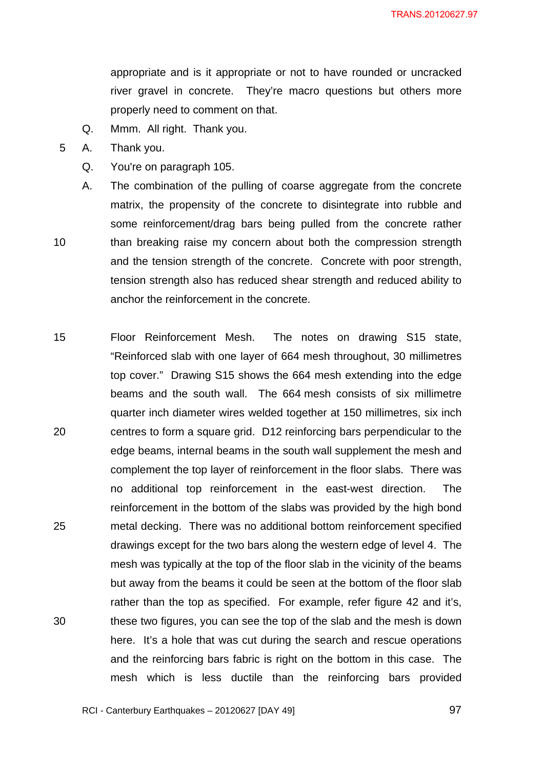appropriate and is it appropriate or not to have rounded or uncracked river gravel in concrete. They're macro questions but others more properly need to comment on that.

- Q. Mmm. All right. Thank you.
- 5 A. Thank you.
	- Q. You're on paragraph 105.
- 10 A. The combination of the pulling of coarse aggregate from the concrete matrix, the propensity of the concrete to disintegrate into rubble and some reinforcement/drag bars being pulled from the concrete rather than breaking raise my concern about both the compression strength and the tension strength of the concrete. Concrete with poor strength, tension strength also has reduced shear strength and reduced ability to anchor the reinforcement in the concrete.
- 15 20 25 30 Floor Reinforcement Mesh. The notes on drawing S15 state, "Reinforced slab with one layer of 664 mesh throughout, 30 millimetres top cover." Drawing S15 shows the 664 mesh extending into the edge beams and the south wall. The 664 mesh consists of six millimetre quarter inch diameter wires welded together at 150 millimetres, six inch centres to form a square grid. D12 reinforcing bars perpendicular to the edge beams, internal beams in the south wall supplement the mesh and complement the top layer of reinforcement in the floor slabs. There was no additional top reinforcement in the east-west direction. The reinforcement in the bottom of the slabs was provided by the high bond metal decking. There was no additional bottom reinforcement specified drawings except for the two bars along the western edge of level 4. The mesh was typically at the top of the floor slab in the vicinity of the beams but away from the beams it could be seen at the bottom of the floor slab rather than the top as specified. For example, refer figure 42 and it's, these two figures, you can see the top of the slab and the mesh is down here. It's a hole that was cut during the search and rescue operations and the reinforcing bars fabric is right on the bottom in this case. The mesh which is less ductile than the reinforcing bars provided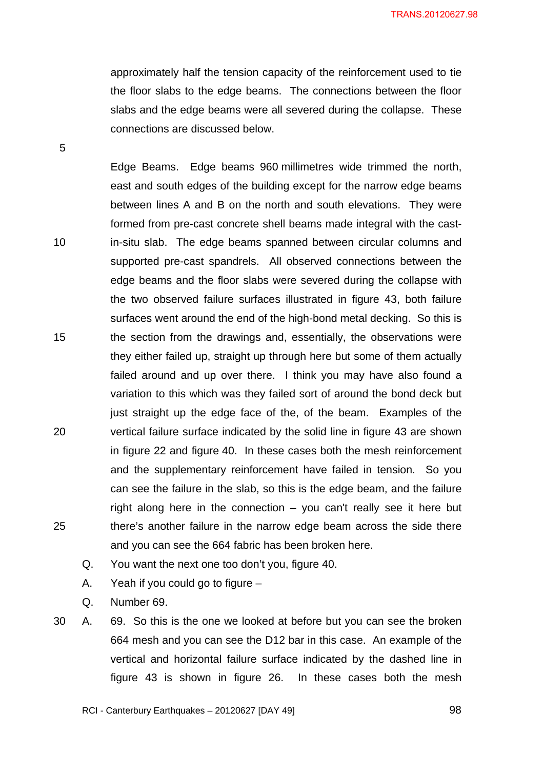approximately half the tension capacity of the reinforcement used to tie the floor slabs to the edge beams. The connections between the floor slabs and the edge beams were all severed during the collapse. These connections are discussed below.

Edge Beams. Edge beams 960 millimetres wide trimmed the north, east and south edges of the building except for the narrow edge beams between lines A and B on the north and south elevations. They were formed from pre-cast concrete shell beams made integral with the castin-situ slab. The edge beams spanned between circular columns and supported pre-cast spandrels. All observed connections between the edge beams and the floor slabs were severed during the collapse with the two observed failure surfaces illustrated in figure 43, both failure surfaces went around the end of the high-bond metal decking. So this is the section from the drawings and, essentially, the observations were they either failed up, straight up through here but some of them actually failed around and up over there. I think you may have also found a variation to this which was they failed sort of around the bond deck but just straight up the edge face of the, of the beam. Examples of the vertical failure surface indicated by the solid line in figure 43 are shown in figure 22 and figure 40. In these cases both the mesh reinforcement and the supplementary reinforcement have failed in tension. So you can see the failure in the slab, so this is the edge beam, and the failure right along here in the connection – you can't really see it here but there's another failure in the narrow edge beam across the side there and you can see the 664 fabric has been broken here.

- Q. You want the next one too don't you, figure 40.
- A. Yeah if you could go to figure –
- Q. Number 69.

5

10

15

20

25

30 A. 69. So this is the one we looked at before but you can see the broken 664 mesh and you can see the D12 bar in this case. An example of the vertical and horizontal failure surface indicated by the dashed line in figure 43 is shown in figure 26. In these cases both the mesh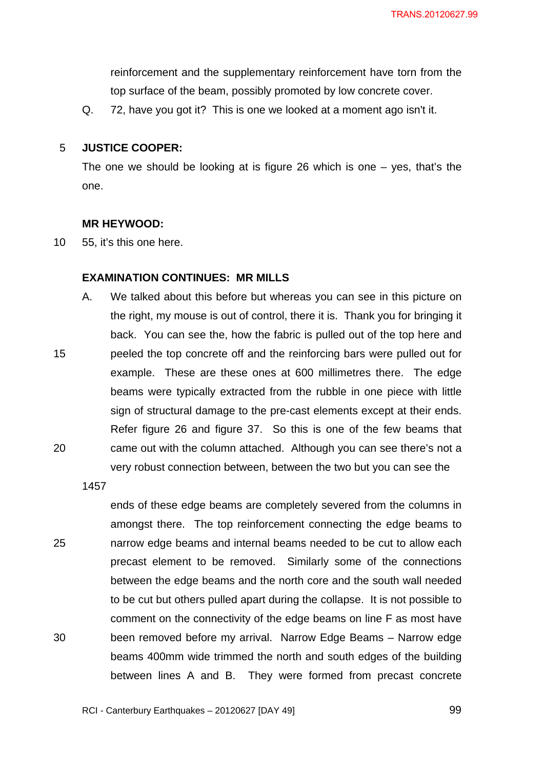reinforcement and the supplementary reinforcement have torn from the top surface of the beam, possibly promoted by low concrete cover.

Q. 72, have you got it? This is one we looked at a moment ago isn't it.

#### 5 **JUSTICE COOPER:**

The one we should be looking at is figure 26 which is one – yes, that's the one.

### **MR HEYWOOD:**

10 55, it's this one here.

### **EXAMINATION CONTINUES: MR MILLS**

A. We talked about this before but whereas you can see in this picture on the right, my mouse is out of control, there it is. Thank you for bringing it back. You can see the, how the fabric is pulled out of the top here and peeled the top concrete off and the reinforcing bars were pulled out for example. These are these ones at 600 millimetres there. The edge beams were typically extracted from the rubble in one piece with little sign of structural damage to the pre-cast elements except at their ends. Refer figure 26 and figure 37. So this is one of the few beams that came out with the column attached. Although you can see there's not a very robust connection between, between the two but you can see the

1457

15

20

25 30 ends of these edge beams are completely severed from the columns in amongst there. The top reinforcement connecting the edge beams to narrow edge beams and internal beams needed to be cut to allow each precast element to be removed. Similarly some of the connections between the edge beams and the north core and the south wall needed to be cut but others pulled apart during the collapse. It is not possible to comment on the connectivity of the edge beams on line F as most have been removed before my arrival. Narrow Edge Beams – Narrow edge beams 400mm wide trimmed the north and south edges of the building between lines A and B. They were formed from precast concrete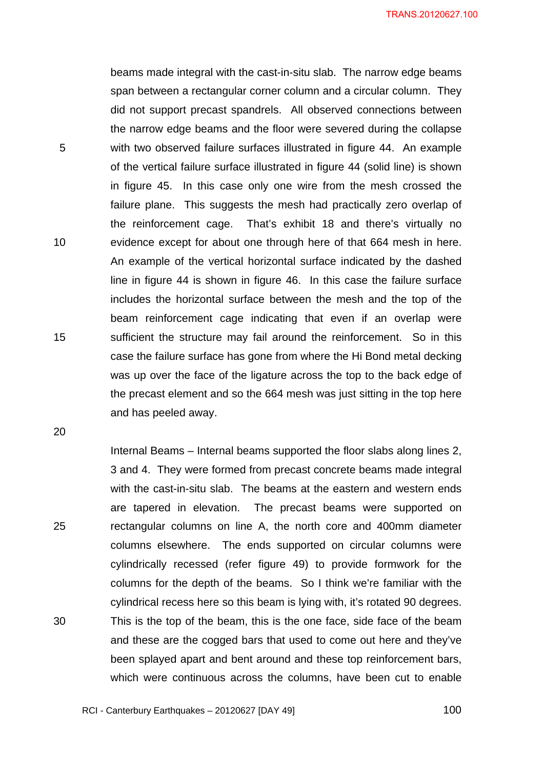beams made integral with the cast-in-situ slab. The narrow edge beams span between a rectangular corner column and a circular column. They did not support precast spandrels. All observed connections between the narrow edge beams and the floor were severed during the collapse with two observed failure surfaces illustrated in figure 44. An example of the vertical failure surface illustrated in figure 44 (solid line) is shown in figure 45. In this case only one wire from the mesh crossed the failure plane. This suggests the mesh had practically zero overlap of the reinforcement cage. That's exhibit 18 and there's virtually no evidence except for about one through here of that 664 mesh in here. An example of the vertical horizontal surface indicated by the dashed line in figure 44 is shown in figure 46. In this case the failure surface includes the horizontal surface between the mesh and the top of the beam reinforcement cage indicating that even if an overlap were sufficient the structure may fail around the reinforcement. So in this case the failure surface has gone from where the Hi Bond metal decking was up over the face of the ligature across the top to the back edge of the precast element and so the 664 mesh was just sitting in the top here and has peeled away.

5

10

15

20

25

30

Internal Beams – Internal beams supported the floor slabs along lines 2, 3 and 4. They were formed from precast concrete beams made integral with the cast-in-situ slab. The beams at the eastern and western ends are tapered in elevation. The precast beams were supported on rectangular columns on line A, the north core and 400mm diameter columns elsewhere. The ends supported on circular columns were cylindrically recessed (refer figure 49) to provide formwork for the columns for the depth of the beams. So I think we're familiar with the cylindrical recess here so this beam is lying with, it's rotated 90 degrees. This is the top of the beam, this is the one face, side face of the beam and these are the cogged bars that used to come out here and they've been splayed apart and bent around and these top reinforcement bars, which were continuous across the columns, have been cut to enable

RCI - Canterbury Earthquakes – 20120627 [DAY 49]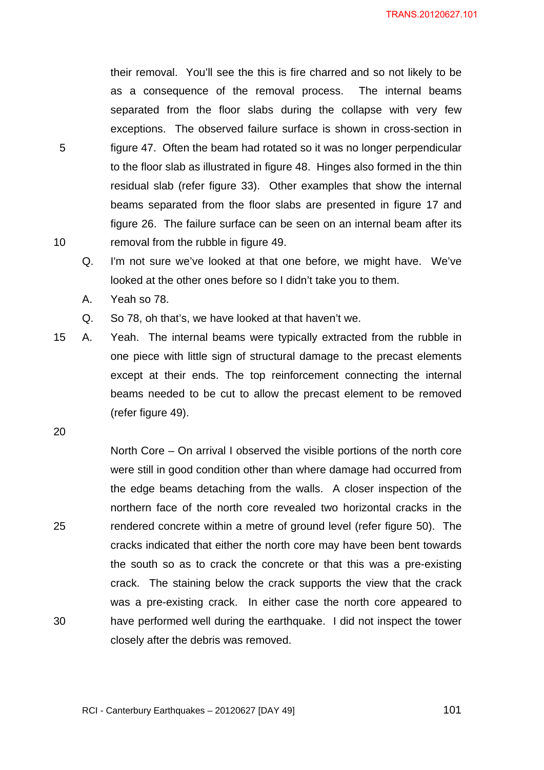their removal. You'll see the this is fire charred and so not likely to be as a consequence of the removal process. The internal beams separated from the floor slabs during the collapse with very few exceptions. The observed failure surface is shown in cross-section in figure 47. Often the beam had rotated so it was no longer perpendicular to the floor slab as illustrated in figure 48. Hinges also formed in the thin residual slab (refer figure 33). Other examples that show the internal beams separated from the floor slabs are presented in figure 17 and figure 26. The failure surface can be seen on an internal beam after its removal from the rubble in figure 49.

- Q. I'm not sure we've looked at that one before, we might have. We've looked at the other ones before so I didn't take you to them.
- A. Yeah so 78.
- Q. So 78, oh that's, we have looked at that haven't we.
- 15 A. Yeah. The internal beams were typically extracted from the rubble in one piece with little sign of structural damage to the precast elements except at their ends. The top reinforcement connecting the internal beams needed to be cut to allow the precast element to be removed (refer figure 49).

20

30

5

10

25 North Core – On arrival I observed the visible portions of the north core were still in good condition other than where damage had occurred from the edge beams detaching from the walls. A closer inspection of the northern face of the north core revealed two horizontal cracks in the rendered concrete within a metre of ground level (refer figure 50). The cracks indicated that either the north core may have been bent towards the south so as to crack the concrete or that this was a pre-existing crack. The staining below the crack supports the view that the crack was a pre-existing crack. In either case the north core appeared to have performed well during the earthquake. I did not inspect the tower closely after the debris was removed.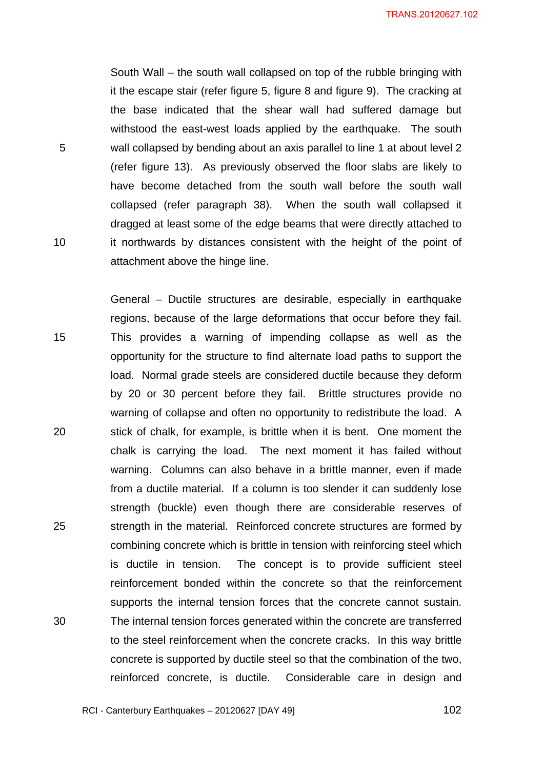South Wall – the south wall collapsed on top of the rubble bringing with it the escape stair (refer figure 5, figure 8 and figure 9). The cracking at the base indicated that the shear wall had suffered damage but withstood the east-west loads applied by the earthquake. The south wall collapsed by bending about an axis parallel to line 1 at about level 2 (refer figure 13). As previously observed the floor slabs are likely to have become detached from the south wall before the south wall collapsed (refer paragraph 38). When the south wall collapsed it dragged at least some of the edge beams that were directly attached to it northwards by distances consistent with the height of the point of attachment above the hinge line.

5

10

15 20 25 30 General – Ductile structures are desirable, especially in earthquake regions, because of the large deformations that occur before they fail. This provides a warning of impending collapse as well as the opportunity for the structure to find alternate load paths to support the load. Normal grade steels are considered ductile because they deform by 20 or 30 percent before they fail. Brittle structures provide no warning of collapse and often no opportunity to redistribute the load. A stick of chalk, for example, is brittle when it is bent. One moment the chalk is carrying the load. The next moment it has failed without warning. Columns can also behave in a brittle manner, even if made from a ductile material. If a column is too slender it can suddenly lose strength (buckle) even though there are considerable reserves of strength in the material. Reinforced concrete structures are formed by combining concrete which is brittle in tension with reinforcing steel which is ductile in tension. The concept is to provide sufficient steel reinforcement bonded within the concrete so that the reinforcement supports the internal tension forces that the concrete cannot sustain. The internal tension forces generated within the concrete are transferred to the steel reinforcement when the concrete cracks. In this way brittle concrete is supported by ductile steel so that the combination of the two, reinforced concrete, is ductile. Considerable care in design and

RCI - Canterbury Earthquakes – 20120627 [DAY 49]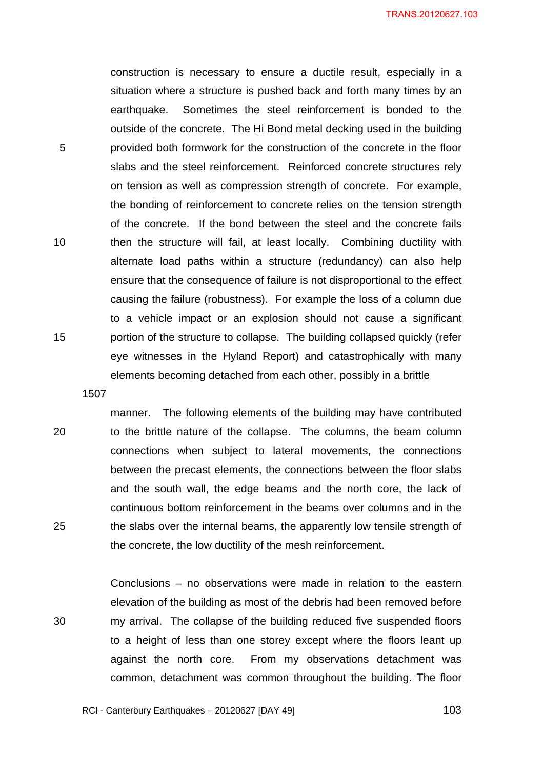construction is necessary to ensure a ductile result, especially in a situation where a structure is pushed back and forth many times by an earthquake. Sometimes the steel reinforcement is bonded to the outside of the concrete. The Hi Bond metal decking used in the building provided both formwork for the construction of the concrete in the floor slabs and the steel reinforcement. Reinforced concrete structures rely on tension as well as compression strength of concrete. For example, the bonding of reinforcement to concrete relies on the tension strength of the concrete. If the bond between the steel and the concrete fails then the structure will fail, at least locally. Combining ductility with alternate load paths within a structure (redundancy) can also help ensure that the consequence of failure is not disproportional to the effect causing the failure (robustness). For example the loss of a column due to a vehicle impact or an explosion should not cause a significant portion of the structure to collapse. The building collapsed quickly (refer eye witnesses in the Hyland Report) and catastrophically with many elements becoming detached from each other, possibly in a brittle

1507

20

25

30

5

10

15

manner. The following elements of the building may have contributed to the brittle nature of the collapse. The columns, the beam column connections when subject to lateral movements, the connections between the precast elements, the connections between the floor slabs and the south wall, the edge beams and the north core, the lack of continuous bottom reinforcement in the beams over columns and in the the slabs over the internal beams, the apparently low tensile strength of the concrete, the low ductility of the mesh reinforcement.

Conclusions – no observations were made in relation to the eastern elevation of the building as most of the debris had been removed before my arrival. The collapse of the building reduced five suspended floors to a height of less than one storey except where the floors leant up against the north core. From my observations detachment was common, detachment was common throughout the building. The floor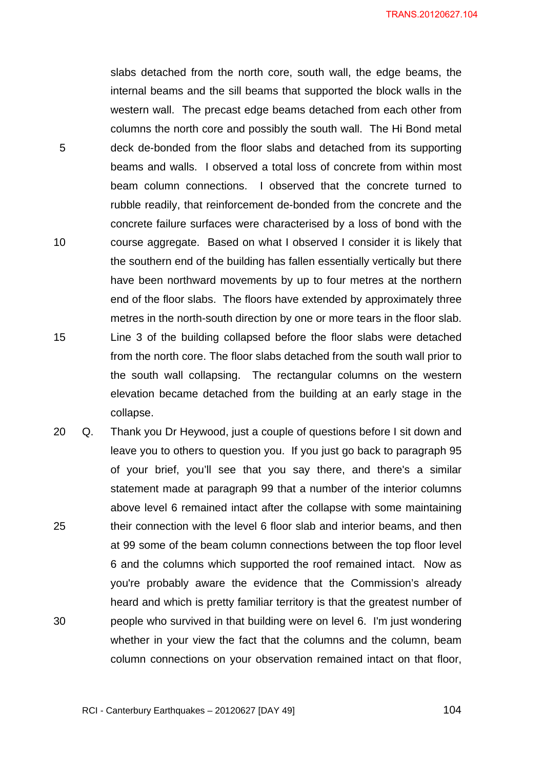slabs detached from the north core, south wall, the edge beams, the internal beams and the sill beams that supported the block walls in the western wall. The precast edge beams detached from each other from columns the north core and possibly the south wall. The Hi Bond metal deck de-bonded from the floor slabs and detached from its supporting beams and walls. I observed a total loss of concrete from within most beam column connections. I observed that the concrete turned to rubble readily, that reinforcement de-bonded from the concrete and the concrete failure surfaces were characterised by a loss of bond with the course aggregate. Based on what I observed I consider it is likely that the southern end of the building has fallen essentially vertically but there have been northward movements by up to four metres at the northern end of the floor slabs. The floors have extended by approximately three metres in the north-south direction by one or more tears in the floor slab. Line 3 of the building collapsed before the floor slabs were detached from the north core. The floor slabs detached from the south wall prior to the south wall collapsing. The rectangular columns on the western elevation became detached from the building at an early stage in the collapse.

5

10

15

25 30 20 Q. Thank you Dr Heywood, just a couple of questions before I sit down and leave you to others to question you. If you just go back to paragraph 95 of your brief, you'll see that you say there, and there's a similar statement made at paragraph 99 that a number of the interior columns above level 6 remained intact after the collapse with some maintaining their connection with the level 6 floor slab and interior beams, and then at 99 some of the beam column connections between the top floor level 6 and the columns which supported the roof remained intact. Now as you're probably aware the evidence that the Commission's already heard and which is pretty familiar territory is that the greatest number of people who survived in that building were on level 6. I'm just wondering whether in your view the fact that the columns and the column, beam column connections on your observation remained intact on that floor,

RCI - Canterbury Earthquakes – 20120627 [DAY 49]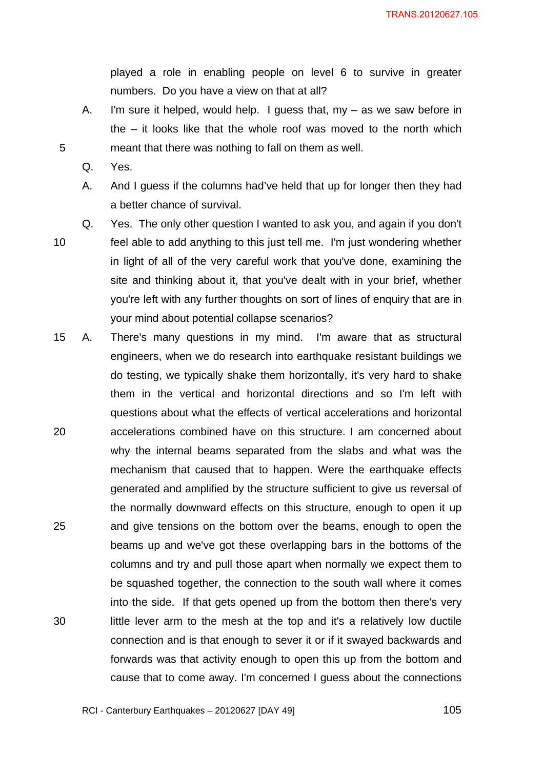played a role in enabling people on level 6 to survive in greater numbers. Do you have a view on that at all?

- A. I'm sure it helped, would help. I guess that, my as we saw before in the – it looks like that the whole roof was moved to the north which meant that there was nothing to fall on them as well.
- Q. Yes.
- A. And I guess if the columns had've held that up for longer then they had a better chance of survival.
- 10

5

Q. Yes. The only other question I wanted to ask you, and again if you don't feel able to add anything to this just tell me. I'm just wondering whether in light of all of the very careful work that you've done, examining the site and thinking about it, that you've dealt with in your brief, whether you're left with any further thoughts on sort of lines of enquiry that are in your mind about potential collapse scenarios?

20 25 30 15 A. There's many questions in my mind. I'm aware that as structural engineers, when we do research into earthquake resistant buildings we do testing, we typically shake them horizontally, it's very hard to shake them in the vertical and horizontal directions and so I'm left with questions about what the effects of vertical accelerations and horizontal accelerations combined have on this structure. I am concerned about why the internal beams separated from the slabs and what was the mechanism that caused that to happen. Were the earthquake effects generated and amplified by the structure sufficient to give us reversal of the normally downward effects on this structure, enough to open it up and give tensions on the bottom over the beams, enough to open the beams up and we've got these overlapping bars in the bottoms of the columns and try and pull those apart when normally we expect them to be squashed together, the connection to the south wall where it comes into the side. If that gets opened up from the bottom then there's very little lever arm to the mesh at the top and it's a relatively low ductile connection and is that enough to sever it or if it swayed backwards and forwards was that activity enough to open this up from the bottom and cause that to come away. I'm concerned I guess about the connections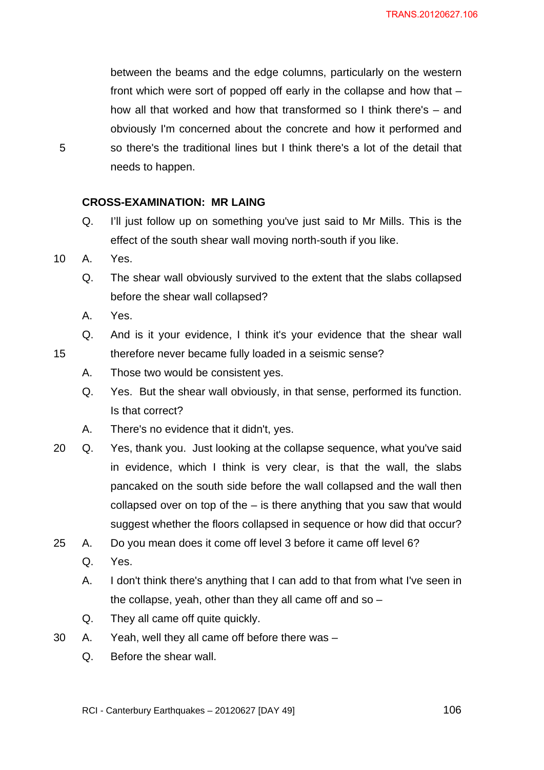between the beams and the edge columns, particularly on the western front which were sort of popped off early in the collapse and how that – how all that worked and how that transformed so I think there's – and obviously I'm concerned about the concrete and how it performed and so there's the traditional lines but I think there's a lot of the detail that needs to happen.

# **CROSS-EXAMINATION: MR LAING**

- Q. I'll just follow up on something you've just said to Mr Mills. This is the effect of the south shear wall moving north-south if you like.
- 10 A. Yes.

5

15

- Q. The shear wall obviously survived to the extent that the slabs collapsed before the shear wall collapsed?
- A. Yes.

Q. And is it your evidence, I think it's your evidence that the shear wall therefore never became fully loaded in a seismic sense?

- A. Those two would be consistent yes.
- Q. Yes. But the shear wall obviously, in that sense, performed its function. Is that correct?
- A. There's no evidence that it didn't, yes.
- 20 Q. Yes, thank you. Just looking at the collapse sequence, what you've said in evidence, which I think is very clear, is that the wall, the slabs pancaked on the south side before the wall collapsed and the wall then collapsed over on top of the – is there anything that you saw that would suggest whether the floors collapsed in sequence or how did that occur?
- 25 A. Do you mean does it come off level 3 before it came off level 6?
	- Q. Yes.
	- A. I don't think there's anything that I can add to that from what I've seen in the collapse, yeah, other than they all came off and so  $-$
	- Q. They all came off quite quickly.
- 30 A. Yeah, well they all came off before there was
	- Q. Before the shear wall.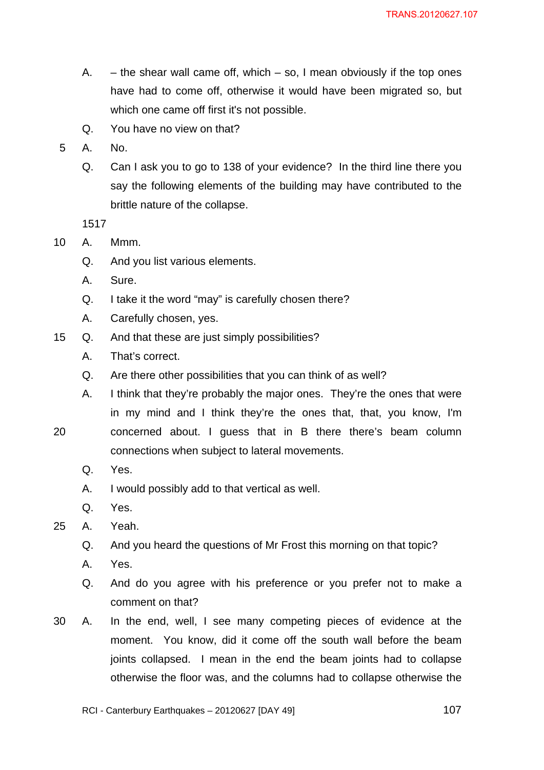- A.  $-$  the shear wall came off, which  $-$  so, I mean obviously if the top ones have had to come off, otherwise it would have been migrated so, but which one came off first it's not possible.
- Q. You have no view on that?
- 5 A. No.
	- Q. Can I ask you to go to 138 of your evidence? In the third line there you say the following elements of the building may have contributed to the brittle nature of the collapse.

1517

- 10 A. Mmm.
	- Q. And you list various elements.
	- A. Sure.
	- Q. I take it the word "may" is carefully chosen there?
	- A. Carefully chosen, yes.
- 15 Q. And that these are just simply possibilities?
	- A. That's correct.
	- Q. Are there other possibilities that you can think of as well?

connections when subject to lateral movements.

- A. I think that they're probably the major ones. They're the ones that were in my mind and I think they're the ones that, that, you know, I'm concerned about. I guess that in B there there's beam column
- 20
- Q. Yes.
- A. I would possibly add to that vertical as well.
- Q. Yes.
- 25 A. Yeah.
	- Q. And you heard the questions of Mr Frost this morning on that topic?
	- A. Yes.
	- Q. And do you agree with his preference or you prefer not to make a comment on that?
- 30 A. In the end, well, I see many competing pieces of evidence at the moment. You know, did it come off the south wall before the beam joints collapsed. I mean in the end the beam joints had to collapse otherwise the floor was, and the columns had to collapse otherwise the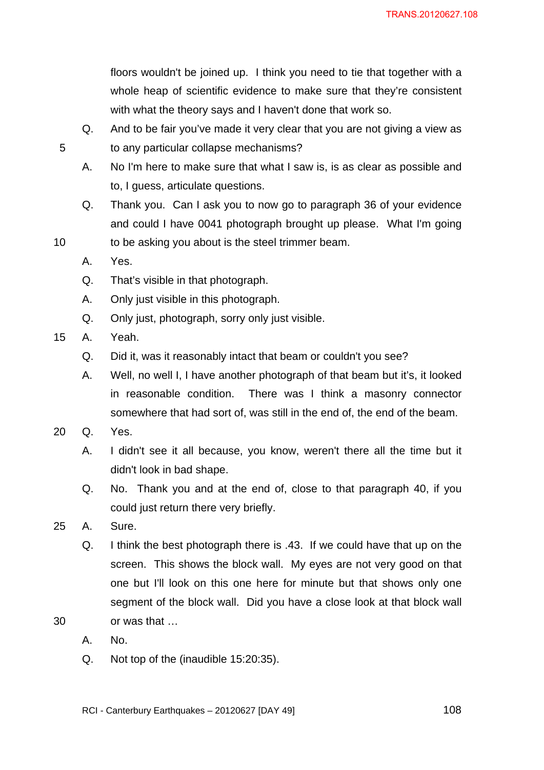floors wouldn't be joined up. I think you need to tie that together with a whole heap of scientific evidence to make sure that they're consistent with what the theory says and I haven't done that work so.

- Q. And to be fair you've made it very clear that you are not giving a view as to any particular collapse mechanisms?
- A. No I'm here to make sure that what I saw is, is as clear as possible and to, I guess, articulate questions.
- Q. Thank you. Can I ask you to now go to paragraph 36 of your evidence and could I have 0041 photograph brought up please. What I'm going
- 10 to be asking you about is the steel trimmer beam.
	- A. Yes.
	- Q. That's visible in that photograph.
	- A. Only just visible in this photograph.
	- Q. Only just, photograph, sorry only just visible.
- 15 A. Yeah.
	- Q. Did it, was it reasonably intact that beam or couldn't you see?
	- A. Well, no well I, I have another photograph of that beam but it's, it looked in reasonable condition. There was I think a masonry connector somewhere that had sort of, was still in the end of, the end of the beam.
- 20 Q. Yes.
	- A. I didn't see it all because, you know, weren't there all the time but it didn't look in bad shape.
	- Q. No. Thank you and at the end of, close to that paragraph 40, if you could just return there very briefly.
- 25 A. Sure.
	- Q. I think the best photograph there is .43. If we could have that up on the screen. This shows the block wall. My eyes are not very good on that one but I'll look on this one here for minute but that shows only one segment of the block wall. Did you have a close look at that block wall or was that …
	- A. No.

30

Q. Not top of the (inaudible 15:20:35).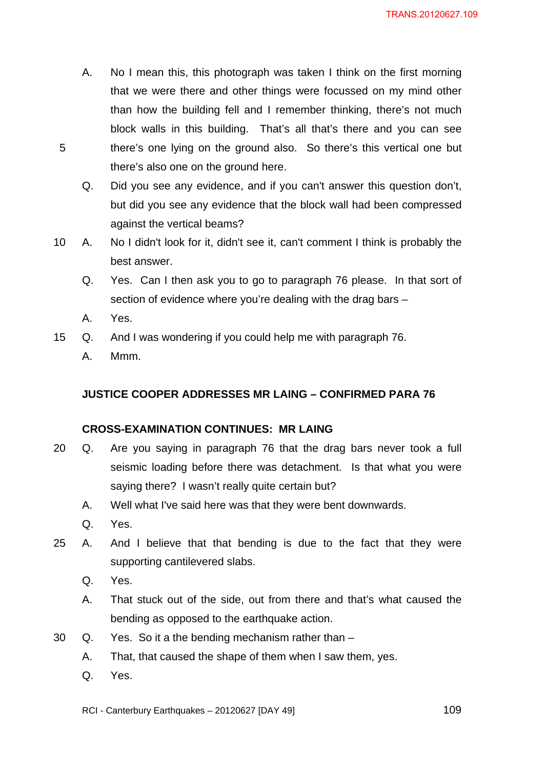- A. No I mean this, this photograph was taken I think on the first morning that we were there and other things were focussed on my mind other than how the building fell and I remember thinking, there's not much block walls in this building. That's all that's there and you can see there's one lying on the ground also. So there's this vertical one but there's also one on the ground here.
- Q. Did you see any evidence, and if you can't answer this question don't, but did you see any evidence that the block wall had been compressed against the vertical beams?
- 10 A. No I didn't look for it, didn't see it, can't comment I think is probably the best answer.
	- Q. Yes. Can I then ask you to go to paragraph 76 please. In that sort of section of evidence where you're dealing with the drag bars –
	- A. Yes.

5

- 15 Q. And I was wondering if you could help me with paragraph 76.
	- A. Mmm.

# **JUSTICE COOPER ADDRESSES MR LAING – CONFIRMED PARA 76**

## **CROSS-EXAMINATION CONTINUES: MR LAING**

- 20 Q. Are you saying in paragraph 76 that the drag bars never took a full seismic loading before there was detachment. Is that what you were saying there? I wasn't really quite certain but?
	- A. Well what I've said here was that they were bent downwards.
	- Q. Yes.
- 25 A. And I believe that that bending is due to the fact that they were supporting cantilevered slabs.
	- Q. Yes.
	- A. That stuck out of the side, out from there and that's what caused the bending as opposed to the earthquake action.
- 30 Q. Yes. So it a the bending mechanism rather than
	- A. That, that caused the shape of them when I saw them, yes.
	- Q. Yes.

RCI - Canterbury Earthquakes – 20120627 [DAY 49]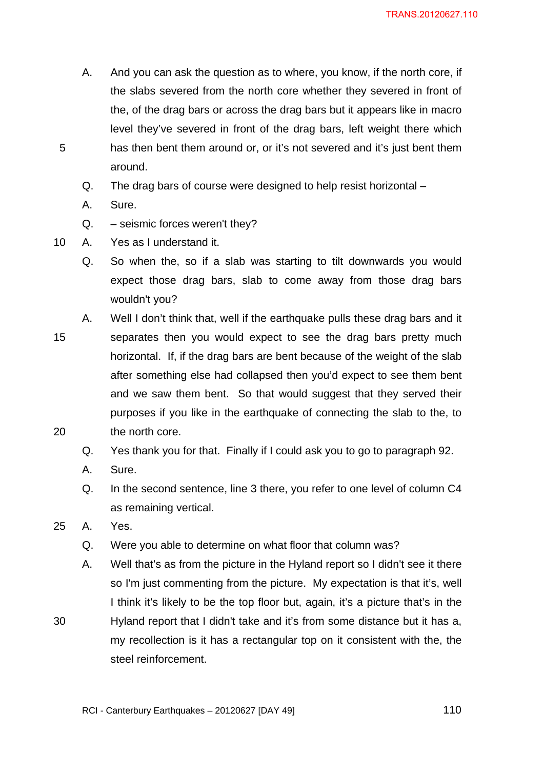A. And you can ask the question as to where, you know, if the north core, if the slabs severed from the north core whether they severed in front of the, of the drag bars or across the drag bars but it appears like in macro level they've severed in front of the drag bars, left weight there which has then bent them around or, or it's not severed and it's just bent them around.

Q. The drag bars of course were designed to help resist horizontal –

A. Sure.

5

Q. – seismic forces weren't they?

10 A. Yes as I understand it.

Q. So when the, so if a slab was starting to tilt downwards you would expect those drag bars, slab to come away from those drag bars wouldn't you?

15 A. Well I don't think that, well if the earthquake pulls these drag bars and it separates then you would expect to see the drag bars pretty much horizontal. If, if the drag bars are bent because of the weight of the slab after something else had collapsed then you'd expect to see them bent and we saw them bent. So that would suggest that they served their purposes if you like in the earthquake of connecting the slab to the, to

20

30

Q. Yes thank you for that. Finally if I could ask you to go to paragraph 92.

A. Sure.

the north core.

- Q. In the second sentence, line 3 there, you refer to one level of column C4 as remaining vertical.
- 25 A. Yes.
	- Q. Were you able to determine on what floor that column was?
	- A. Well that's as from the picture in the Hyland report so I didn't see it there so I'm just commenting from the picture. My expectation is that it's, well I think it's likely to be the top floor but, again, it's a picture that's in the Hyland report that I didn't take and it's from some distance but it has a, my recollection is it has a rectangular top on it consistent with the, the steel reinforcement.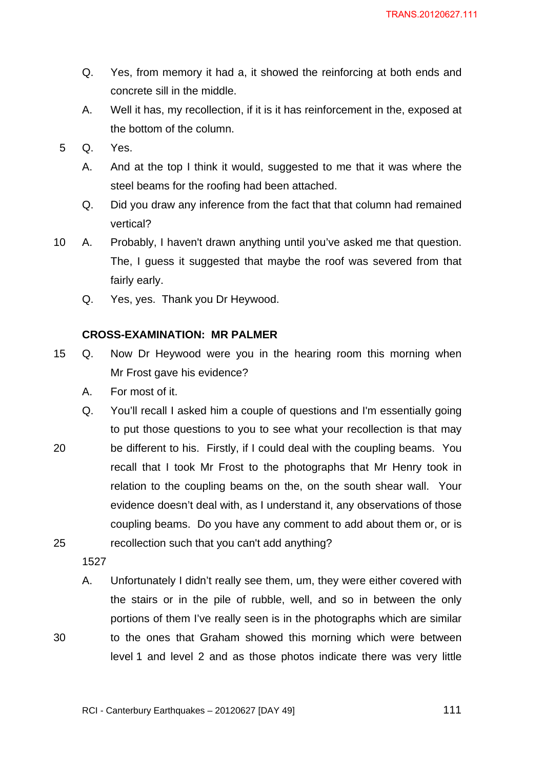- Q. Yes, from memory it had a, it showed the reinforcing at both ends and concrete sill in the middle.
- A. Well it has, my recollection, if it is it has reinforcement in the, exposed at the bottom of the column.
- 5 Q. Yes.
	- A. And at the top I think it would, suggested to me that it was where the steel beams for the roofing had been attached.
	- Q. Did you draw any inference from the fact that that column had remained vertical?
- 10 A. Probably, I haven't drawn anything until you've asked me that question. The, I guess it suggested that maybe the roof was severed from that fairly early.
	- Q. Yes, yes. Thank you Dr Heywood.

## **CROSS-EXAMINATION: MR PALMER**

- 15 Q. Now Dr Heywood were you in the hearing room this morning when Mr Frost gave his evidence?
	- A. For most of it.
	- Q. You'll recall I asked him a couple of questions and I'm essentially going to put those questions to you to see what your recollection is that may
- 20 25 be different to his. Firstly, if I could deal with the coupling beams. You recall that I took Mr Frost to the photographs that Mr Henry took in relation to the coupling beams on the, on the south shear wall. Your evidence doesn't deal with, as I understand it, any observations of those coupling beams. Do you have any comment to add about them or, or is recollection such that you can't add anything?

1527

30

A. Unfortunately I didn't really see them, um, they were either covered with the stairs or in the pile of rubble, well, and so in between the only portions of them I've really seen is in the photographs which are similar to the ones that Graham showed this morning which were between level 1 and level 2 and as those photos indicate there was very little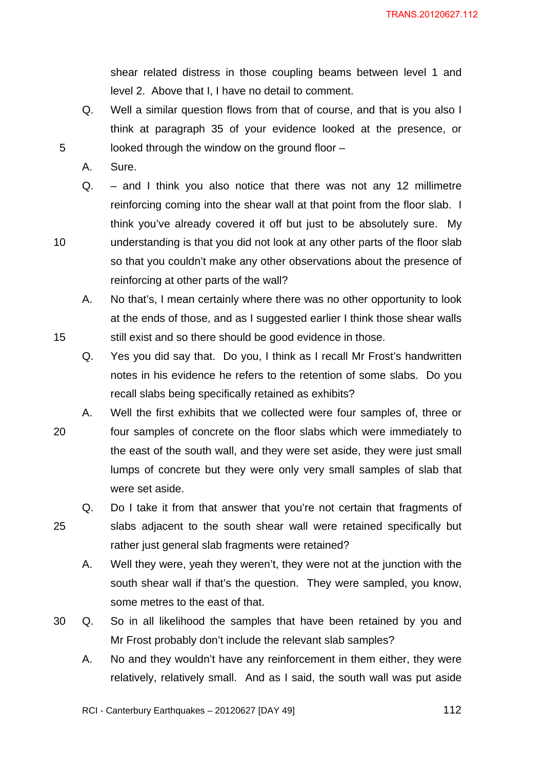shear related distress in those coupling beams between level 1 and level 2. Above that I, I have no detail to comment.

- Q. Well a similar question flows from that of course, and that is you also I think at paragraph 35 of your evidence looked at the presence, or looked through the window on the ground floor –
- A. Sure.

5

10

- Q. and I think you also notice that there was not any 12 millimetre reinforcing coming into the shear wall at that point from the floor slab. I think you've already covered it off but just to be absolutely sure. My understanding is that you did not look at any other parts of the floor slab so that you couldn't make any other observations about the presence of reinforcing at other parts of the wall?
- A. No that's, I mean certainly where there was no other opportunity to look at the ends of those, and as I suggested earlier I think those shear walls still exist and so there should be good evidence in those.
- Q. Yes you did say that. Do you, I think as I recall Mr Frost's handwritten notes in his evidence he refers to the retention of some slabs. Do you recall slabs being specifically retained as exhibits?
- 20 A. Well the first exhibits that we collected were four samples of, three or four samples of concrete on the floor slabs which were immediately to the east of the south wall, and they were set aside, they were just small lumps of concrete but they were only very small samples of slab that were set aside.
- 25 Q. Do I take it from that answer that you're not certain that fragments of slabs adjacent to the south shear wall were retained specifically but rather just general slab fragments were retained?
	- A. Well they were, yeah they weren't, they were not at the junction with the south shear wall if that's the question. They were sampled, you know, some metres to the east of that.
- 30 Q. So in all likelihood the samples that have been retained by you and Mr Frost probably don't include the relevant slab samples?
	- A. No and they wouldn't have any reinforcement in them either, they were relatively, relatively small. And as I said, the south wall was put aside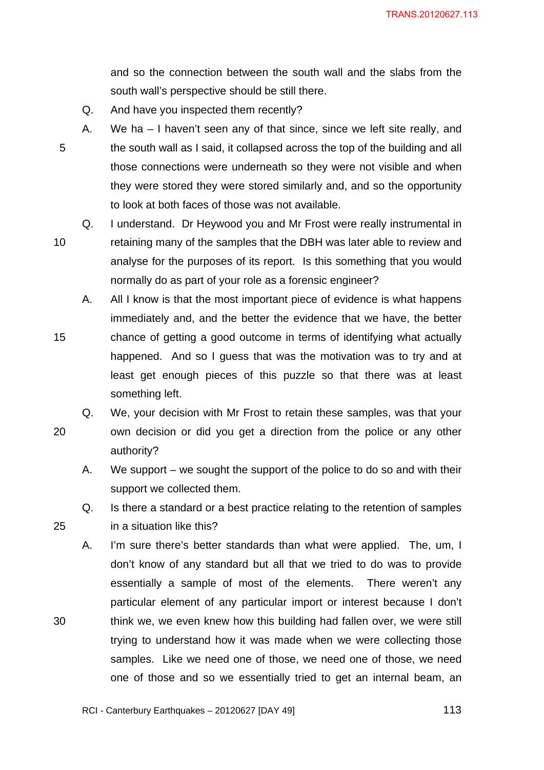and so the connection between the south wall and the slabs from the south wall's perspective should be still there.

Q. And have you inspected them recently?

5

- A. We ha I haven't seen any of that since, since we left site really, and the south wall as I said, it collapsed across the top of the building and all those connections were underneath so they were not visible and when they were stored they were stored similarly and, and so the opportunity to look at both faces of those was not available.
- 10

15

25

30

Q. I understand. Dr Heywood you and Mr Frost were really instrumental in retaining many of the samples that the DBH was later able to review and analyse for the purposes of its report. Is this something that you would normally do as part of your role as a forensic engineer?

- A. All I know is that the most important piece of evidence is what happens immediately and, and the better the evidence that we have, the better chance of getting a good outcome in terms of identifying what actually
- happened. And so I guess that was the motivation was to try and at least get enough pieces of this puzzle so that there was at least something left.
- 20 Q. We, your decision with Mr Frost to retain these samples, was that your own decision or did you get a direction from the police or any other authority?
	- A. We support we sought the support of the police to do so and with their support we collected them.
	- Q. Is there a standard or a best practice relating to the retention of samples in a situation like this?
	- A. I'm sure there's better standards than what were applied. The, um, I don't know of any standard but all that we tried to do was to provide essentially a sample of most of the elements. There weren't any particular element of any particular import or interest because I don't think we, we even knew how this building had fallen over, we were still trying to understand how it was made when we were collecting those samples. Like we need one of those, we need one of those, we need one of those and so we essentially tried to get an internal beam, an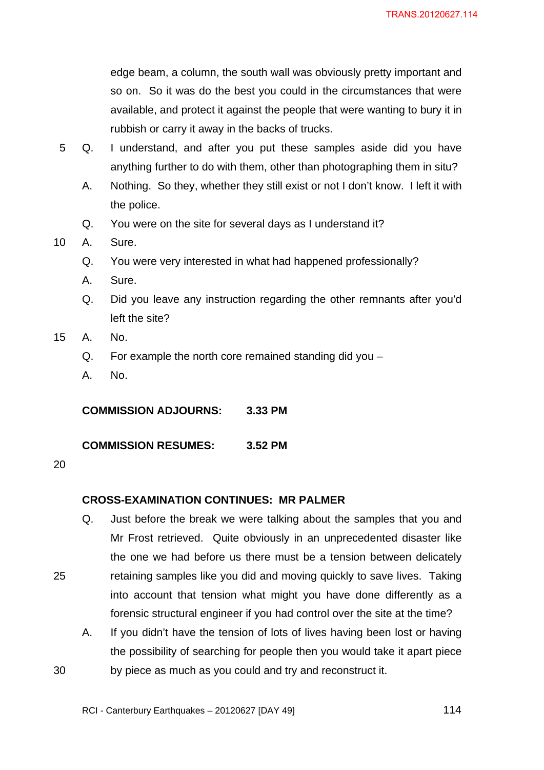edge beam, a column, the south wall was obviously pretty important and so on. So it was do the best you could in the circumstances that were available, and protect it against the people that were wanting to bury it in rubbish or carry it away in the backs of trucks.

- 5 Q. I understand, and after you put these samples aside did you have anything further to do with them, other than photographing them in situ?
	- A. Nothing. So they, whether they still exist or not I don't know. I left it with the police.
	- Q. You were on the site for several days as I understand it?
- 10 A. Sure.
	- Q. You were very interested in what had happened professionally?
	- A. Sure.
	- Q. Did you leave any instruction regarding the other remnants after you'd left the site?
- 15 A. No.
	- Q. For example the north core remained standing did you –
	- A. No.

**COMMISSION ADJOURNS: 3.33 PM** 

**COMMISSION RESUMES: 3.52 PM** 

20

25

30

## **CROSS-EXAMINATION CONTINUES: MR PALMER**

- Q. Just before the break we were talking about the samples that you and Mr Frost retrieved. Quite obviously in an unprecedented disaster like the one we had before us there must be a tension between delicately retaining samples like you did and moving quickly to save lives. Taking into account that tension what might you have done differently as a forensic structural engineer if you had control over the site at the time?
- A. If you didn't have the tension of lots of lives having been lost or having the possibility of searching for people then you would take it apart piece by piece as much as you could and try and reconstruct it.

RCI - Canterbury Earthquakes – 20120627 [DAY 49]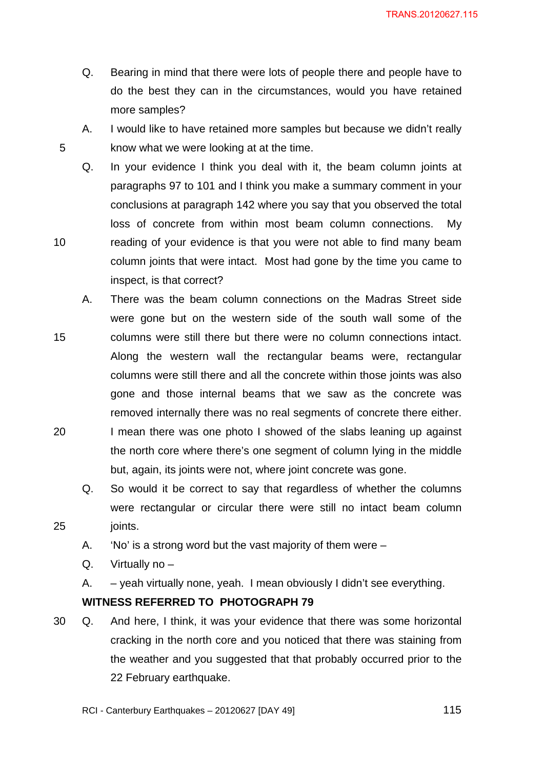TRANS.20120627.115

- Q. Bearing in mind that there were lots of people there and people have to do the best they can in the circumstances, would you have retained more samples?
- A. I would like to have retained more samples but because we didn't really know what we were looking at at the time.
- Q. In your evidence I think you deal with it, the beam column joints at paragraphs 97 to 101 and I think you make a summary comment in your conclusions at paragraph 142 where you say that you observed the total loss of concrete from within most beam column connections. My reading of your evidence is that you were not able to find many beam column joints that were intact. Most had gone by the time you came to inspect, is that correct?
- 15 20 A. There was the beam column connections on the Madras Street side were gone but on the western side of the south wall some of the columns were still there but there were no column connections intact. Along the western wall the rectangular beams were, rectangular columns were still there and all the concrete within those joints was also gone and those internal beams that we saw as the concrete was removed internally there was no real segments of concrete there either. I mean there was one photo I showed of the slabs leaning up against the north core where there's one segment of column lying in the middle
	- Q. So would it be correct to say that regardless of whether the columns were rectangular or circular there were still no intact beam column

but, again, its joints were not, where joint concrete was gone.

25 joints.

5

10

- A. 'No' is a strong word but the vast majority of them were –
- $Q.$  Virtually no  $-$
- A. yeah virtually none, yeah. I mean obviously I didn't see everything.

## **WITNESS REFERRED TO PHOTOGRAPH 79**

- 30 Q. And here, I think, it was your evidence that there was some horizontal cracking in the north core and you noticed that there was staining from the weather and you suggested that that probably occurred prior to the 22 February earthquake.
	- RCI Canterbury Earthquakes 20120627 [DAY 49]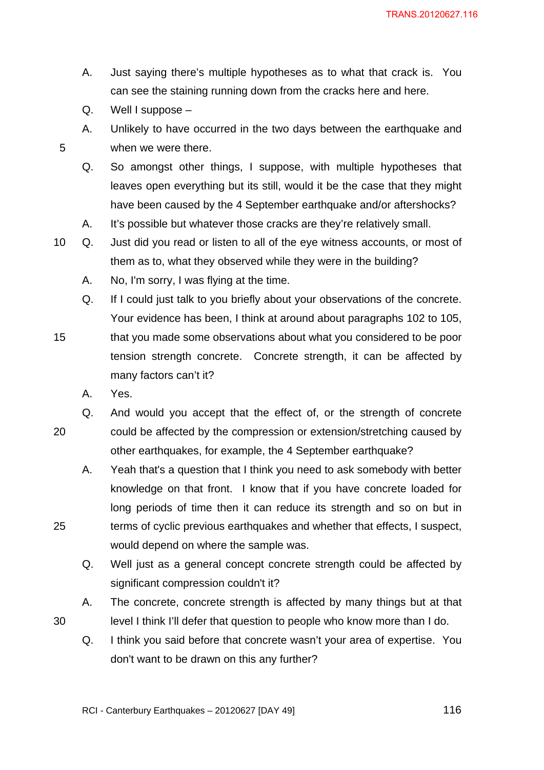- A. Just saying there's multiple hypotheses as to what that crack is. You can see the staining running down from the cracks here and here.
- $Q.$  Well I suppose  $-$

5

- A. Unlikely to have occurred in the two days between the earthquake and when we were there.
- Q. So amongst other things, I suppose, with multiple hypotheses that leaves open everything but its still, would it be the case that they might have been caused by the 4 September earthquake and/or aftershocks?
- A. It's possible but whatever those cracks are they're relatively small.
- 10 Q. Just did you read or listen to all of the eye witness accounts, or most of them as to, what they observed while they were in the building?
	- A. No, I'm sorry, I was flying at the time.
	- Q. If I could just talk to you briefly about your observations of the concrete. Your evidence has been, I think at around about paragraphs 102 to 105,
- 15 that you made some observations about what you considered to be poor tension strength concrete. Concrete strength, it can be affected by many factors can't it?
	- A. Yes.

25

- 20 Q. And would you accept that the effect of, or the strength of concrete could be affected by the compression or extension/stretching caused by other earthquakes, for example, the 4 September earthquake?
	- A. Yeah that's a question that I think you need to ask somebody with better knowledge on that front. I know that if you have concrete loaded for long periods of time then it can reduce its strength and so on but in terms of cyclic previous earthquakes and whether that effects, I suspect, would depend on where the sample was.
	- Q. Well just as a general concept concrete strength could be affected by significant compression couldn't it?
	- A. The concrete, concrete strength is affected by many things but at that level I think I'll defer that question to people who know more than I do.
	- Q. I think you said before that concrete wasn't your area of expertise. You don't want to be drawn on this any further?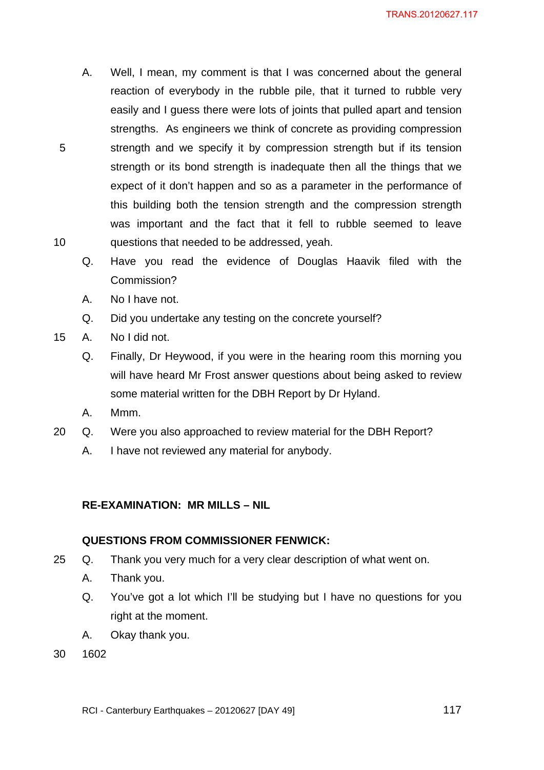- A. Well, I mean, my comment is that I was concerned about the general reaction of everybody in the rubble pile, that it turned to rubble very easily and I guess there were lots of joints that pulled apart and tension strengths. As engineers we think of concrete as providing compression strength and we specify it by compression strength but if its tension strength or its bond strength is inadequate then all the things that we expect of it don't happen and so as a parameter in the performance of this building both the tension strength and the compression strength was important and the fact that it fell to rubble seemed to leave questions that needed to be addressed, yeah.
- Q. Have you read the evidence of Douglas Haavik filed with the Commission?
- A. No I have not.
- Q. Did you undertake any testing on the concrete yourself?
- 15 A. No I did not.

5

10

- Q. Finally, Dr Heywood, if you were in the hearing room this morning you will have heard Mr Frost answer questions about being asked to review some material written for the DBH Report by Dr Hyland.
- A. Mmm.
- 20 Q. Were you also approached to review material for the DBH Report?
	- A. I have not reviewed any material for anybody.

# **RE-EXAMINATION: MR MILLS – NIL**

## **QUESTIONS FROM COMMISSIONER FENWICK:**

- 25 Q. Thank you very much for a very clear description of what went on.
	- A. Thank you.
	- Q. You've got a lot which I'll be studying but I have no questions for you right at the moment.
	- A. Okay thank you.
- 30 1602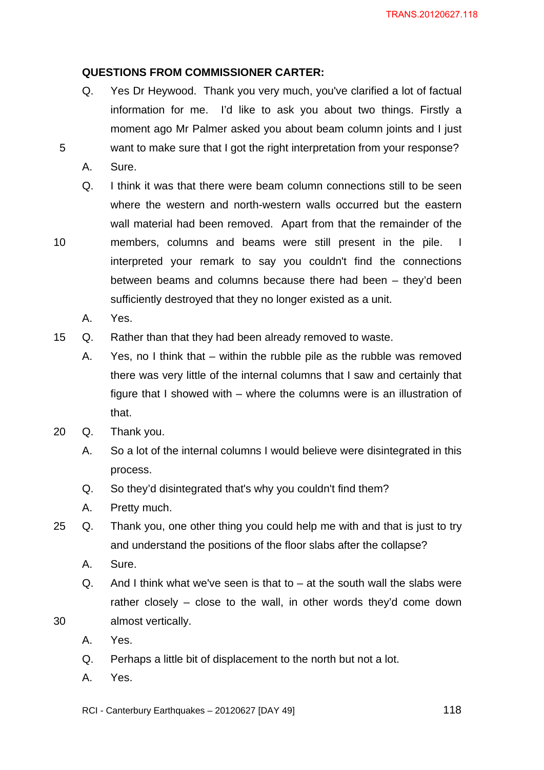# **QUESTIONS FROM COMMISSIONER CARTER:**

- Q. Yes Dr Heywood. Thank you very much, you've clarified a lot of factual information for me. I'd like to ask you about two things. Firstly a moment ago Mr Palmer asked you about beam column joints and I just want to make sure that I got the right interpretation from your response?
- A. Sure.

5

10

- Q. I think it was that there were beam column connections still to be seen where the western and north-western walls occurred but the eastern wall material had been removed. Apart from that the remainder of the members, columns and beams were still present in the pile. I interpreted your remark to say you couldn't find the connections between beams and columns because there had been – they'd been sufficiently destroyed that they no longer existed as a unit.
	- A. Yes.
- 15 Q. Rather than that they had been already removed to waste.
	- A. Yes, no I think that within the rubble pile as the rubble was removed there was very little of the internal columns that I saw and certainly that figure that I showed with – where the columns were is an illustration of that.
- 20 Q. Thank you.
	- A. So a lot of the internal columns I would believe were disintegrated in this process.
	- Q. So they'd disintegrated that's why you couldn't find them?
	- A. Pretty much.
- 25 Q. Thank you, one other thing you could help me with and that is just to try and understand the positions of the floor slabs after the collapse?
	- A. Sure.
	- $Q.$  And I think what we've seen is that to  $-$  at the south wall the slabs were rather closely – close to the wall, in other words they'd come down almost vertically.
	- A. Yes.

- Q. Perhaps a little bit of displacement to the north but not a lot.
- A. Yes.
- RCI Canterbury Earthquakes 20120627 [DAY 49]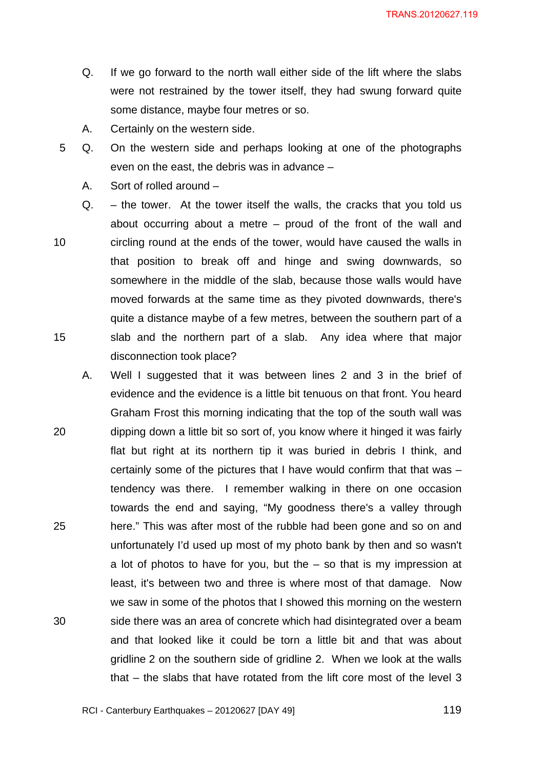- Q. If we go forward to the north wall either side of the lift where the slabs were not restrained by the tower itself, they had swung forward quite some distance, maybe four metres or so.
- A. Certainly on the western side.
- 5 Q. On the western side and perhaps looking at one of the photographs even on the east, the debris was in advance –
	- A. Sort of rolled around –
- 10 15 Q. – the tower. At the tower itself the walls, the cracks that you told us about occurring about a metre – proud of the front of the wall and circling round at the ends of the tower, would have caused the walls in that position to break off and hinge and swing downwards, so somewhere in the middle of the slab, because those walls would have moved forwards at the same time as they pivoted downwards, there's quite a distance maybe of a few metres, between the southern part of a slab and the northern part of a slab. Any idea where that major disconnection took place?
- 20 25 30 A. Well I suggested that it was between lines 2 and 3 in the brief of evidence and the evidence is a little bit tenuous on that front. You heard Graham Frost this morning indicating that the top of the south wall was dipping down a little bit so sort of, you know where it hinged it was fairly flat but right at its northern tip it was buried in debris I think, and certainly some of the pictures that I have would confirm that that was – tendency was there. I remember walking in there on one occasion towards the end and saying, "My goodness there's a valley through here." This was after most of the rubble had been gone and so on and unfortunately I'd used up most of my photo bank by then and so wasn't a lot of photos to have for you, but the  $-$  so that is my impression at least, it's between two and three is where most of that damage. Now we saw in some of the photos that I showed this morning on the western side there was an area of concrete which had disintegrated over a beam and that looked like it could be torn a little bit and that was about gridline 2 on the southern side of gridline 2. When we look at the walls that – the slabs that have rotated from the lift core most of the level 3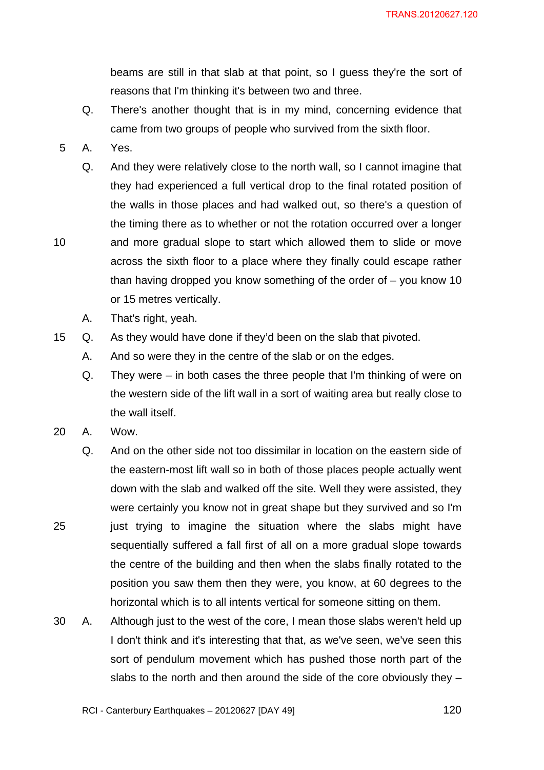beams are still in that slab at that point, so I guess they're the sort of reasons that I'm thinking it's between two and three.

- Q. There's another thought that is in my mind, concerning evidence that came from two groups of people who survived from the sixth floor.
- 5 A. Yes.

10

- Q. And they were relatively close to the north wall, so I cannot imagine that they had experienced a full vertical drop to the final rotated position of the walls in those places and had walked out, so there's a question of the timing there as to whether or not the rotation occurred over a longer and more gradual slope to start which allowed them to slide or move across the sixth floor to a place where they finally could escape rather than having dropped you know something of the order of  $-$  you know 10 or 15 metres vertically.
- A. That's right, yeah.
- 15 Q. As they would have done if they'd been on the slab that pivoted.
	- A. And so were they in the centre of the slab or on the edges.
	- Q. They were in both cases the three people that I'm thinking of were on the western side of the lift wall in a sort of waiting area but really close to the wall itself.
- 20 A. Wow.

- Q. And on the other side not too dissimilar in location on the eastern side of the eastern-most lift wall so in both of those places people actually went down with the slab and walked off the site. Well they were assisted, they were certainly you know not in great shape but they survived and so I'm just trying to imagine the situation where the slabs might have sequentially suffered a fall first of all on a more gradual slope towards the centre of the building and then when the slabs finally rotated to the position you saw them then they were, you know, at 60 degrees to the horizontal which is to all intents vertical for someone sitting on them.
- 30 A. Although just to the west of the core, I mean those slabs weren't held up I don't think and it's interesting that that, as we've seen, we've seen this sort of pendulum movement which has pushed those north part of the slabs to the north and then around the side of the core obviously they –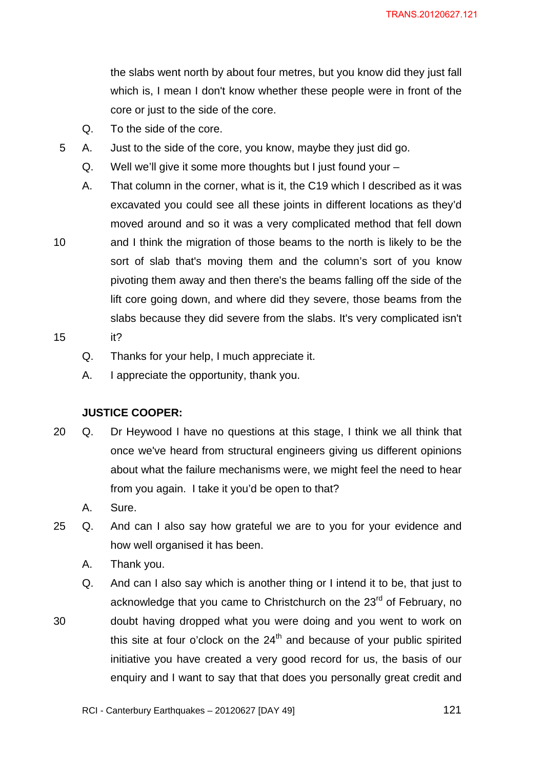the slabs went north by about four metres, but you know did they just fall which is, I mean I don't know whether these people were in front of the core or just to the side of the core.

Q. To the side of the core.

5 A. Just to the side of the core, you know, maybe they just did go.

- Q. Well we'll give it some more thoughts but I just found your –
- A. That column in the corner, what is it, the C19 which I described as it was excavated you could see all these joints in different locations as they'd moved around and so it was a very complicated method that fell down
- 10 and I think the migration of those beams to the north is likely to be the sort of slab that's moving them and the column's sort of you know pivoting them away and then there's the beams falling off the side of the lift core going down, and where did they severe, those beams from the slabs because they did severe from the slabs. It's very complicated isn't it?
- 15
	- Q. Thanks for your help, I much appreciate it.

A. I appreciate the opportunity, thank you.

## **JUSTICE COOPER:**

- 20 Q. Dr Heywood I have no questions at this stage, I think we all think that once we've heard from structural engineers giving us different opinions about what the failure mechanisms were, we might feel the need to hear from you again. I take it you'd be open to that?
	- A. Sure.

- 25 Q. And can I also say how grateful we are to you for your evidence and how well organised it has been.
	- A. Thank you.
	- Q. And can I also say which is another thing or I intend it to be, that just to acknowledge that you came to Christchurch on the 23<sup>rd</sup> of February, no doubt having dropped what you were doing and you went to work on this site at four o'clock on the  $24<sup>th</sup>$  and because of your public spirited initiative you have created a very good record for us, the basis of our enquiry and I want to say that that does you personally great credit and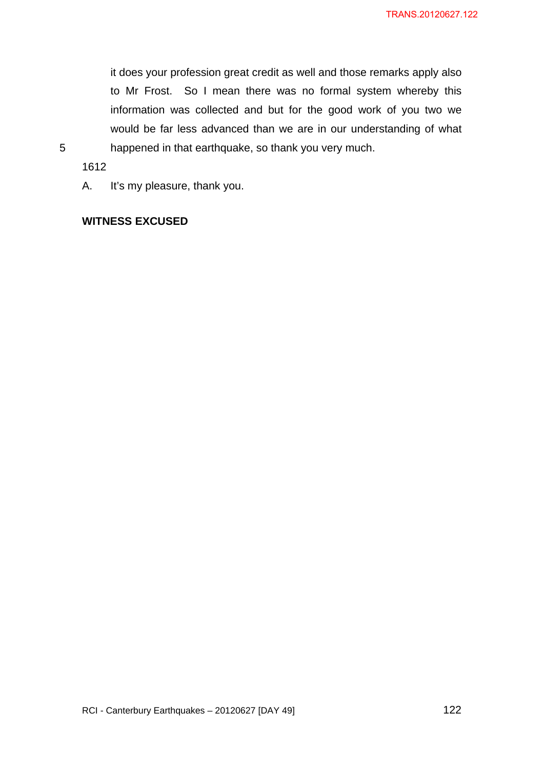it does your profession great credit as well and those remarks apply also to Mr Frost. So I mean there was no formal system whereby this information was collected and but for the good work of you two we would be far less advanced than we are in our understanding of what happened in that earthquake, so thank you very much.

5

1612

A. It's my pleasure, thank you.

# **WITNESS EXCUSED**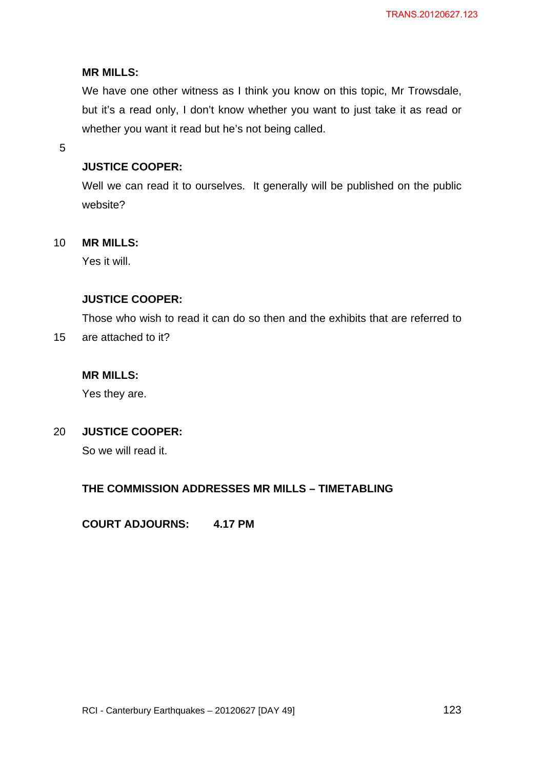## **MR MILLS:**

We have one other witness as I think you know on this topic, Mr Trowsdale, but it's a read only, I don't know whether you want to just take it as read or whether you want it read but he's not being called.

5

# **JUSTICE COOPER:**

Well we can read it to ourselves. It generally will be published on the public website?

#### 10 **MR MILLS:**

Yes it will.

# **JUSTICE COOPER:**

Those who wish to read it can do so then and the exhibits that are referred to

15 are attached to it?

# **MR MILLS:**

Yes they are.

#### 20 **JUSTICE COOPER:**

So we will read it.

# **THE COMMISSION ADDRESSES MR MILLS – TIMETABLING**

**COURT ADJOURNS: 4.17 PM**